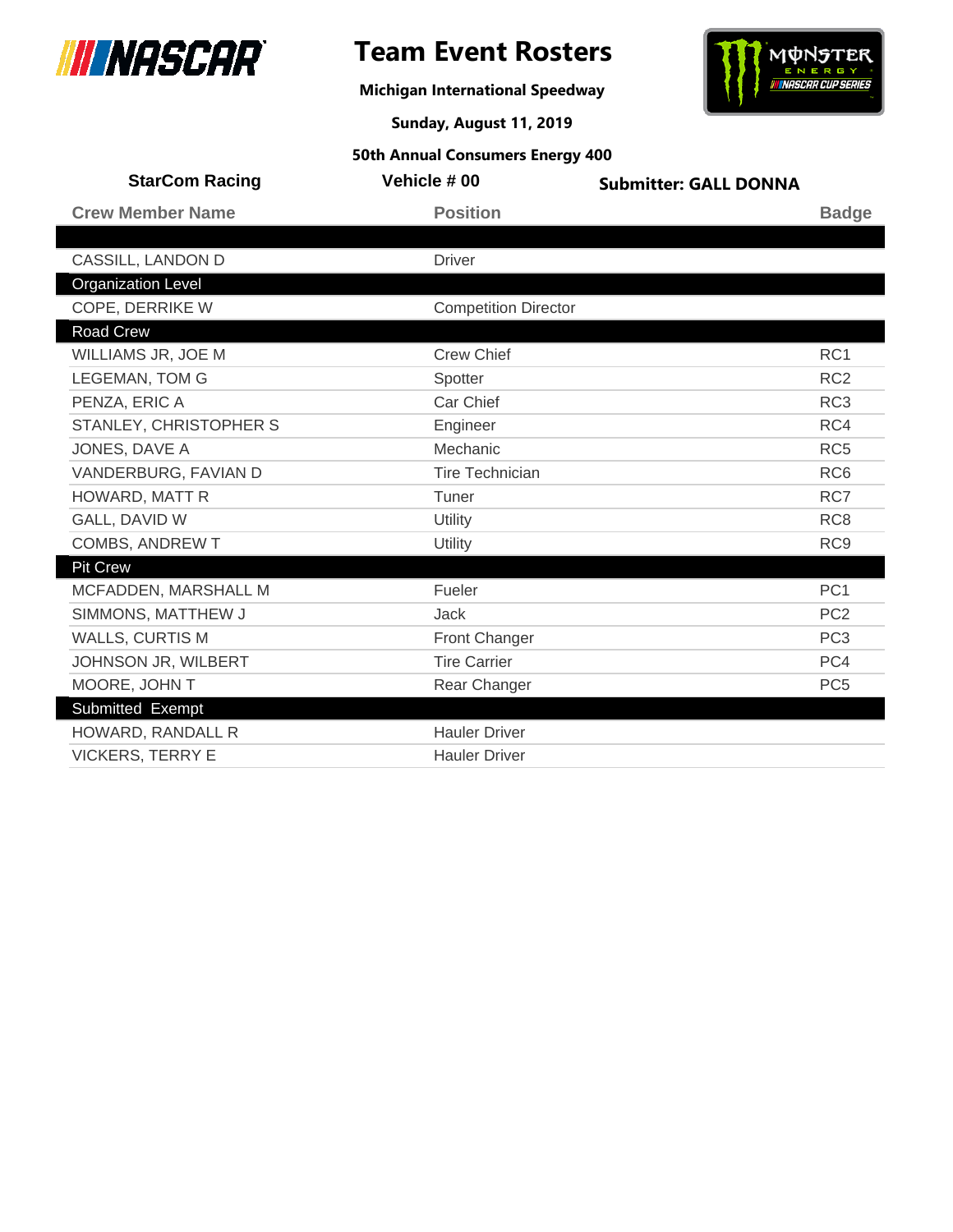

**Michigan International Speedway**



**Sunday, August 11, 2019**

| <b>StarCom Racing</b>     | Vehicle # 00                | <b>Submitter: GALL DONNA</b> |                 |
|---------------------------|-----------------------------|------------------------------|-----------------|
| <b>Crew Member Name</b>   | <b>Position</b>             |                              | <b>Badge</b>    |
|                           |                             |                              |                 |
| CASSILL, LANDON D         | <b>Driver</b>               |                              |                 |
| <b>Organization Level</b> |                             |                              |                 |
| COPE, DERRIKE W           | <b>Competition Director</b> |                              |                 |
| <b>Road Crew</b>          |                             |                              |                 |
| WILLIAMS JR, JOE M        | <b>Crew Chief</b>           |                              | RC <sub>1</sub> |
| <b>LEGEMAN, TOM G</b>     | Spotter                     |                              | RC <sub>2</sub> |
| PENZA, ERIC A             | Car Chief                   |                              | RC <sub>3</sub> |
| STANLEY, CHRISTOPHER S    | Engineer                    |                              | RC4             |
| JONES, DAVE A             | Mechanic                    |                              | RC <sub>5</sub> |
| VANDERBURG, FAVIAN D      | <b>Tire Technician</b>      |                              | RC <sub>6</sub> |
| HOWARD, MATT R            | Tuner                       |                              | RC7             |
| GALL, DAVID W             | Utility                     |                              | RC <sub>8</sub> |
| COMBS, ANDREW T           | Utility                     |                              | RC <sub>9</sub> |
| <b>Pit Crew</b>           |                             |                              |                 |
| MCFADDEN, MARSHALL M      | Fueler                      |                              | PC <sub>1</sub> |
| SIMMONS, MATTHEW J        | Jack                        |                              | PC <sub>2</sub> |
| <b>WALLS, CURTIS M</b>    | <b>Front Changer</b>        |                              | PC <sub>3</sub> |
| JOHNSON JR, WILBERT       | <b>Tire Carrier</b>         |                              | PC4             |
| MOORE, JOHN T             | Rear Changer                |                              | PC <sub>5</sub> |
| Submitted Exempt          |                             |                              |                 |
| HOWARD, RANDALL R         | <b>Hauler Driver</b>        |                              |                 |
| <b>VICKERS, TERRY E</b>   | <b>Hauler Driver</b>        |                              |                 |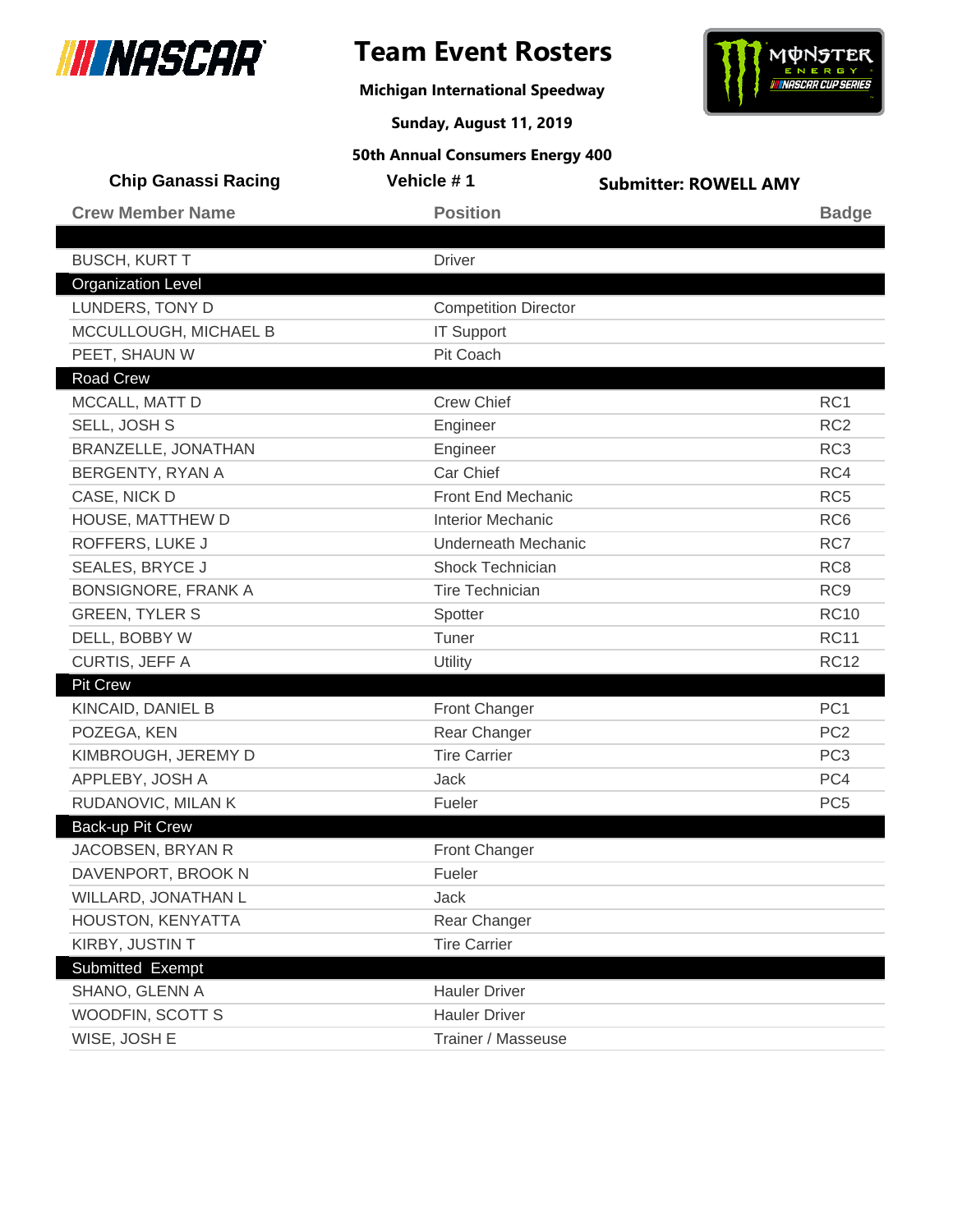

## **Team Event Rosters**

**Michigan International Speedway**



**Sunday, August 11, 2019**

| <b>Chip Ganassi Racing</b> | Vehicle #1                  | <b>Submitter: ROWELL AMY</b> |
|----------------------------|-----------------------------|------------------------------|
| <b>Crew Member Name</b>    | <b>Position</b>             | <b>Badge</b>                 |
|                            |                             |                              |
| <b>BUSCH, KURT T</b>       | <b>Driver</b>               |                              |
| <b>Organization Level</b>  |                             |                              |
| LUNDERS, TONY D            | <b>Competition Director</b> |                              |
| MCCULLOUGH, MICHAEL B      | <b>IT Support</b>           |                              |
| PEET, SHAUN W              | Pit Coach                   |                              |
| <b>Road Crew</b>           |                             |                              |
| MCCALL, MATT D             | <b>Crew Chief</b>           | RC1                          |
| SELL, JOSH S               | Engineer                    | RC <sub>2</sub>              |
| BRANZELLE, JONATHAN        | Engineer                    | RC <sub>3</sub>              |
| BERGENTY, RYAN A           | Car Chief                   | RC4                          |
| CASE, NICK D               | <b>Front End Mechanic</b>   | RC <sub>5</sub>              |
| HOUSE, MATTHEW D           | <b>Interior Mechanic</b>    | RC <sub>6</sub>              |
| ROFFERS, LUKE J            | <b>Underneath Mechanic</b>  | RC7                          |
| SEALES, BRYCE J            | Shock Technician            | RC <sub>8</sub>              |
| <b>BONSIGNORE, FRANK A</b> | <b>Tire Technician</b>      | RC <sub>9</sub>              |
| <b>GREEN, TYLER S</b>      | Spotter                     | <b>RC10</b>                  |
| DELL, BOBBY W              | Tuner                       | <b>RC11</b>                  |
| CURTIS, JEFF A             | Utility                     | <b>RC12</b>                  |
| <b>Pit Crew</b>            |                             |                              |
| KINCAID, DANIEL B          | <b>Front Changer</b>        | PC <sub>1</sub>              |
| POZEGA, KEN                | Rear Changer                | PC <sub>2</sub>              |
| KIMBROUGH, JEREMY D        | <b>Tire Carrier</b>         | PC <sub>3</sub>              |
| APPLEBY, JOSH A            | Jack                        | PC4                          |
| RUDANOVIC, MILAN K         | Fueler                      | PC <sub>5</sub>              |
| Back-up Pit Crew           |                             |                              |
| JACOBSEN, BRYAN R          | <b>Front Changer</b>        |                              |
| DAVENPORT, BROOK N         | Fueler                      |                              |
| WILLARD, JONATHAN L        | Jack                        |                              |
| HOUSTON, KENYATTA          | Rear Changer                |                              |
| KIRBY, JUSTIN T            | <b>Tire Carrier</b>         |                              |
| Submitted Exempt           |                             |                              |
| SHANO, GLENN A             | <b>Hauler Driver</b>        |                              |
| WOODFIN, SCOTT S           | <b>Hauler Driver</b>        |                              |
| WISE, JOSH E               | Trainer / Masseuse          |                              |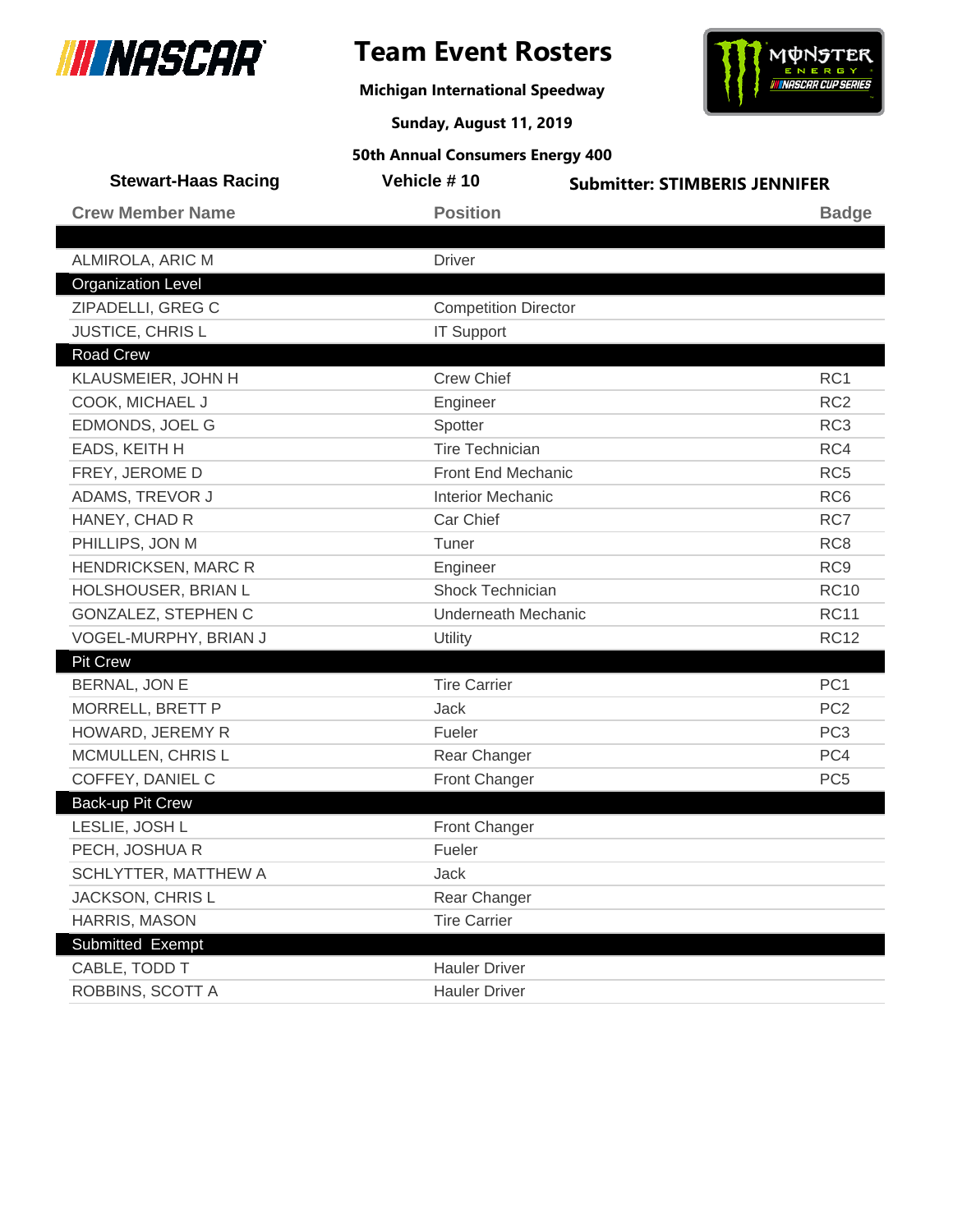

## **Team Event Rosters**

**Michigan International Speedway**



**Sunday, August 11, 2019**

| <b>Stewart-Haas Racing</b> | Vehicle #10                 | <b>Submitter: STIMBERIS JENNIFER</b> |
|----------------------------|-----------------------------|--------------------------------------|
| <b>Crew Member Name</b>    | <b>Position</b>             | <b>Badge</b>                         |
|                            |                             |                                      |
| ALMIROLA, ARIC M           | <b>Driver</b>               |                                      |
| <b>Organization Level</b>  |                             |                                      |
| ZIPADELLI, GREG C          | <b>Competition Director</b> |                                      |
| JUSTICE, CHRIS L           | <b>IT Support</b>           |                                      |
| <b>Road Crew</b>           |                             |                                      |
| KLAUSMEIER, JOHN H         | <b>Crew Chief</b>           | RC <sub>1</sub>                      |
| COOK, MICHAEL J            | Engineer                    | RC <sub>2</sub>                      |
| EDMONDS, JOEL G            | Spotter                     | RC <sub>3</sub>                      |
| EADS, KEITH H              | <b>Tire Technician</b>      | RC4                                  |
| FREY, JEROME D             | Front End Mechanic          | RC <sub>5</sub>                      |
| ADAMS, TREVOR J            | <b>Interior Mechanic</b>    | RC <sub>6</sub>                      |
| HANEY, CHAD R              | Car Chief                   | RC7                                  |
| PHILLIPS, JON M            | Tuner                       | RC <sub>8</sub>                      |
| HENDRICKSEN, MARC R        | Engineer                    | RC <sub>9</sub>                      |
| HOLSHOUSER, BRIAN L        | Shock Technician            | <b>RC10</b>                          |
| GONZALEZ, STEPHEN C        | <b>Underneath Mechanic</b>  | <b>RC11</b>                          |
| VOGEL-MURPHY, BRIAN J      | Utility                     | <b>RC12</b>                          |
| <b>Pit Crew</b>            |                             |                                      |
| BERNAL, JON E              | <b>Tire Carrier</b>         | PC <sub>1</sub>                      |
| MORRELL, BRETT P           | <b>Jack</b>                 | PC <sub>2</sub>                      |
| HOWARD, JEREMY R           | Fueler                      | PC <sub>3</sub>                      |
| MCMULLEN, CHRIS L          | Rear Changer                | PC4                                  |
| COFFEY, DANIEL C           | Front Changer               | PC <sub>5</sub>                      |
| Back-up Pit Crew           |                             |                                      |
| LESLIE, JOSH L             | Front Changer               |                                      |
| PECH, JOSHUA R             | Fueler                      |                                      |
| SCHLYTTER, MATTHEW A       | Jack                        |                                      |
| JACKSON, CHRIS L           | Rear Changer                |                                      |
| HARRIS, MASON              | <b>Tire Carrier</b>         |                                      |
| Submitted Exempt           |                             |                                      |
| CABLE, TODD T              | <b>Hauler Driver</b>        |                                      |
| ROBBINS, SCOTT A           | <b>Hauler Driver</b>        |                                      |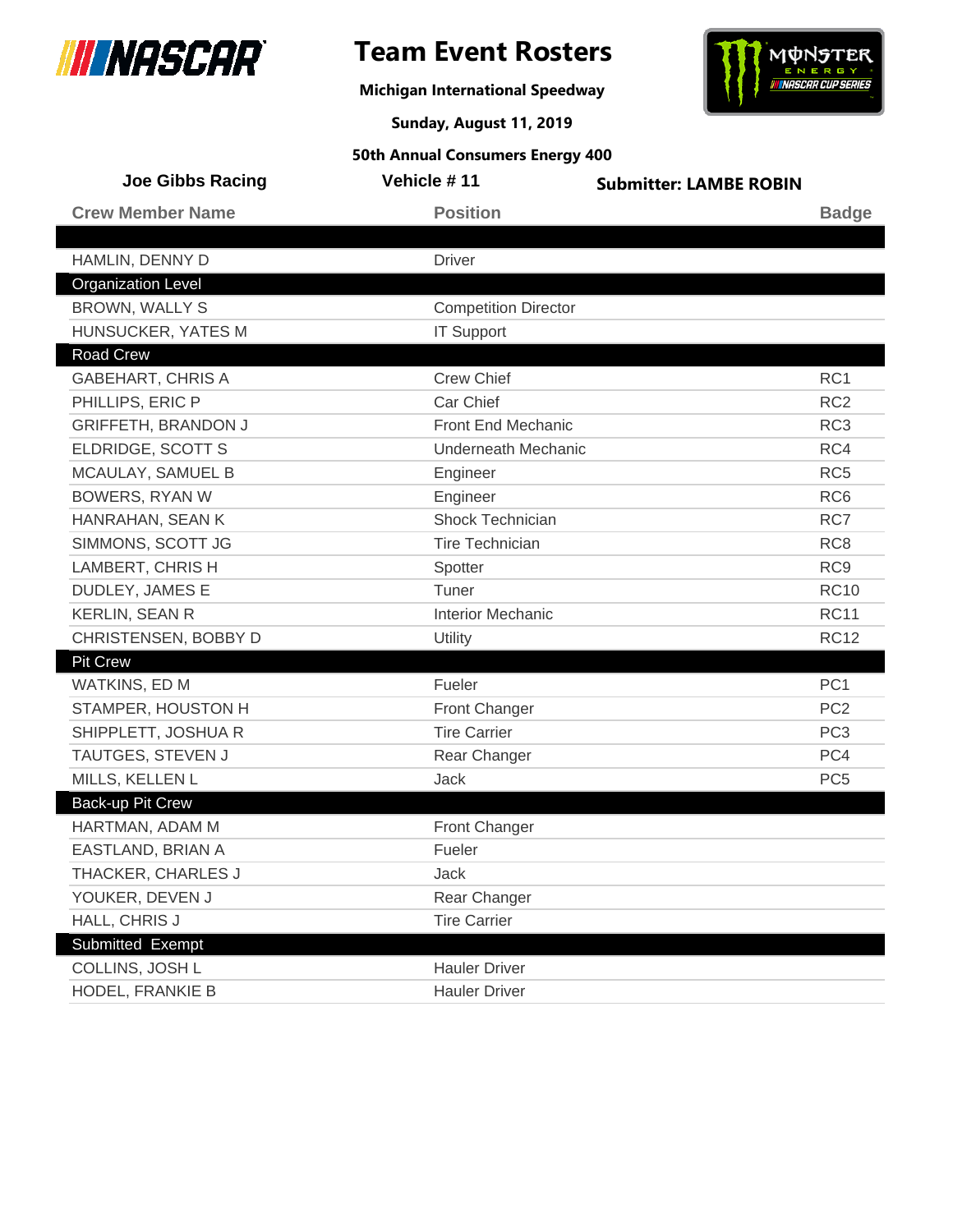

## **Team Event Rosters**

**Michigan International Speedway**



**Sunday, August 11, 2019**

| <b>Joe Gibbs Racing</b>    | Vehicle #11                 | <b>Submitter: LAMBE ROBIN</b> |  |
|----------------------------|-----------------------------|-------------------------------|--|
| <b>Crew Member Name</b>    | <b>Position</b>             | <b>Badge</b>                  |  |
|                            |                             |                               |  |
| HAMLIN, DENNY D            | <b>Driver</b>               |                               |  |
| <b>Organization Level</b>  |                             |                               |  |
| <b>BROWN, WALLY S</b>      | <b>Competition Director</b> |                               |  |
| HUNSUCKER, YATES M         | <b>IT Support</b>           |                               |  |
| <b>Road Crew</b>           |                             |                               |  |
| <b>GABEHART, CHRIS A</b>   | <b>Crew Chief</b>           | RC <sub>1</sub>               |  |
| PHILLIPS, ERIC P           | Car Chief                   | RC <sub>2</sub>               |  |
| <b>GRIFFETH, BRANDON J</b> | Front End Mechanic          | RC <sub>3</sub>               |  |
| ELDRIDGE, SCOTT S          | <b>Underneath Mechanic</b>  | RC4                           |  |
| MCAULAY, SAMUEL B          | Engineer                    | RC <sub>5</sub>               |  |
| <b>BOWERS, RYAN W</b>      | Engineer                    | RC <sub>6</sub>               |  |
| HANRAHAN, SEAN K           | <b>Shock Technician</b>     | RC7                           |  |
| SIMMONS, SCOTT JG          | <b>Tire Technician</b>      | RC <sub>8</sub>               |  |
| LAMBERT, CHRIS H           | Spotter                     | RC <sub>9</sub>               |  |
| DUDLEY, JAMES E            | Tuner                       | <b>RC10</b>                   |  |
| <b>KERLIN, SEAN R</b>      | <b>Interior Mechanic</b>    | <b>RC11</b>                   |  |
| CHRISTENSEN, BOBBY D       | Utility                     | <b>RC12</b>                   |  |
| <b>Pit Crew</b>            |                             |                               |  |
| WATKINS, ED M              | Fueler                      | PC <sub>1</sub>               |  |
| STAMPER, HOUSTON H         | <b>Front Changer</b>        | PC <sub>2</sub>               |  |
| SHIPPLETT, JOSHUA R        | <b>Tire Carrier</b>         | PC <sub>3</sub>               |  |
| TAUTGES, STEVEN J          | Rear Changer                | PC4                           |  |
| MILLS, KELLEN L            | <b>Jack</b>                 | PC <sub>5</sub>               |  |
| Back-up Pit Crew           |                             |                               |  |
| HARTMAN, ADAM M            | Front Changer               |                               |  |
| EASTLAND, BRIAN A          | Fueler                      |                               |  |
| THACKER, CHARLES J         | Jack                        |                               |  |
| YOUKER, DEVEN J            | Rear Changer                |                               |  |
| HALL, CHRIS J              | <b>Tire Carrier</b>         |                               |  |
| Submitted Exempt           |                             |                               |  |
| COLLINS, JOSH L            | <b>Hauler Driver</b>        |                               |  |
| HODEL, FRANKIE B           | <b>Hauler Driver</b>        |                               |  |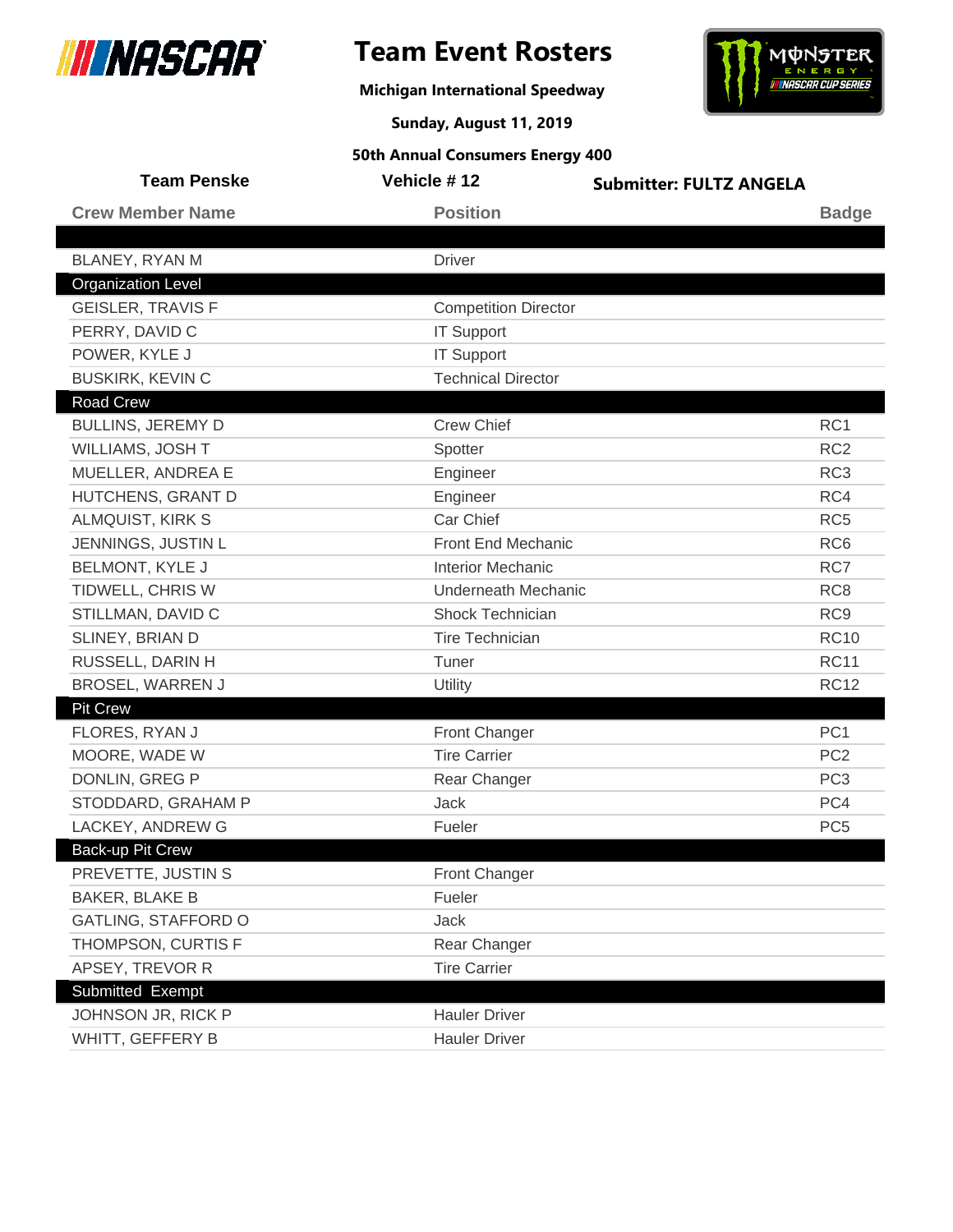

**Michigan International Speedway**



**Sunday, August 11, 2019**

| <b>Team Penske</b>         | Vehicle #12                 | <b>Submitter: FULTZ ANGELA</b> |
|----------------------------|-----------------------------|--------------------------------|
| <b>Crew Member Name</b>    | <b>Position</b>             | <b>Badge</b>                   |
|                            |                             |                                |
| BLANEY, RYAN M             | <b>Driver</b>               |                                |
| <b>Organization Level</b>  |                             |                                |
| <b>GEISLER, TRAVIS F</b>   | <b>Competition Director</b> |                                |
| PERRY, DAVID C             | <b>IT Support</b>           |                                |
| POWER, KYLE J              | <b>IT Support</b>           |                                |
| <b>BUSKIRK, KEVIN C</b>    | <b>Technical Director</b>   |                                |
| <b>Road Crew</b>           |                             |                                |
| <b>BULLINS, JEREMY D</b>   | <b>Crew Chief</b>           | RC1                            |
| WILLIAMS, JOSH T           | Spotter                     | RC <sub>2</sub>                |
| MUELLER, ANDREA E          | Engineer                    | RC <sub>3</sub>                |
| HUTCHENS, GRANT D          | Engineer                    | RC4                            |
| <b>ALMQUIST, KIRK S</b>    | Car Chief                   | RC <sub>5</sub>                |
| JENNINGS, JUSTIN L         | Front End Mechanic          | RC <sub>6</sub>                |
| <b>BELMONT, KYLE J</b>     | <b>Interior Mechanic</b>    | RC7                            |
| TIDWELL, CHRIS W           | <b>Underneath Mechanic</b>  | RC <sub>8</sub>                |
| STILLMAN, DAVID C          | Shock Technician            | RC <sub>9</sub>                |
| SLINEY, BRIAN D            | Tire Technician             | <b>RC10</b>                    |
| RUSSELL, DARIN H           | Tuner                       | <b>RC11</b>                    |
| <b>BROSEL, WARREN J</b>    | Utility                     | <b>RC12</b>                    |
| <b>Pit Crew</b>            |                             |                                |
| FLORES, RYAN J             | Front Changer               | PC <sub>1</sub>                |
| MOORE, WADE W              | <b>Tire Carrier</b>         | PC <sub>2</sub>                |
| <b>DONLIN, GREG P</b>      | Rear Changer                | PC <sub>3</sub>                |
| STODDARD, GRAHAM P         | <b>Jack</b>                 | PC4                            |
| LACKEY, ANDREW G           | Fueler                      | PC <sub>5</sub>                |
| <b>Back-up Pit Crew</b>    |                             |                                |
| PREVETTE, JUSTIN S         | <b>Front Changer</b>        |                                |
| <b>BAKER, BLAKE B</b>      | Fueler                      |                                |
| <b>GATLING, STAFFORD O</b> | Jack                        |                                |
| THOMPSON, CURTIS F         | Rear Changer                |                                |
| APSEY, TREVOR R            | <b>Tire Carrier</b>         |                                |
| Submitted Exempt           |                             |                                |
| JOHNSON JR, RICK P         | <b>Hauler Driver</b>        |                                |
| WHITT, GEFFERY B           | <b>Hauler Driver</b>        |                                |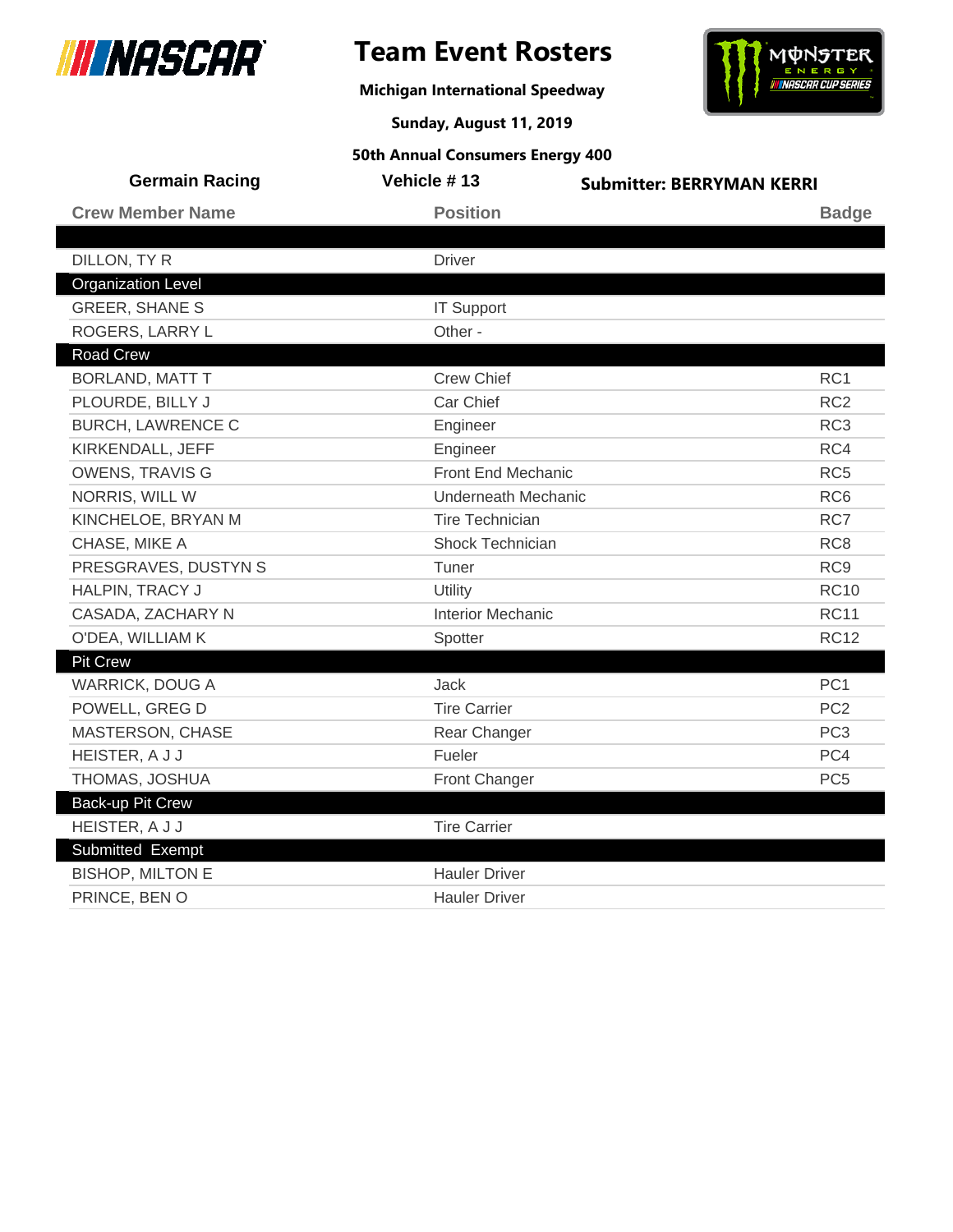

**Michigan International Speedway**



**Sunday, August 11, 2019**

| <b>Germain Racing</b>     | Vehicle #13              | <b>Submitter: BERRYMAN KERRI</b> |
|---------------------------|--------------------------|----------------------------------|
| <b>Crew Member Name</b>   | <b>Position</b>          | <b>Badge</b>                     |
|                           |                          |                                  |
| DILLON, TY R              | <b>Driver</b>            |                                  |
| <b>Organization Level</b> |                          |                                  |
| <b>GREER, SHANE S</b>     | <b>IT Support</b>        |                                  |
| ROGERS, LARRY L           | Other -                  |                                  |
| <b>Road Crew</b>          |                          |                                  |
| <b>BORLAND, MATT T</b>    | <b>Crew Chief</b>        | RC <sub>1</sub>                  |
| PLOURDE, BILLY J          | Car Chief                | RC <sub>2</sub>                  |
| <b>BURCH, LAWRENCE C</b>  | Engineer                 | RC <sub>3</sub>                  |
| KIRKENDALL, JEFF          | Engineer                 | RC4                              |
| <b>OWENS, TRAVIS G</b>    | Front End Mechanic       | RC <sub>5</sub>                  |
| NORRIS, WILL W            | Underneath Mechanic      | RC <sub>6</sub>                  |
| KINCHELOE, BRYAN M        | <b>Tire Technician</b>   | RC7                              |
| CHASE, MIKE A             | Shock Technician         | RC <sub>8</sub>                  |
| PRESGRAVES, DUSTYN S      | Tuner                    | RC <sub>9</sub>                  |
| HALPIN, TRACY J           | Utility                  | <b>RC10</b>                      |
| CASADA, ZACHARY N         | <b>Interior Mechanic</b> | <b>RC11</b>                      |
| O'DEA, WILLIAM K          | Spotter                  | <b>RC12</b>                      |
| <b>Pit Crew</b>           |                          |                                  |
| <b>WARRICK, DOUG A</b>    | Jack                     | PC <sub>1</sub>                  |
| POWELL, GREG D            | <b>Tire Carrier</b>      | PC <sub>2</sub>                  |
| MASTERSON, CHASE          | Rear Changer             | PC <sub>3</sub>                  |
| HEISTER, A J J            | Fueler                   | PC4                              |
| THOMAS, JOSHUA            | Front Changer            | PC <sub>5</sub>                  |
| <b>Back-up Pit Crew</b>   |                          |                                  |
| HEISTER, A J J            | <b>Tire Carrier</b>      |                                  |
| Submitted Exempt          |                          |                                  |
| <b>BISHOP, MILTON E</b>   | <b>Hauler Driver</b>     |                                  |
| PRINCE, BEN O             | <b>Hauler Driver</b>     |                                  |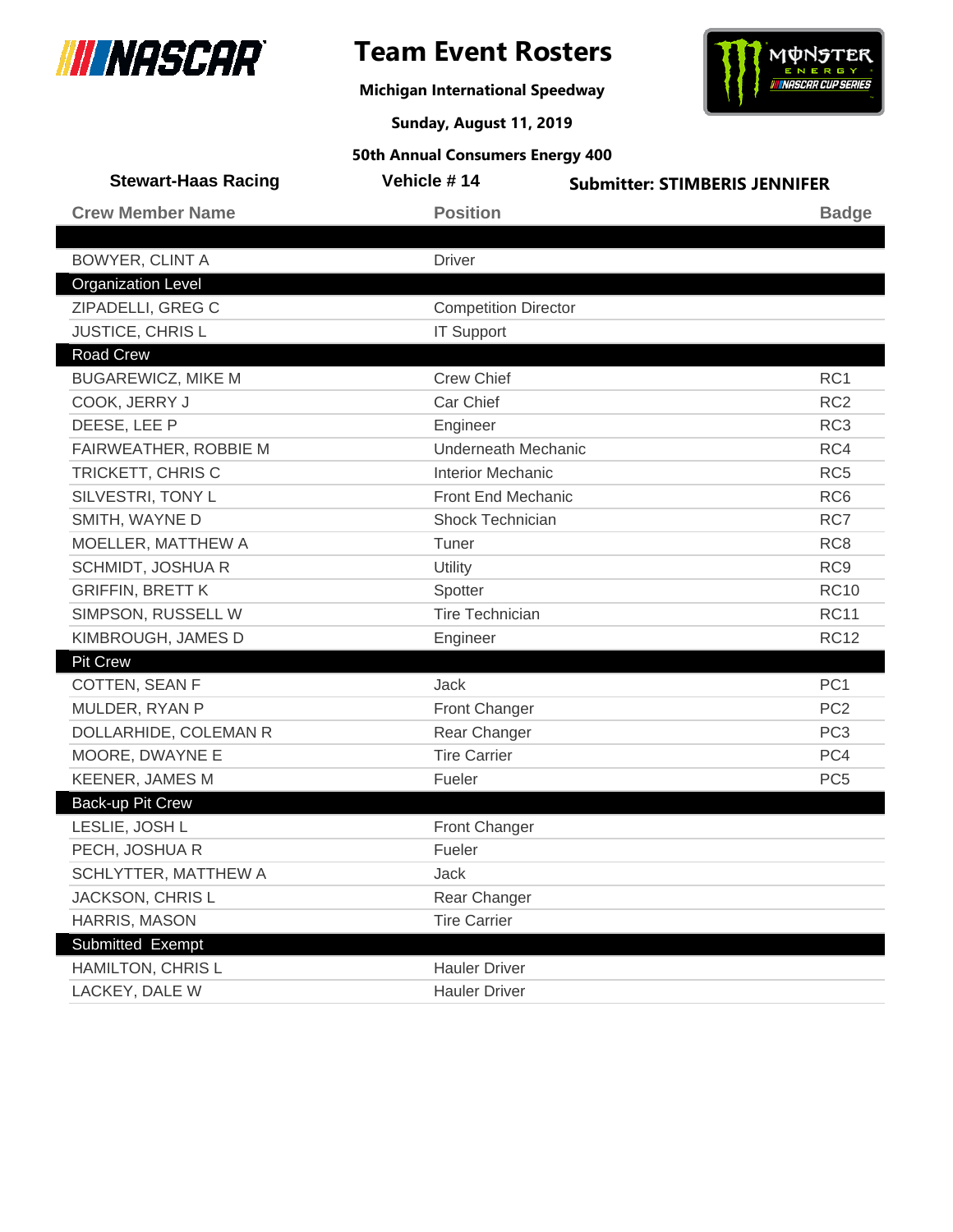

**Michigan International Speedway**



**Sunday, August 11, 2019**

| <b>Stewart-Haas Racing</b> | Vehicle #14                 | <b>Submitter: STIMBERIS JENNIFER</b> |                 |
|----------------------------|-----------------------------|--------------------------------------|-----------------|
| <b>Crew Member Name</b>    | <b>Position</b>             |                                      | <b>Badge</b>    |
|                            |                             |                                      |                 |
| <b>BOWYER, CLINT A</b>     | <b>Driver</b>               |                                      |                 |
| <b>Organization Level</b>  |                             |                                      |                 |
| ZIPADELLI, GREG C          | <b>Competition Director</b> |                                      |                 |
| JUSTICE, CHRIS L           | <b>IT Support</b>           |                                      |                 |
| Road Crew                  |                             |                                      |                 |
| <b>BUGAREWICZ, MIKE M</b>  | <b>Crew Chief</b>           |                                      | RC1             |
| COOK, JERRY J              | Car Chief                   |                                      | RC <sub>2</sub> |
| DEESE, LEE P               | Engineer                    |                                      | RC <sub>3</sub> |
| FAIRWEATHER, ROBBIE M      | <b>Underneath Mechanic</b>  |                                      | RC4             |
| TRICKETT, CHRIS C          | <b>Interior Mechanic</b>    |                                      | RC <sub>5</sub> |
| SILVESTRI, TONY L          | Front End Mechanic          |                                      | RC <sub>6</sub> |
| SMITH, WAYNE D             | Shock Technician            |                                      | RC7             |
| MOELLER, MATTHEW A         | Tuner                       |                                      | RC <sub>8</sub> |
| SCHMIDT, JOSHUA R          | Utility                     |                                      | RC <sub>9</sub> |
| <b>GRIFFIN, BRETT K</b>    | Spotter                     |                                      | <b>RC10</b>     |
| SIMPSON, RUSSELL W         | <b>Tire Technician</b>      |                                      | <b>RC11</b>     |
| KIMBROUGH, JAMES D         | Engineer                    |                                      | <b>RC12</b>     |
| <b>Pit Crew</b>            |                             |                                      |                 |
| COTTEN, SEAN F             | Jack                        |                                      | PC <sub>1</sub> |
| MULDER, RYAN P             | <b>Front Changer</b>        |                                      | PC <sub>2</sub> |
| DOLLARHIDE, COLEMAN R      | Rear Changer                |                                      | PC <sub>3</sub> |
| MOORE, DWAYNE E            | <b>Tire Carrier</b>         |                                      | PC4             |
| <b>KEENER, JAMES M</b>     | Fueler                      |                                      | PC <sub>5</sub> |
| Back-up Pit Crew           |                             |                                      |                 |
| LESLIE, JOSH L             | Front Changer               |                                      |                 |
| PECH, JOSHUA R             | Fueler                      |                                      |                 |
| SCHLYTTER, MATTHEW A       | Jack                        |                                      |                 |
| JACKSON, CHRIS L           | Rear Changer                |                                      |                 |
| HARRIS, MASON              | <b>Tire Carrier</b>         |                                      |                 |
| Submitted Exempt           |                             |                                      |                 |
| HAMILTON, CHRIS L          | <b>Hauler Driver</b>        |                                      |                 |
| LACKEY, DALE W             | <b>Hauler Driver</b>        |                                      |                 |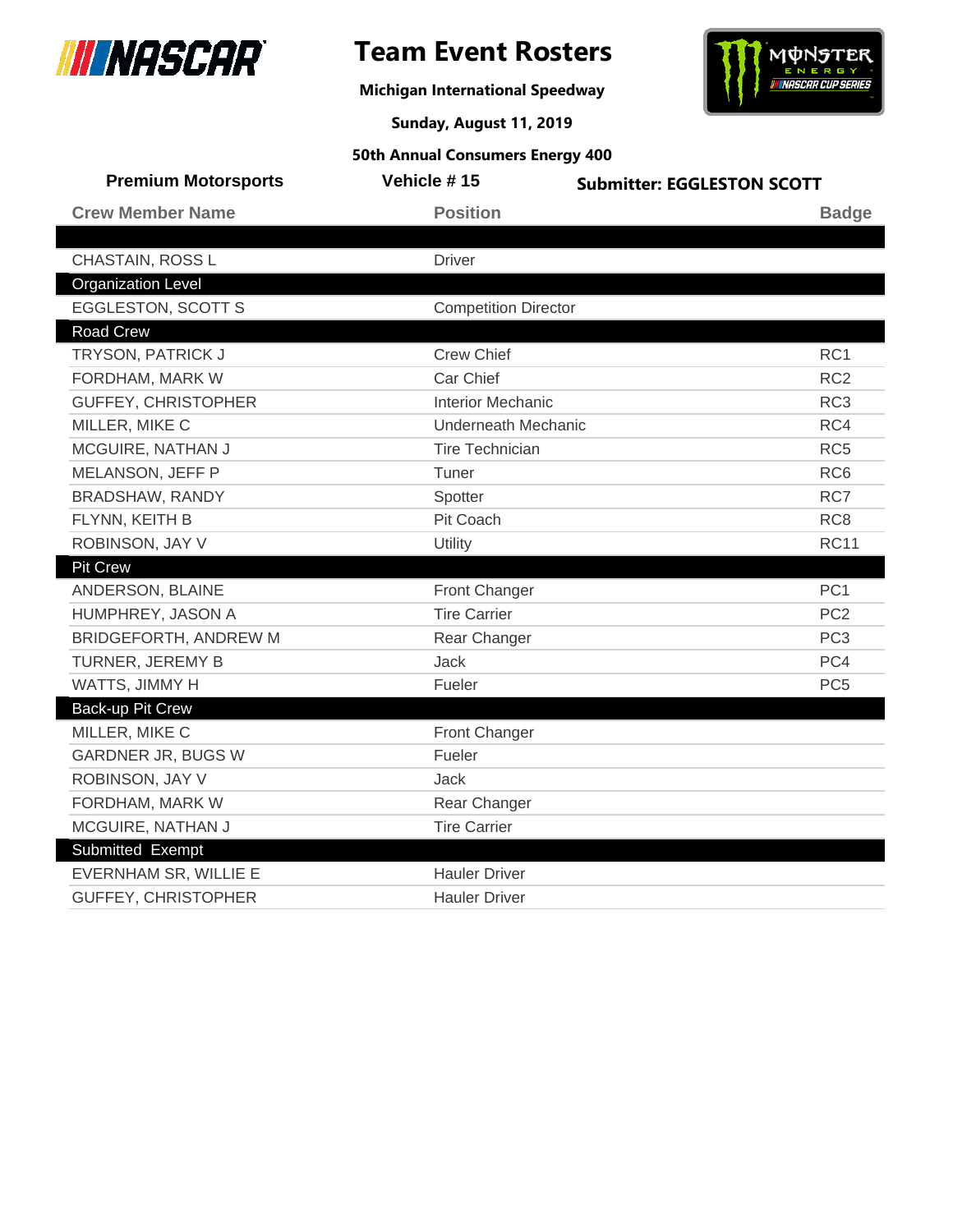

## **Team Event Rosters**

**Michigan International Speedway**



**Sunday, August 11, 2019**

| <b>Premium Motorsports</b> | Vehicle #15                 | <b>Submitter: EGGLESTON SCOTT</b> |
|----------------------------|-----------------------------|-----------------------------------|
| <b>Crew Member Name</b>    | <b>Position</b>             | <b>Badge</b>                      |
|                            |                             |                                   |
| CHASTAIN, ROSS L           | <b>Driver</b>               |                                   |
| <b>Organization Level</b>  |                             |                                   |
| <b>EGGLESTON, SCOTT S</b>  | <b>Competition Director</b> |                                   |
| <b>Road Crew</b>           |                             |                                   |
| <b>TRYSON, PATRICK J</b>   | <b>Crew Chief</b>           | RC <sub>1</sub>                   |
| FORDHAM, MARK W            | Car Chief                   | RC <sub>2</sub>                   |
| <b>GUFFEY, CHRISTOPHER</b> | <b>Interior Mechanic</b>    | RC <sub>3</sub>                   |
| MILLER, MIKE C             | <b>Underneath Mechanic</b>  | RC4                               |
| MCGUIRE, NATHAN J          | <b>Tire Technician</b>      | RC <sub>5</sub>                   |
| MELANSON, JEFF P           | Tuner                       | RC <sub>6</sub>                   |
| BRADSHAW, RANDY            | Spotter                     | RC7                               |
| FLYNN, KEITH B             | Pit Coach                   | RC <sub>8</sub>                   |
| ROBINSON, JAY V            | Utility                     | <b>RC11</b>                       |
| <b>Pit Crew</b>            |                             |                                   |
| ANDERSON, BLAINE           | <b>Front Changer</b>        | PC <sub>1</sub>                   |
| HUMPHREY, JASON A          | <b>Tire Carrier</b>         | PC <sub>2</sub>                   |
| BRIDGEFORTH, ANDREW M      | Rear Changer                | PC <sub>3</sub>                   |
| TURNER, JEREMY B           | Jack                        | PC4                               |
| WATTS, JIMMY H             | Fueler                      | PC <sub>5</sub>                   |
| Back-up Pit Crew           |                             |                                   |
| MILLER, MIKE C             | Front Changer               |                                   |
| GARDNER JR, BUGS W         | Fueler                      |                                   |
| ROBINSON, JAY V            | Jack                        |                                   |
| FORDHAM, MARK W            | Rear Changer                |                                   |
| MCGUIRE, NATHAN J          | <b>Tire Carrier</b>         |                                   |
| Submitted Exempt           |                             |                                   |
| EVERNHAM SR, WILLIE E      | <b>Hauler Driver</b>        |                                   |
| <b>GUFFEY, CHRISTOPHER</b> | <b>Hauler Driver</b>        |                                   |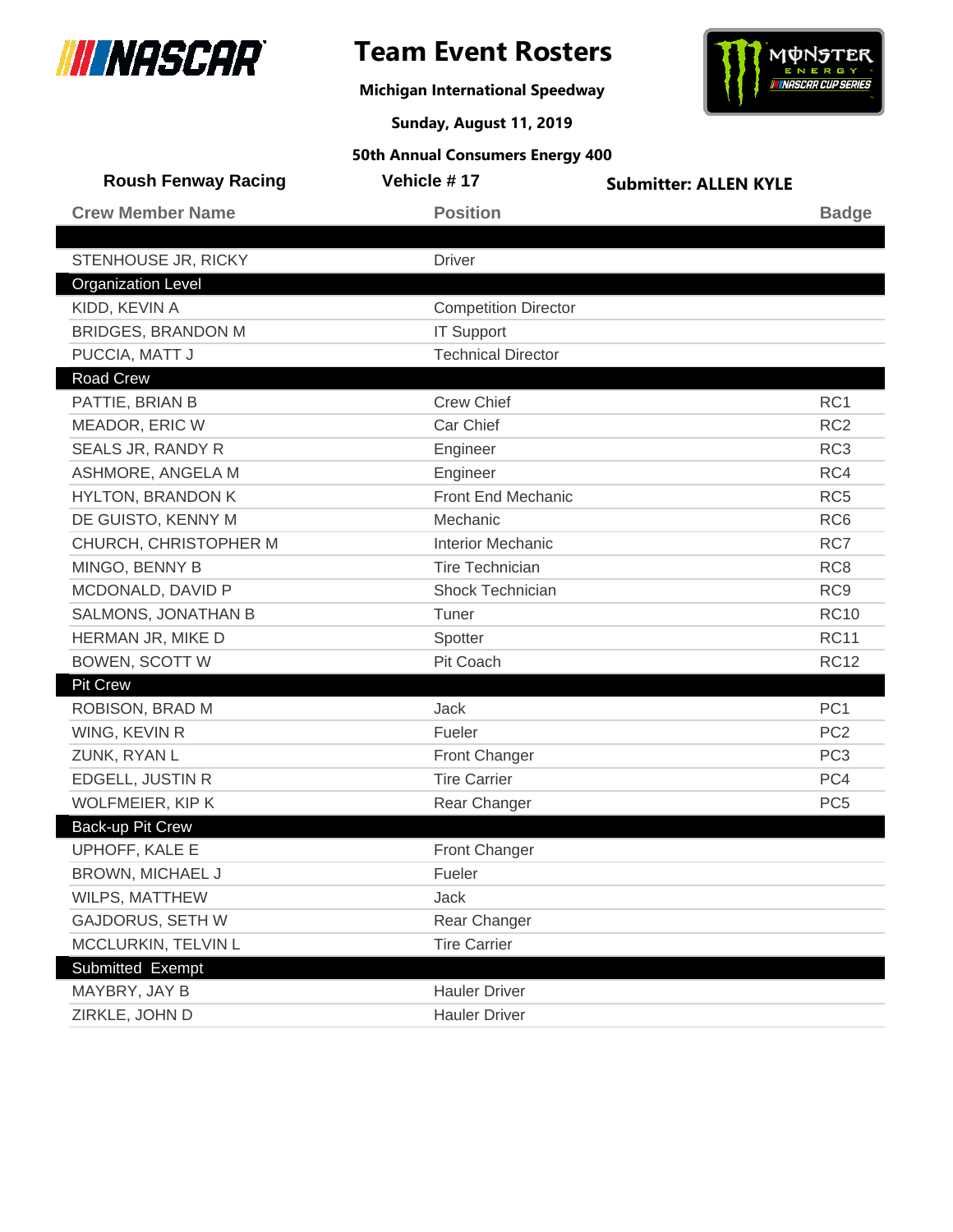

## **Team Event Rosters**

**Michigan International Speedway**



**Sunday, August 11, 2019**

| <b>Roush Fenway Racing</b> | Vehicle #17                 | <b>Submitter: ALLEN KYLE</b> |                 |
|----------------------------|-----------------------------|------------------------------|-----------------|
| <b>Crew Member Name</b>    | <b>Position</b>             |                              | <b>Badge</b>    |
|                            |                             |                              |                 |
| STENHOUSE JR, RICKY        | <b>Driver</b>               |                              |                 |
| <b>Organization Level</b>  |                             |                              |                 |
| KIDD, KEVIN A              | <b>Competition Director</b> |                              |                 |
| <b>BRIDGES, BRANDON M</b>  | <b>IT Support</b>           |                              |                 |
| PUCCIA, MATT J             | <b>Technical Director</b>   |                              |                 |
| <b>Road Crew</b>           |                             |                              |                 |
| PATTIE, BRIAN B            | <b>Crew Chief</b>           |                              | RC <sub>1</sub> |
| MEADOR, ERIC W             | Car Chief                   |                              | RC <sub>2</sub> |
| SEALS JR, RANDY R          | Engineer                    |                              | RC <sub>3</sub> |
| ASHMORE, ANGELA M          | Engineer                    |                              | RC4             |
| <b>HYLTON, BRANDON K</b>   | <b>Front End Mechanic</b>   |                              | RC <sub>5</sub> |
| DE GUISTO, KENNY M         | Mechanic                    |                              | RC <sub>6</sub> |
| CHURCH, CHRISTOPHER M      | <b>Interior Mechanic</b>    |                              | RC7             |
| MINGO, BENNY B             | <b>Tire Technician</b>      |                              | RC <sub>8</sub> |
| MCDONALD, DAVID P          | Shock Technician            |                              | RC <sub>9</sub> |
| SALMONS, JONATHAN B        | Tuner                       |                              | <b>RC10</b>     |
| HERMAN JR, MIKE D          | Spotter                     |                              | <b>RC11</b>     |
| <b>BOWEN, SCOTT W</b>      | Pit Coach                   |                              | <b>RC12</b>     |
| <b>Pit Crew</b>            |                             |                              |                 |
| ROBISON, BRAD M            | Jack                        |                              | PC <sub>1</sub> |
| WING, KEVIN R              | Fueler                      |                              | PC <sub>2</sub> |
| ZUNK, RYAN L               | Front Changer               |                              | PC <sub>3</sub> |
| <b>EDGELL, JUSTIN R</b>    | <b>Tire Carrier</b>         |                              | PC4             |
| WOLFMEIER, KIP K           | Rear Changer                |                              | PC <sub>5</sub> |
| <b>Back-up Pit Crew</b>    |                             |                              |                 |
| UPHOFF, KALE E             | <b>Front Changer</b>        |                              |                 |
| BROWN, MICHAEL J           | Fueler                      |                              |                 |
| WILPS, MATTHEW             | Jack                        |                              |                 |
| <b>GAJDORUS, SETH W</b>    | Rear Changer                |                              |                 |
| MCCLURKIN, TELVIN L        | <b>Tire Carrier</b>         |                              |                 |
| Submitted Exempt           |                             |                              |                 |
| MAYBRY, JAY B              | <b>Hauler Driver</b>        |                              |                 |
| ZIRKLE, JOHN D             | <b>Hauler Driver</b>        |                              |                 |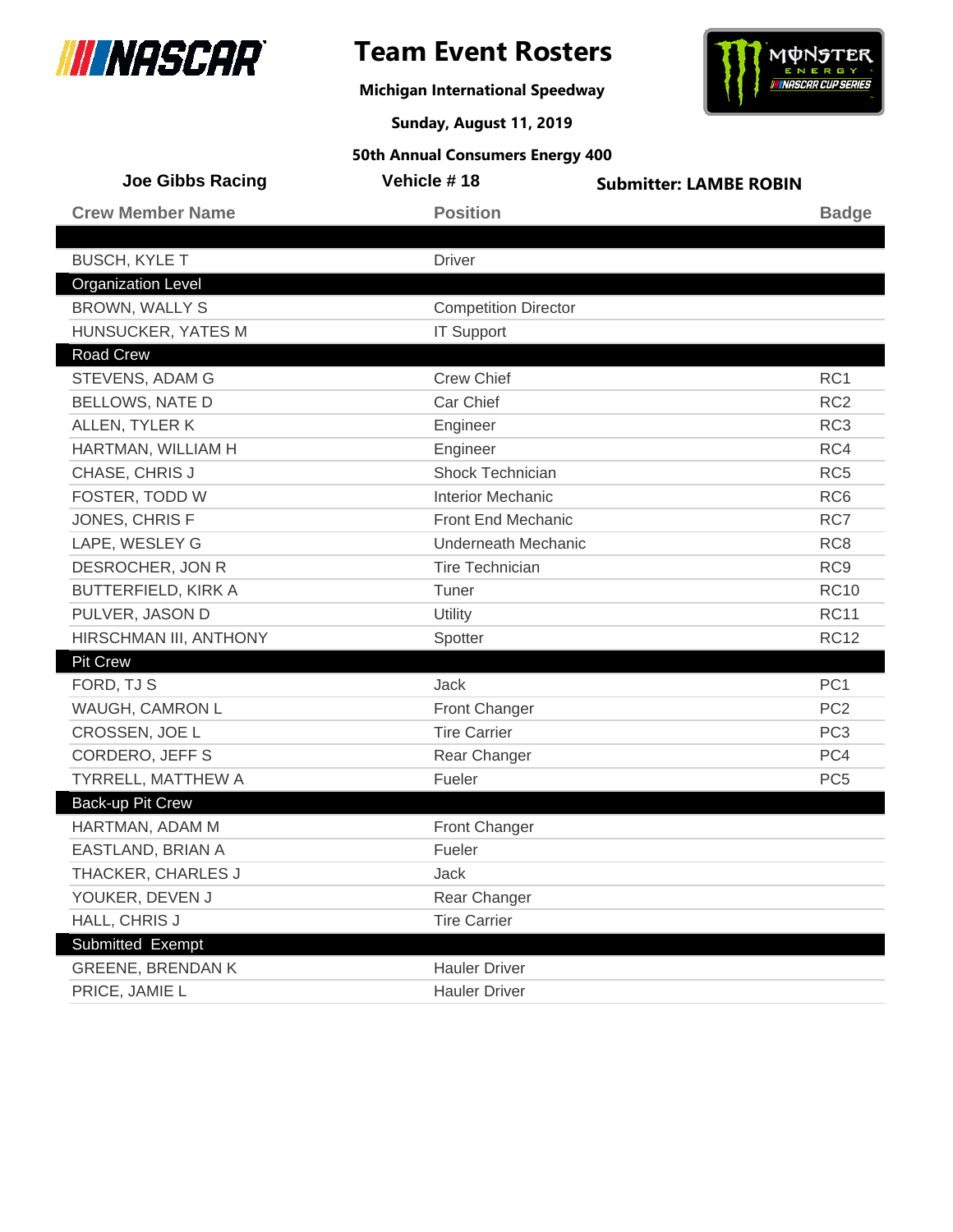

**Michigan International Speedway**



**Sunday, August 11, 2019**

| <b>Joe Gibbs Racing</b>    | Vehicle #18                 | <b>Submitter: LAMBE ROBIN</b> |                 |
|----------------------------|-----------------------------|-------------------------------|-----------------|
| <b>Crew Member Name</b>    | <b>Position</b>             |                               | <b>Badge</b>    |
|                            |                             |                               |                 |
| <b>BUSCH, KYLE T</b>       | <b>Driver</b>               |                               |                 |
| <b>Organization Level</b>  |                             |                               |                 |
| <b>BROWN, WALLY S</b>      | <b>Competition Director</b> |                               |                 |
| HUNSUCKER, YATES M         | <b>IT Support</b>           |                               |                 |
| <b>Road Crew</b>           |                             |                               |                 |
| STEVENS, ADAM G            | <b>Crew Chief</b>           |                               | RC1             |
| <b>BELLOWS, NATE D</b>     | Car Chief                   |                               | RC <sub>2</sub> |
| ALLEN, TYLER K             | Engineer                    |                               | RC <sub>3</sub> |
| HARTMAN, WILLIAM H         | Engineer                    |                               | RC4             |
| CHASE, CHRIS J             | <b>Shock Technician</b>     |                               | RC <sub>5</sub> |
| FOSTER, TODD W             | <b>Interior Mechanic</b>    |                               | RC <sub>6</sub> |
| JONES, CHRIS F             | Front End Mechanic          |                               | RC7             |
| LAPE, WESLEY G             | <b>Underneath Mechanic</b>  |                               | RC <sub>8</sub> |
| DESROCHER, JON R           | <b>Tire Technician</b>      |                               | RC <sub>9</sub> |
| <b>BUTTERFIELD, KIRK A</b> | Tuner                       |                               | <b>RC10</b>     |
| PULVER, JASON D            | Utility                     |                               | <b>RC11</b>     |
| HIRSCHMAN III, ANTHONY     | Spotter                     |                               | <b>RC12</b>     |
| <b>Pit Crew</b>            |                             |                               |                 |
| FORD, TJ S                 | Jack                        |                               | PC <sub>1</sub> |
| WAUGH, CAMRON L            | <b>Front Changer</b>        |                               | PC <sub>2</sub> |
| CROSSEN, JOE L             | <b>Tire Carrier</b>         |                               | PC <sub>3</sub> |
| <b>CORDERO, JEFF S</b>     | Rear Changer                |                               | PC4             |
| <b>TYRRELL, MATTHEW A</b>  | Fueler                      |                               | PC <sub>5</sub> |
| Back-up Pit Crew           |                             |                               |                 |
| HARTMAN, ADAM M            | Front Changer               |                               |                 |
| EASTLAND, BRIAN A          | Fueler                      |                               |                 |
| THACKER, CHARLES J         | Jack                        |                               |                 |
| YOUKER, DEVEN J            | Rear Changer                |                               |                 |
| HALL, CHRIS J              | <b>Tire Carrier</b>         |                               |                 |
| Submitted Exempt           |                             |                               |                 |
| <b>GREENE, BRENDAN K</b>   | <b>Hauler Driver</b>        |                               |                 |
| PRICE, JAMIE L             | <b>Hauler Driver</b>        |                               |                 |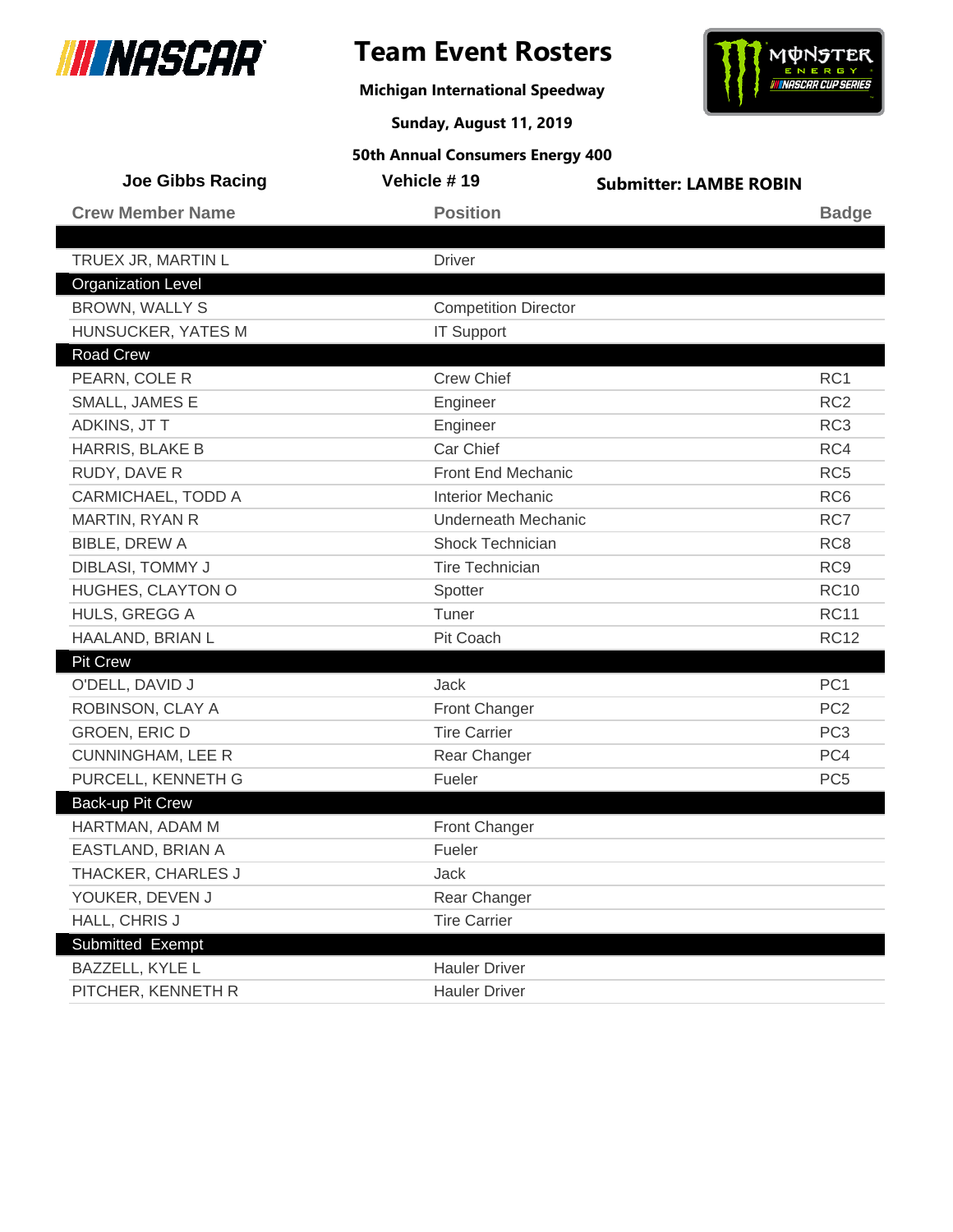

**Michigan International Speedway**



**Sunday, August 11, 2019**

| <b>Joe Gibbs Racing</b>   | Vehicle #19                 | <b>Submitter: LAMBE ROBIN</b> |
|---------------------------|-----------------------------|-------------------------------|
| <b>Crew Member Name</b>   | <b>Position</b>             | <b>Badge</b>                  |
|                           |                             |                               |
| TRUEX JR, MARTIN L        | <b>Driver</b>               |                               |
| <b>Organization Level</b> |                             |                               |
| <b>BROWN, WALLY S</b>     | <b>Competition Director</b> |                               |
| HUNSUCKER, YATES M        | <b>IT Support</b>           |                               |
| Road Crew                 |                             |                               |
| PEARN, COLE R             | <b>Crew Chief</b>           | RC1                           |
| SMALL, JAMES E            | Engineer                    | RC <sub>2</sub>               |
| ADKINS, JT T              | Engineer                    | RC <sub>3</sub>               |
| HARRIS, BLAKE B           | Car Chief                   | RC4                           |
| RUDY, DAVE R              | Front End Mechanic          | RC <sub>5</sub>               |
| CARMICHAEL, TODD A        | <b>Interior Mechanic</b>    | RC <sub>6</sub>               |
| MARTIN, RYAN R            | <b>Underneath Mechanic</b>  | RC7                           |
| <b>BIBLE, DREW A</b>      | Shock Technician            | RC <sub>8</sub>               |
| DIBLASI, TOMMY J          | <b>Tire Technician</b>      | RC <sub>9</sub>               |
| HUGHES, CLAYTON O         | Spotter                     | <b>RC10</b>                   |
| HULS, GREGG A             | Tuner                       | <b>RC11</b>                   |
| HAALAND, BRIAN L          | Pit Coach                   | <b>RC12</b>                   |
| <b>Pit Crew</b>           |                             |                               |
| O'DELL, DAVID J           | Jack                        | PC <sub>1</sub>               |
| ROBINSON, CLAY A          | <b>Front Changer</b>        | PC <sub>2</sub>               |
| <b>GROEN, ERIC D</b>      | <b>Tire Carrier</b>         | PC <sub>3</sub>               |
| <b>CUNNINGHAM, LEE R</b>  | Rear Changer                | PC4                           |
| PURCELL, KENNETH G        | Fueler                      | PC <sub>5</sub>               |
| <b>Back-up Pit Crew</b>   |                             |                               |
| HARTMAN, ADAM M           | <b>Front Changer</b>        |                               |
| EASTLAND, BRIAN A         | Fueler                      |                               |
| THACKER, CHARLES J        | Jack                        |                               |
| YOUKER, DEVEN J           | Rear Changer                |                               |
| HALL, CHRIS J             | <b>Tire Carrier</b>         |                               |
| Submitted Exempt          |                             |                               |
| BAZZELL, KYLE L           | <b>Hauler Driver</b>        |                               |
| PITCHER, KENNETH R        | <b>Hauler Driver</b>        |                               |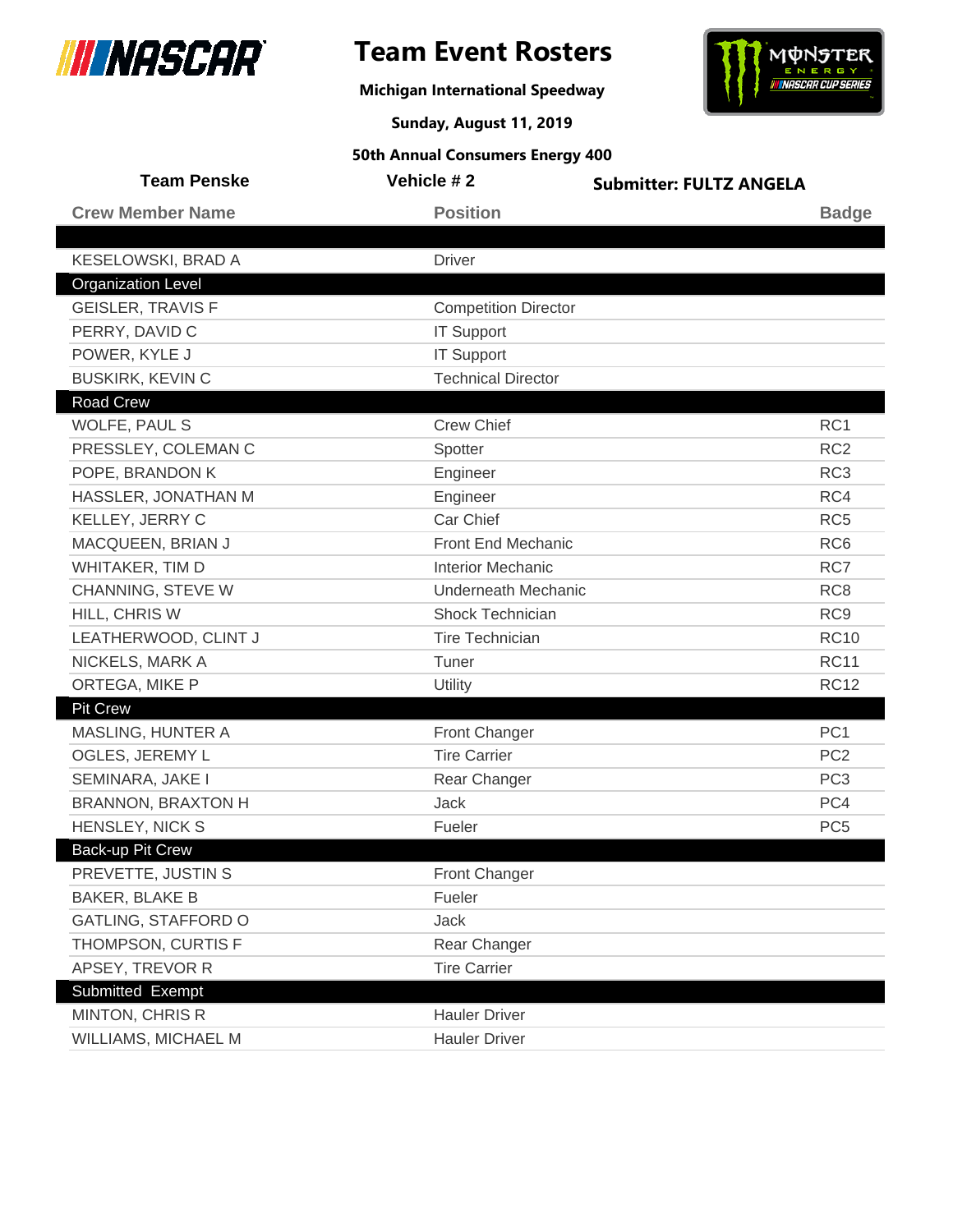

**Michigan International Speedway**



**Sunday, August 11, 2019**

| <b>Team Penske</b>        | Vehicle #2                  | <b>Submitter: FULTZ ANGELA</b> |
|---------------------------|-----------------------------|--------------------------------|
| <b>Crew Member Name</b>   | <b>Position</b>             | <b>Badge</b>                   |
|                           |                             |                                |
| KESELOWSKI, BRAD A        | <b>Driver</b>               |                                |
| <b>Organization Level</b> |                             |                                |
| <b>GEISLER, TRAVIS F</b>  | <b>Competition Director</b> |                                |
| PERRY, DAVID C            | <b>IT Support</b>           |                                |
| POWER, KYLE J             | <b>IT Support</b>           |                                |
| <b>BUSKIRK, KEVIN C</b>   | <b>Technical Director</b>   |                                |
| <b>Road Crew</b>          |                             |                                |
| WOLFE, PAUL S             | <b>Crew Chief</b>           | RC1                            |
| PRESSLEY, COLEMAN C       | Spotter                     | RC <sub>2</sub>                |
| POPE, BRANDON K           | Engineer                    | RC <sub>3</sub>                |
| HASSLER, JONATHAN M       | Engineer                    | RC4                            |
| KELLEY, JERRY C           | Car Chief                   | RC <sub>5</sub>                |
| MACQUEEN, BRIAN J         | Front End Mechanic          | RC <sub>6</sub>                |
| WHITAKER, TIM D           | <b>Interior Mechanic</b>    | RC7                            |
| CHANNING, STEVE W         | <b>Underneath Mechanic</b>  | RC <sub>8</sub>                |
| HILL, CHRIS W             | Shock Technician            | RC <sub>9</sub>                |
| LEATHERWOOD, CLINT J      | <b>Tire Technician</b>      | <b>RC10</b>                    |
| NICKELS, MARK A           | Tuner                       | <b>RC11</b>                    |
| ORTEGA, MIKE P            | Utility                     | <b>RC12</b>                    |
| <b>Pit Crew</b>           |                             |                                |
| MASLING, HUNTER A         | Front Changer               | PC <sub>1</sub>                |
| OGLES, JEREMY L           | <b>Tire Carrier</b>         | PC <sub>2</sub>                |
| SEMINARA, JAKE I          | Rear Changer                | PC <sub>3</sub>                |
| <b>BRANNON, BRAXTON H</b> | <b>Jack</b>                 | PC4                            |
| HENSLEY, NICK S           | Fueler                      | PC <sub>5</sub>                |
| Back-up Pit Crew          |                             |                                |
| PREVETTE, JUSTIN S        | <b>Front Changer</b>        |                                |
| <b>BAKER, BLAKE B</b>     | Fueler                      |                                |
| GATLING, STAFFORD O       | Jack                        |                                |
| THOMPSON, CURTIS F        | Rear Changer                |                                |
| APSEY, TREVOR R           | <b>Tire Carrier</b>         |                                |
| Submitted Exempt          |                             |                                |
| MINTON, CHRIS R           | <b>Hauler Driver</b>        |                                |
| WILLIAMS, MICHAEL M       | <b>Hauler Driver</b>        |                                |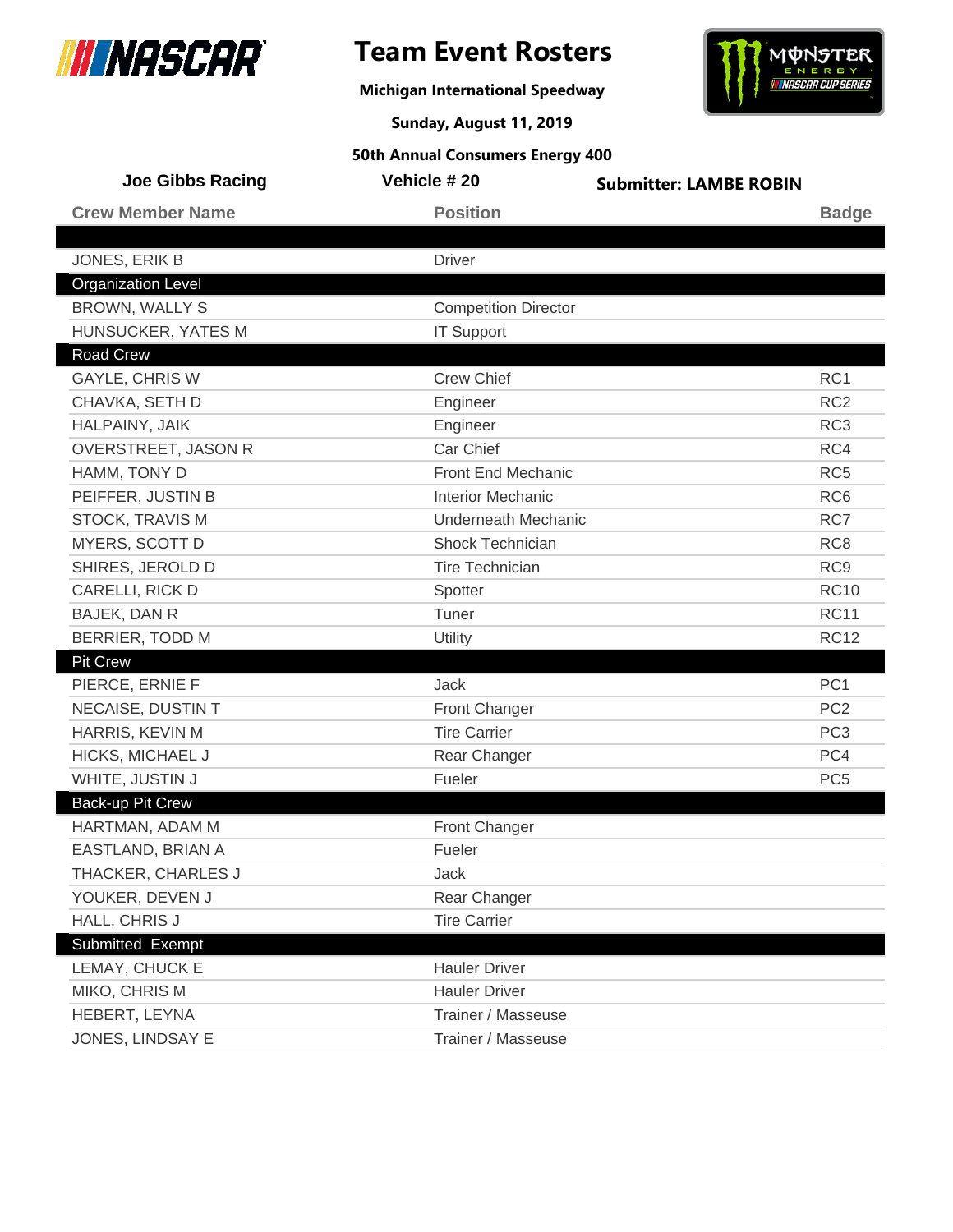

**Michigan International Speedway**



**Sunday, August 11, 2019**

| <b>Joe Gibbs Racing</b>   | Vehicle # 20                | <b>Submitter: LAMBE ROBIN</b> |
|---------------------------|-----------------------------|-------------------------------|
| <b>Crew Member Name</b>   | <b>Position</b>             | <b>Badge</b>                  |
|                           |                             |                               |
| JONES, ERIK B             | <b>Driver</b>               |                               |
| <b>Organization Level</b> |                             |                               |
| <b>BROWN, WALLY S</b>     | <b>Competition Director</b> |                               |
| HUNSUCKER, YATES M        | <b>IT Support</b>           |                               |
| <b>Road Crew</b>          |                             |                               |
| <b>GAYLE, CHRIS W</b>     | <b>Crew Chief</b>           | RC <sub>1</sub>               |
| CHAVKA, SETH D            | Engineer                    | RC <sub>2</sub>               |
| HALPAINY, JAIK            | Engineer                    | RC <sub>3</sub>               |
| OVERSTREET, JASON R       | Car Chief                   | RC4                           |
| HAMM, TONY D              | Front End Mechanic          | RC <sub>5</sub>               |
| PEIFFER, JUSTIN B         | <b>Interior Mechanic</b>    | RC <sub>6</sub>               |
| STOCK, TRAVIS M           | <b>Underneath Mechanic</b>  | RC7                           |
| MYERS, SCOTT D            | Shock Technician            | RC <sub>8</sub>               |
| SHIRES, JEROLD D          | <b>Tire Technician</b>      | RC <sub>9</sub>               |
| CARELLI, RICK D           | Spotter                     | <b>RC10</b>                   |
| BAJEK, DAN R              | Tuner                       | <b>RC11</b>                   |
| <b>BERRIER, TODD M</b>    | Utility                     | <b>RC12</b>                   |
| <b>Pit Crew</b>           |                             |                               |
| PIERCE, ERNIE F           | Jack                        | PC <sub>1</sub>               |
| NECAISE, DUSTIN T         | <b>Front Changer</b>        | PC <sub>2</sub>               |
| HARRIS, KEVIN M           | <b>Tire Carrier</b>         | PC <sub>3</sub>               |
| <b>HICKS, MICHAEL J</b>   | Rear Changer                | PC4                           |
| WHITE, JUSTIN J           | Fueler                      | PC <sub>5</sub>               |
| Back-up Pit Crew          |                             |                               |
| HARTMAN, ADAM M           | Front Changer               |                               |
| EASTLAND, BRIAN A         | Fueler                      |                               |
| THACKER, CHARLES J        | Jack                        |                               |
| YOUKER, DEVEN J           | Rear Changer                |                               |
| HALL, CHRIS J             | <b>Tire Carrier</b>         |                               |
| Submitted Exempt          |                             |                               |
| LEMAY, CHUCK E            | <b>Hauler Driver</b>        |                               |
| MIKO, CHRIS M             | <b>Hauler Driver</b>        |                               |
| HEBERT, LEYNA             | Trainer / Masseuse          |                               |
| JONES, LINDSAY E          | Trainer / Masseuse          |                               |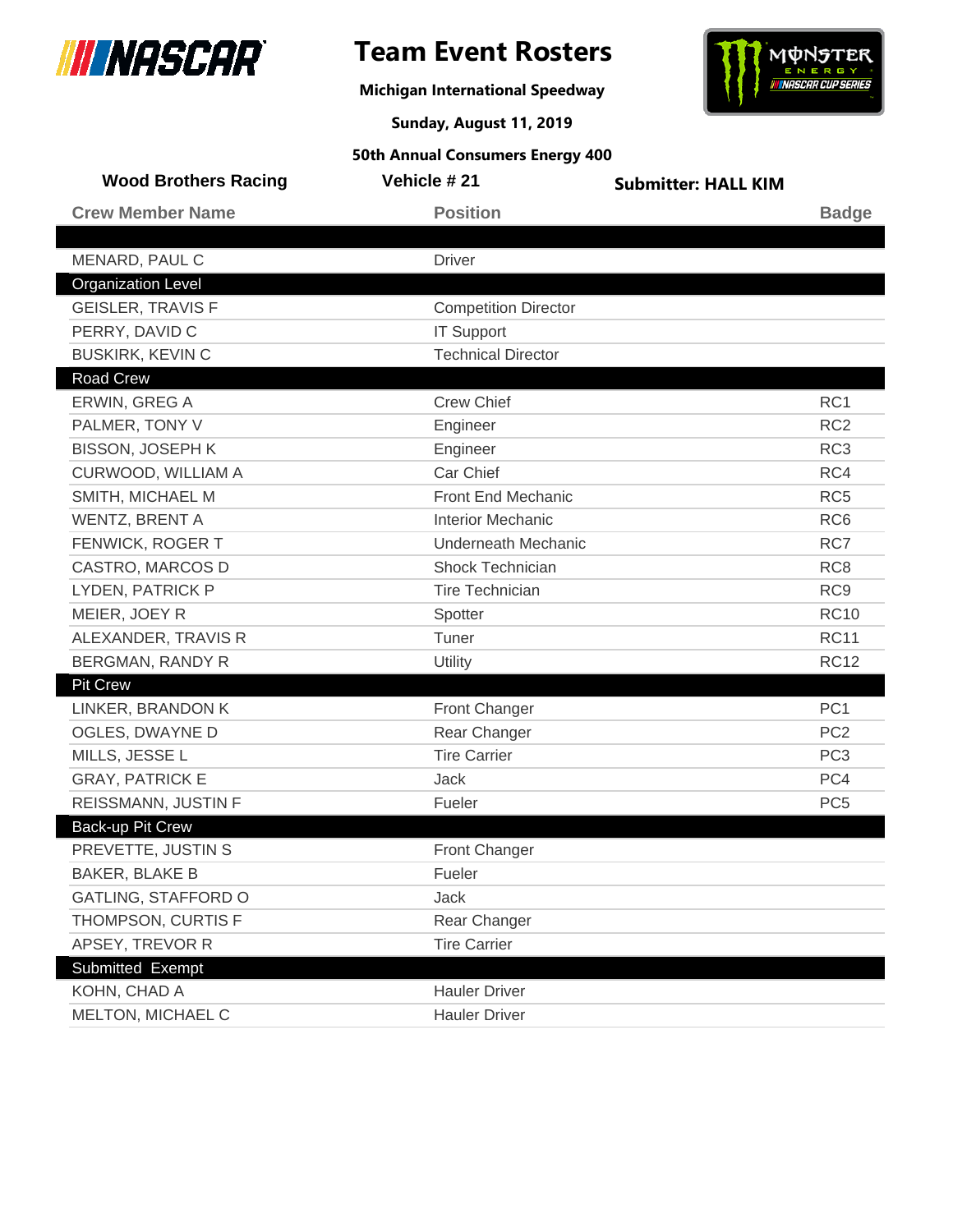

**Michigan International Speedway**



**Sunday, August 11, 2019**

| <b>Wood Brothers Racing</b> | Vehicle # 21                | <b>Submitter: HALL KIM</b> |                 |
|-----------------------------|-----------------------------|----------------------------|-----------------|
| <b>Crew Member Name</b>     | <b>Position</b>             |                            | <b>Badge</b>    |
|                             |                             |                            |                 |
| MENARD, PAUL C              | <b>Driver</b>               |                            |                 |
| <b>Organization Level</b>   |                             |                            |                 |
| <b>GEISLER, TRAVIS F</b>    | <b>Competition Director</b> |                            |                 |
| PERRY, DAVID C              | <b>IT Support</b>           |                            |                 |
| <b>BUSKIRK, KEVIN C</b>     | <b>Technical Director</b>   |                            |                 |
| <b>Road Crew</b>            |                             |                            |                 |
| ERWIN, GREG A               | <b>Crew Chief</b>           |                            | RC <sub>1</sub> |
| PALMER, TONY V              | Engineer                    |                            | RC <sub>2</sub> |
| <b>BISSON, JOSEPH K</b>     | Engineer                    |                            | RC <sub>3</sub> |
| CURWOOD, WILLIAM A          | Car Chief                   |                            | RC4             |
| SMITH, MICHAEL M            | Front End Mechanic          |                            | RC <sub>5</sub> |
| <b>WENTZ, BRENT A</b>       | <b>Interior Mechanic</b>    |                            | RC <sub>6</sub> |
| FENWICK, ROGER T            | <b>Underneath Mechanic</b>  |                            | RC7             |
| CASTRO, MARCOS D            | Shock Technician            |                            | RC <sub>8</sub> |
| LYDEN, PATRICK P            | <b>Tire Technician</b>      |                            | RC <sub>9</sub> |
| MEIER, JOEY R               | Spotter                     |                            | <b>RC10</b>     |
| ALEXANDER, TRAVIS R         | Tuner                       |                            | <b>RC11</b>     |
| <b>BERGMAN, RANDY R</b>     | Utility                     |                            | <b>RC12</b>     |
| <b>Pit Crew</b>             |                             |                            |                 |
| LINKER, BRANDON K           | <b>Front Changer</b>        |                            | PC <sub>1</sub> |
| OGLES, DWAYNE D             | Rear Changer                |                            | PC <sub>2</sub> |
| MILLS, JESSE L              | <b>Tire Carrier</b>         |                            | PC <sub>3</sub> |
| <b>GRAY, PATRICK E</b>      | Jack                        |                            | PC4             |
| REISSMANN, JUSTIN F         | Fueler                      |                            | PC <sub>5</sub> |
| <b>Back-up Pit Crew</b>     |                             |                            |                 |
| PREVETTE, JUSTIN S          | <b>Front Changer</b>        |                            |                 |
| <b>BAKER, BLAKE B</b>       | Fueler                      |                            |                 |
| <b>GATLING, STAFFORD O</b>  | Jack                        |                            |                 |
| THOMPSON, CURTIS F          | Rear Changer                |                            |                 |
| APSEY, TREVOR R             | <b>Tire Carrier</b>         |                            |                 |
| Submitted Exempt            |                             |                            |                 |
| KOHN, CHAD A                | <b>Hauler Driver</b>        |                            |                 |
| MELTON, MICHAEL C           | <b>Hauler Driver</b>        |                            |                 |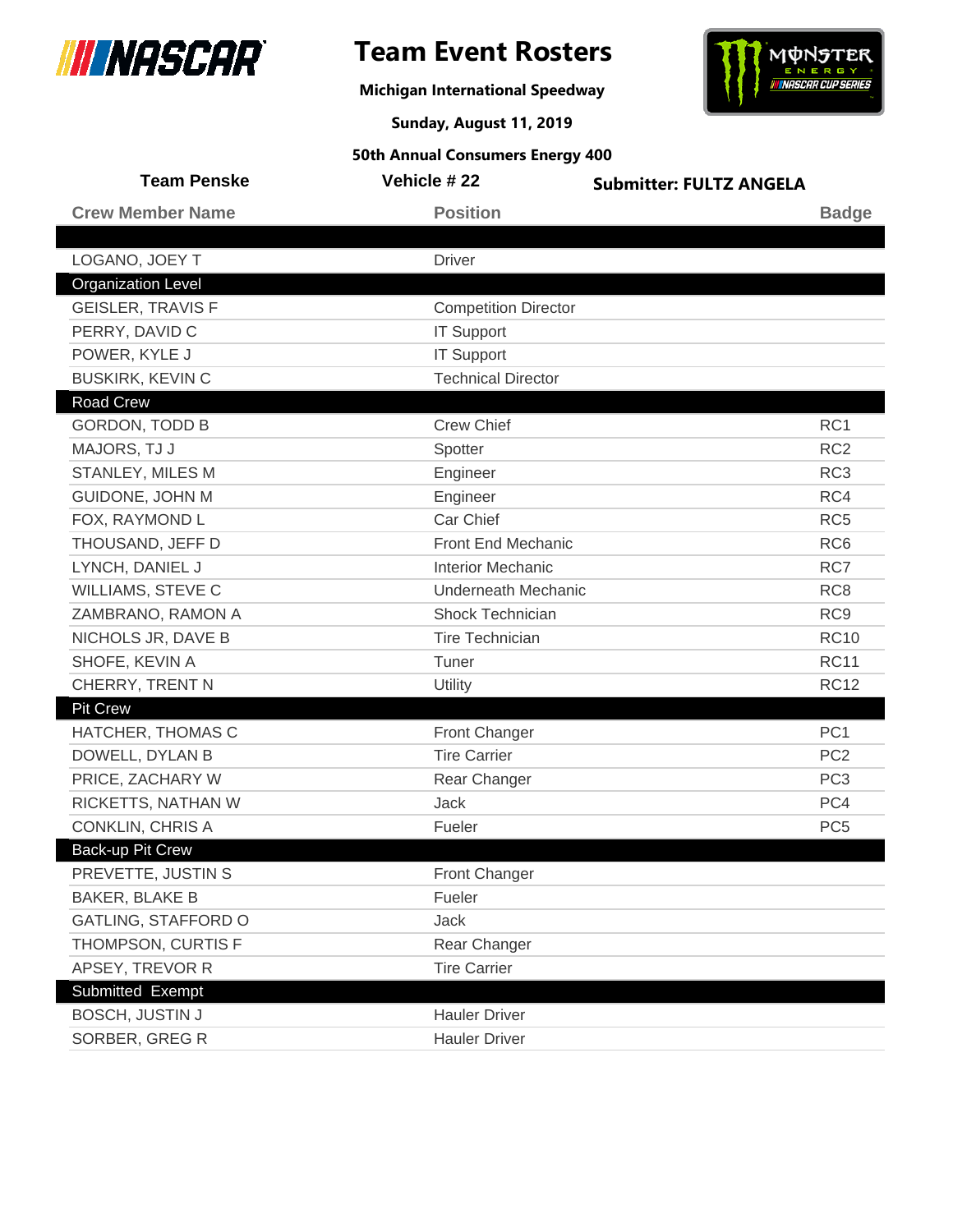

**Michigan International Speedway**



**Sunday, August 11, 2019**

| <b>Team Penske</b>        | Vehicle #22                 | <b>Submitter: FULTZ ANGELA</b> |                 |
|---------------------------|-----------------------------|--------------------------------|-----------------|
| <b>Crew Member Name</b>   | <b>Position</b>             |                                | <b>Badge</b>    |
|                           |                             |                                |                 |
| LOGANO, JOEY T            | <b>Driver</b>               |                                |                 |
| <b>Organization Level</b> |                             |                                |                 |
| <b>GEISLER, TRAVIS F</b>  | <b>Competition Director</b> |                                |                 |
| PERRY, DAVID C            | <b>IT Support</b>           |                                |                 |
| POWER, KYLE J             | <b>IT Support</b>           |                                |                 |
| <b>BUSKIRK, KEVIN C</b>   | <b>Technical Director</b>   |                                |                 |
| <b>Road Crew</b>          |                             |                                |                 |
| <b>GORDON, TODD B</b>     | <b>Crew Chief</b>           |                                | RC1             |
| MAJORS, TJ J              | Spotter                     |                                | RC <sub>2</sub> |
| STANLEY, MILES M          | Engineer                    |                                | RC <sub>3</sub> |
| GUIDONE, JOHN M           | Engineer                    |                                | RC4             |
| FOX, RAYMOND L            | Car Chief                   |                                | RC <sub>5</sub> |
| THOUSAND, JEFF D          | Front End Mechanic          |                                | RC <sub>6</sub> |
| LYNCH, DANIEL J           | <b>Interior Mechanic</b>    |                                | RC7             |
| WILLIAMS, STEVE C         | <b>Underneath Mechanic</b>  |                                | RC <sub>8</sub> |
| ZAMBRANO, RAMON A         | <b>Shock Technician</b>     |                                | RC <sub>9</sub> |
| NICHOLS JR, DAVE B        | <b>Tire Technician</b>      |                                | <b>RC10</b>     |
| SHOFE, KEVIN A            | Tuner                       |                                | <b>RC11</b>     |
| CHERRY, TRENT N           | Utility                     |                                | <b>RC12</b>     |
| <b>Pit Crew</b>           |                             |                                |                 |
| HATCHER, THOMAS C         | Front Changer               |                                | PC <sub>1</sub> |
| DOWELL, DYLAN B           | <b>Tire Carrier</b>         |                                | PC <sub>2</sub> |
| PRICE, ZACHARY W          | Rear Changer                |                                | PC <sub>3</sub> |
| RICKETTS, NATHAN W        | Jack                        |                                | PC4             |
| <b>CONKLIN, CHRIS A</b>   | Fueler                      |                                | PC <sub>5</sub> |
| Back-up Pit Crew          |                             |                                |                 |
| PREVETTE, JUSTIN S        | Front Changer               |                                |                 |
| <b>BAKER, BLAKE B</b>     | Fueler                      |                                |                 |
| GATLING, STAFFORD O       | Jack                        |                                |                 |
| THOMPSON, CURTIS F        | Rear Changer                |                                |                 |
| APSEY, TREVOR R           | <b>Tire Carrier</b>         |                                |                 |
| Submitted Exempt          |                             |                                |                 |
| <b>BOSCH, JUSTIN J</b>    | <b>Hauler Driver</b>        |                                |                 |
| SORBER, GREG R            | <b>Hauler Driver</b>        |                                |                 |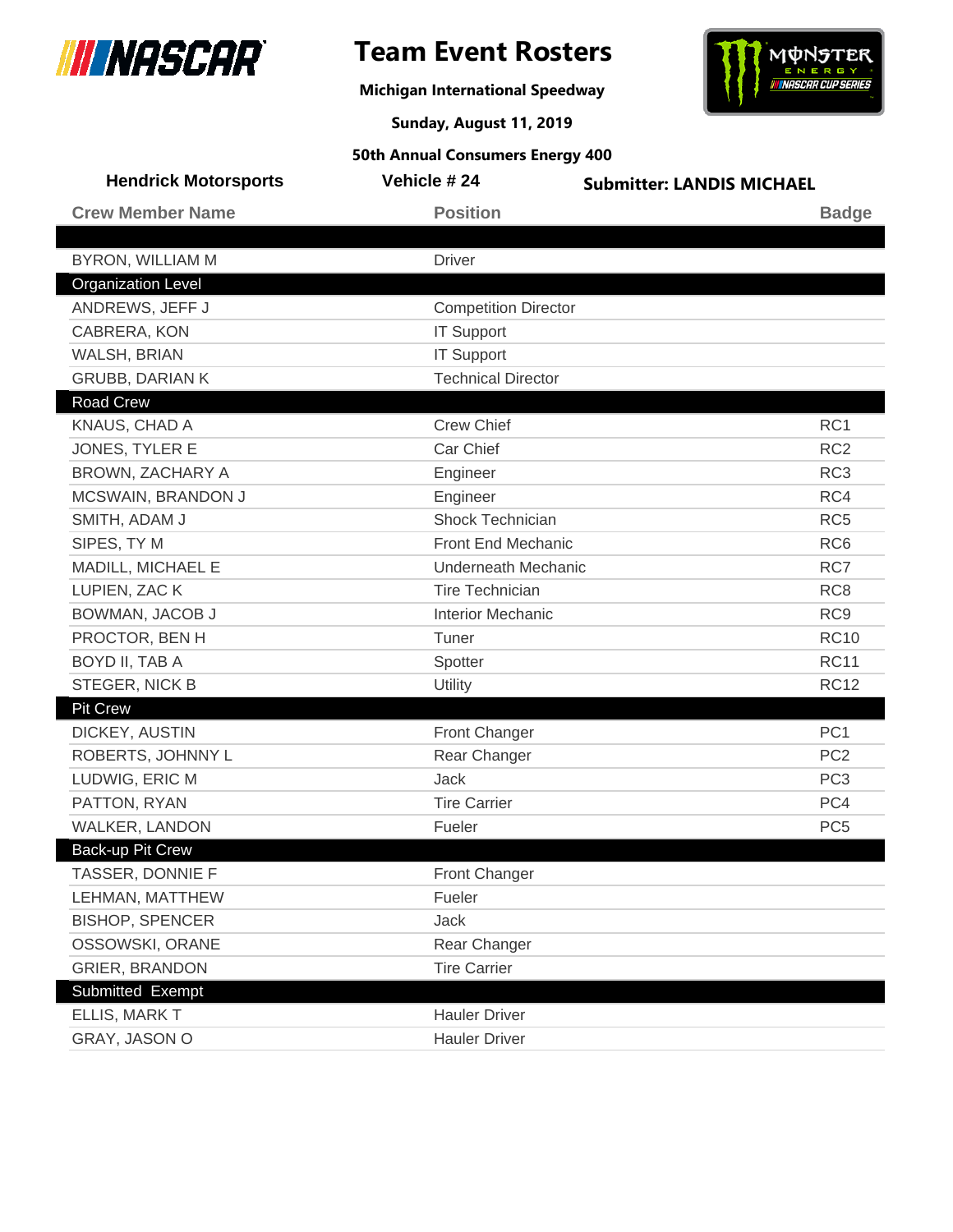

**Michigan International Speedway**



**Sunday, August 11, 2019**

| <b>Hendrick Motorsports</b> | Vehicle #24                 | <b>Submitter: LANDIS MICHAEL</b> |
|-----------------------------|-----------------------------|----------------------------------|
| <b>Crew Member Name</b>     | <b>Position</b>             | <b>Badge</b>                     |
|                             |                             |                                  |
| <b>BYRON, WILLIAM M</b>     | <b>Driver</b>               |                                  |
| <b>Organization Level</b>   |                             |                                  |
| ANDREWS, JEFF J             | <b>Competition Director</b> |                                  |
| CABRERA, KON                | <b>IT Support</b>           |                                  |
| WALSH, BRIAN                | <b>IT Support</b>           |                                  |
| <b>GRUBB, DARIAN K</b>      | <b>Technical Director</b>   |                                  |
| <b>Road Crew</b>            |                             |                                  |
| KNAUS, CHAD A               | <b>Crew Chief</b>           | RC <sub>1</sub>                  |
| JONES, TYLER E              | Car Chief                   | RC <sub>2</sub>                  |
| BROWN, ZACHARY A            | Engineer                    | RC <sub>3</sub>                  |
| MCSWAIN, BRANDON J          | Engineer                    | RC4                              |
| SMITH, ADAM J               | <b>Shock Technician</b>     | RC <sub>5</sub>                  |
| SIPES, TY M                 | Front End Mechanic          | RC <sub>6</sub>                  |
| MADILL, MICHAEL E           | <b>Underneath Mechanic</b>  | RC7                              |
| LUPIEN, ZAC K               | <b>Tire Technician</b>      | RC <sub>8</sub>                  |
| BOWMAN, JACOB J             | <b>Interior Mechanic</b>    | RC <sub>9</sub>                  |
| PROCTOR, BEN H              | Tuner                       | <b>RC10</b>                      |
| BOYD II, TAB A              | Spotter                     | <b>RC11</b>                      |
| STEGER, NICK B              | Utility                     | <b>RC12</b>                      |
| <b>Pit Crew</b>             |                             |                                  |
| DICKEY, AUSTIN              | <b>Front Changer</b>        | PC <sub>1</sub>                  |
| ROBERTS, JOHNNY L           | Rear Changer                | PC <sub>2</sub>                  |
| LUDWIG, ERIC M              | <b>Jack</b>                 | PC <sub>3</sub>                  |
| PATTON, RYAN                | <b>Tire Carrier</b>         | PC4                              |
| WALKER, LANDON              | Fueler                      | PC <sub>5</sub>                  |
| Back-up Pit Crew            |                             |                                  |
| TASSER, DONNIE F            | Front Changer               |                                  |
| LEHMAN, MATTHEW             | Fueler                      |                                  |
| <b>BISHOP, SPENCER</b>      | Jack                        |                                  |
| OSSOWSKI, ORANE             | Rear Changer                |                                  |
| <b>GRIER, BRANDON</b>       | <b>Tire Carrier</b>         |                                  |
| Submitted Exempt            |                             |                                  |
| ELLIS, MARK T               | <b>Hauler Driver</b>        |                                  |
| GRAY, JASON O               | <b>Hauler Driver</b>        |                                  |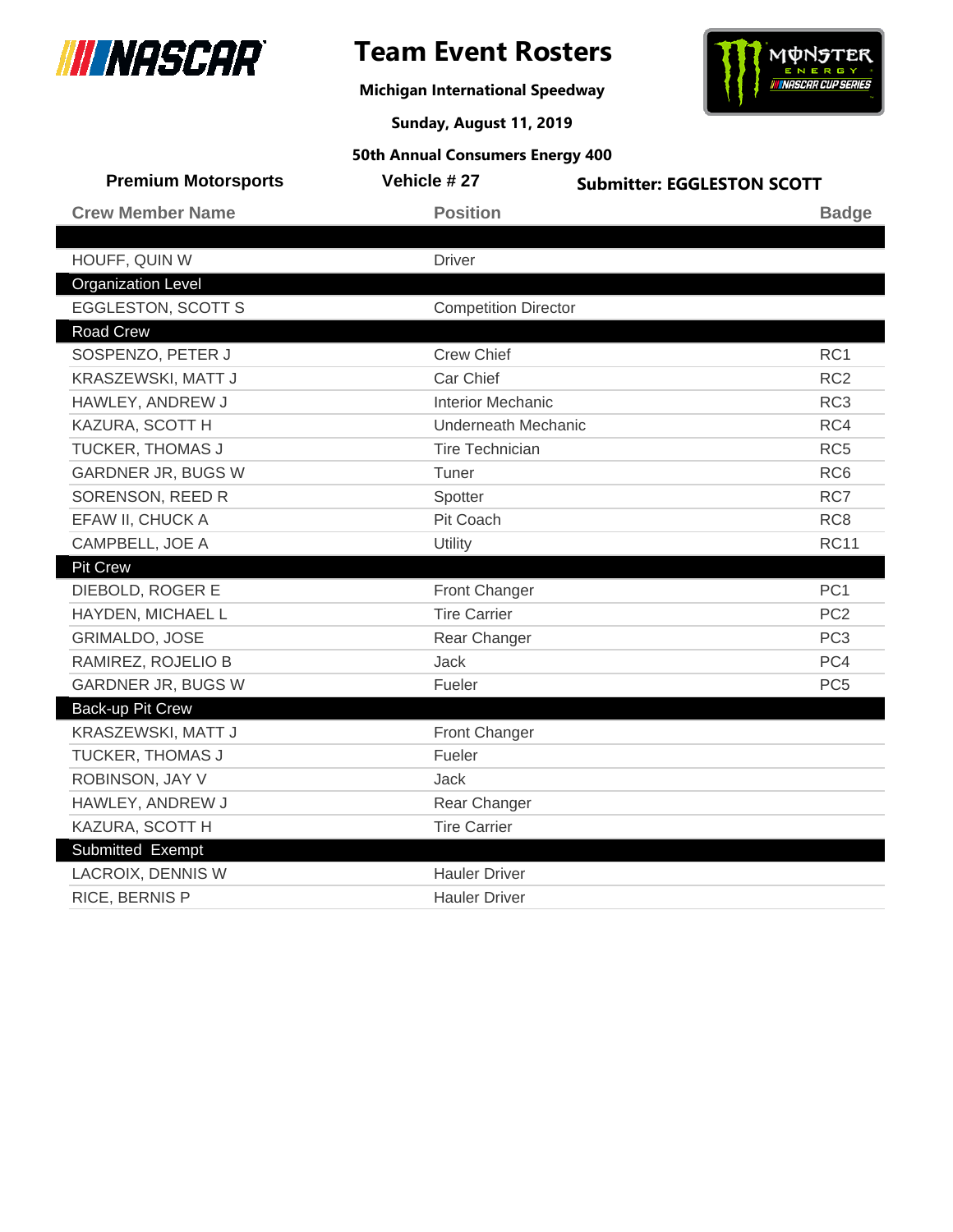

**Michigan International Speedway**



**Sunday, August 11, 2019**

| <b>Premium Motorsports</b> | Vehicle #27                 | <b>Submitter: EGGLESTON SCOTT</b> |
|----------------------------|-----------------------------|-----------------------------------|
| <b>Crew Member Name</b>    | <b>Position</b>             | <b>Badge</b>                      |
|                            |                             |                                   |
| HOUFF, QUIN W              | <b>Driver</b>               |                                   |
| <b>Organization Level</b>  |                             |                                   |
| <b>EGGLESTON, SCOTT S</b>  | <b>Competition Director</b> |                                   |
| <b>Road Crew</b>           |                             |                                   |
| SOSPENZO, PETER J          | <b>Crew Chief</b>           | RC <sub>1</sub>                   |
| KRASZEWSKI, MATT J         | Car Chief                   | RC <sub>2</sub>                   |
| HAWLEY, ANDREW J           | <b>Interior Mechanic</b>    | RC <sub>3</sub>                   |
| KAZURA, SCOTT H            | <b>Underneath Mechanic</b>  | RC4                               |
| TUCKER, THOMAS J           | <b>Tire Technician</b>      | RC <sub>5</sub>                   |
| <b>GARDNER JR, BUGS W</b>  | Tuner                       | RC <sub>6</sub>                   |
| SORENSON, REED R           | Spotter                     | RC7                               |
| EFAW II, CHUCK A           | Pit Coach                   | RC <sub>8</sub>                   |
| CAMPBELL, JOE A            | Utility                     | <b>RC11</b>                       |
| <b>Pit Crew</b>            |                             |                                   |
| DIEBOLD, ROGER E           | <b>Front Changer</b>        | PC <sub>1</sub>                   |
| HAYDEN, MICHAEL L          | <b>Tire Carrier</b>         | PC <sub>2</sub>                   |
| <b>GRIMALDO, JOSE</b>      | Rear Changer                | PC <sub>3</sub>                   |
| RAMIREZ, ROJELIO B         | <b>Jack</b>                 | PC4                               |
| GARDNER JR, BUGS W         | Fueler                      | PC <sub>5</sub>                   |
| <b>Back-up Pit Crew</b>    |                             |                                   |
| KRASZEWSKI, MATT J         | Front Changer               |                                   |
| TUCKER, THOMAS J           | Fueler                      |                                   |
| ROBINSON, JAY V            | <b>Jack</b>                 |                                   |
| HAWLEY, ANDREW J           | Rear Changer                |                                   |
| KAZURA, SCOTT H            | <b>Tire Carrier</b>         |                                   |
| Submitted Exempt           |                             |                                   |
| <b>LACROIX, DENNIS W</b>   | <b>Hauler Driver</b>        |                                   |
| RICE, BERNIS P             | <b>Hauler Driver</b>        |                                   |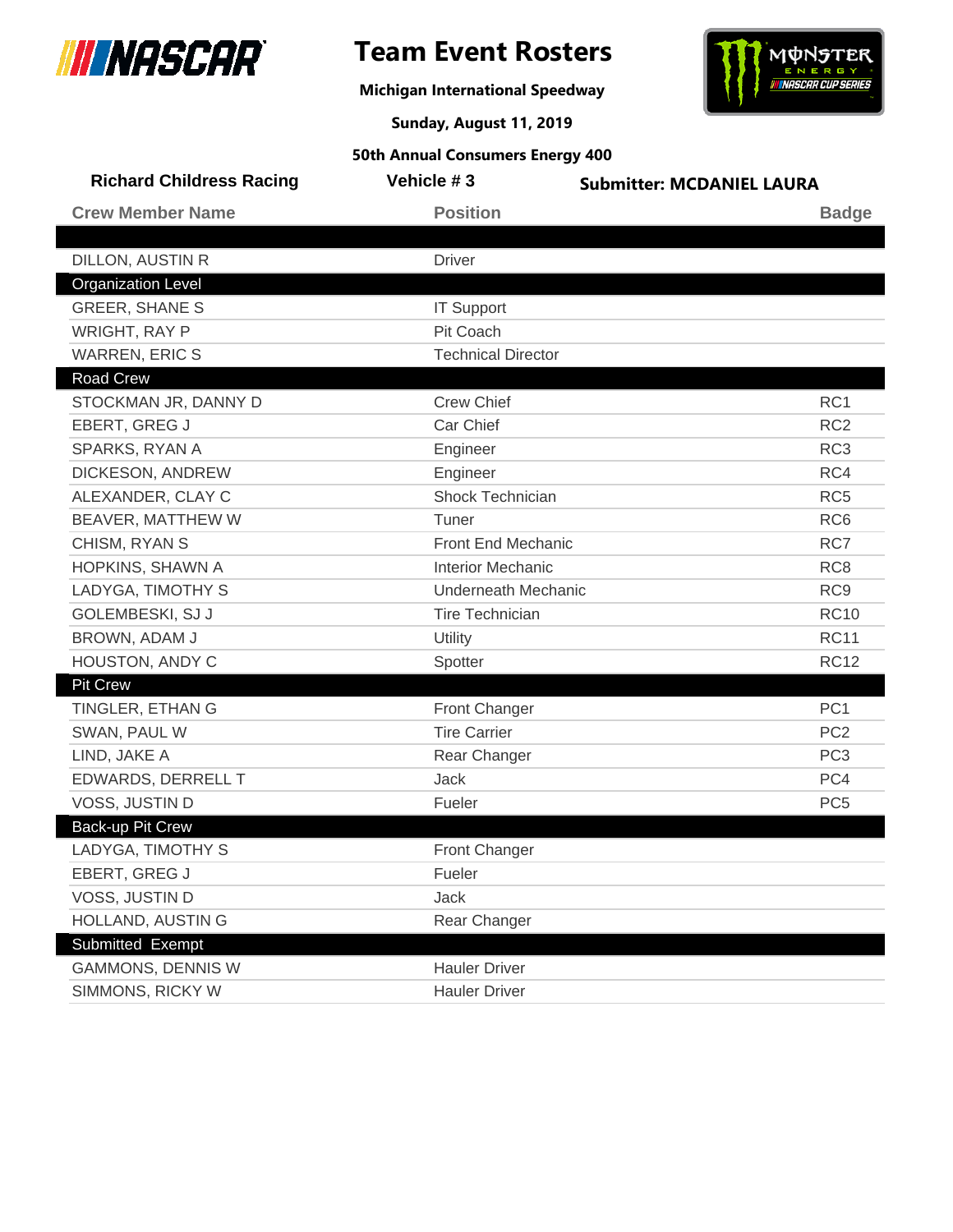

## **Team Event Rosters**

**Michigan International Speedway**



**Sunday, August 11, 2019**

| <b>Richard Childress Racing</b> | Vehicle #3                 | <b>Submitter: MCDANIEL LAURA</b> |
|---------------------------------|----------------------------|----------------------------------|
| <b>Crew Member Name</b>         | <b>Position</b>            | <b>Badge</b>                     |
|                                 |                            |                                  |
| <b>DILLON, AUSTIN R</b>         | <b>Driver</b>              |                                  |
| <b>Organization Level</b>       |                            |                                  |
| <b>GREER, SHANE S</b>           | <b>IT Support</b>          |                                  |
| <b>WRIGHT, RAY P</b>            | Pit Coach                  |                                  |
| <b>WARREN, ERIC S</b>           | <b>Technical Director</b>  |                                  |
| <b>Road Crew</b>                |                            |                                  |
| STOCKMAN JR, DANNY D            | <b>Crew Chief</b>          | RC <sub>1</sub>                  |
| EBERT, GREG J                   | Car Chief                  | RC <sub>2</sub>                  |
| SPARKS, RYAN A                  | Engineer                   | RC <sub>3</sub>                  |
| DICKESON, ANDREW                | Engineer                   | RC4                              |
| ALEXANDER, CLAY C               | Shock Technician           | RC <sub>5</sub>                  |
| BEAVER, MATTHEW W               | Tuner                      | RC <sub>6</sub>                  |
| CHISM, RYAN S                   | Front End Mechanic         | RC7                              |
| HOPKINS, SHAWN A                | <b>Interior Mechanic</b>   | RC <sub>8</sub>                  |
| LADYGA, TIMOTHY S               | <b>Underneath Mechanic</b> | RC <sub>9</sub>                  |
| GOLEMBESKI, SJ J                | <b>Tire Technician</b>     | <b>RC10</b>                      |
| BROWN, ADAM J                   | Utility                    | <b>RC11</b>                      |
| HOUSTON, ANDY C                 | Spotter                    | <b>RC12</b>                      |
| <b>Pit Crew</b>                 |                            |                                  |
| TINGLER, ETHAN G                | Front Changer              | PC <sub>1</sub>                  |
| SWAN, PAUL W                    | <b>Tire Carrier</b>        | PC <sub>2</sub>                  |
| LIND, JAKE A                    | Rear Changer               | PC <sub>3</sub>                  |
| EDWARDS, DERRELL T              | <b>Jack</b>                | PC4                              |
| VOSS, JUSTIN D                  | Fueler                     | PC <sub>5</sub>                  |
| <b>Back-up Pit Crew</b>         |                            |                                  |
| LADYGA, TIMOTHY S               | <b>Front Changer</b>       |                                  |
| EBERT, GREG J                   | Fueler                     |                                  |
| VOSS, JUSTIN D                  | <b>Jack</b>                |                                  |
| HOLLAND, AUSTIN G               | Rear Changer               |                                  |
| Submitted Exempt                |                            |                                  |
| <b>GAMMONS, DENNIS W</b>        | <b>Hauler Driver</b>       |                                  |
| SIMMONS, RICKY W                | <b>Hauler Driver</b>       |                                  |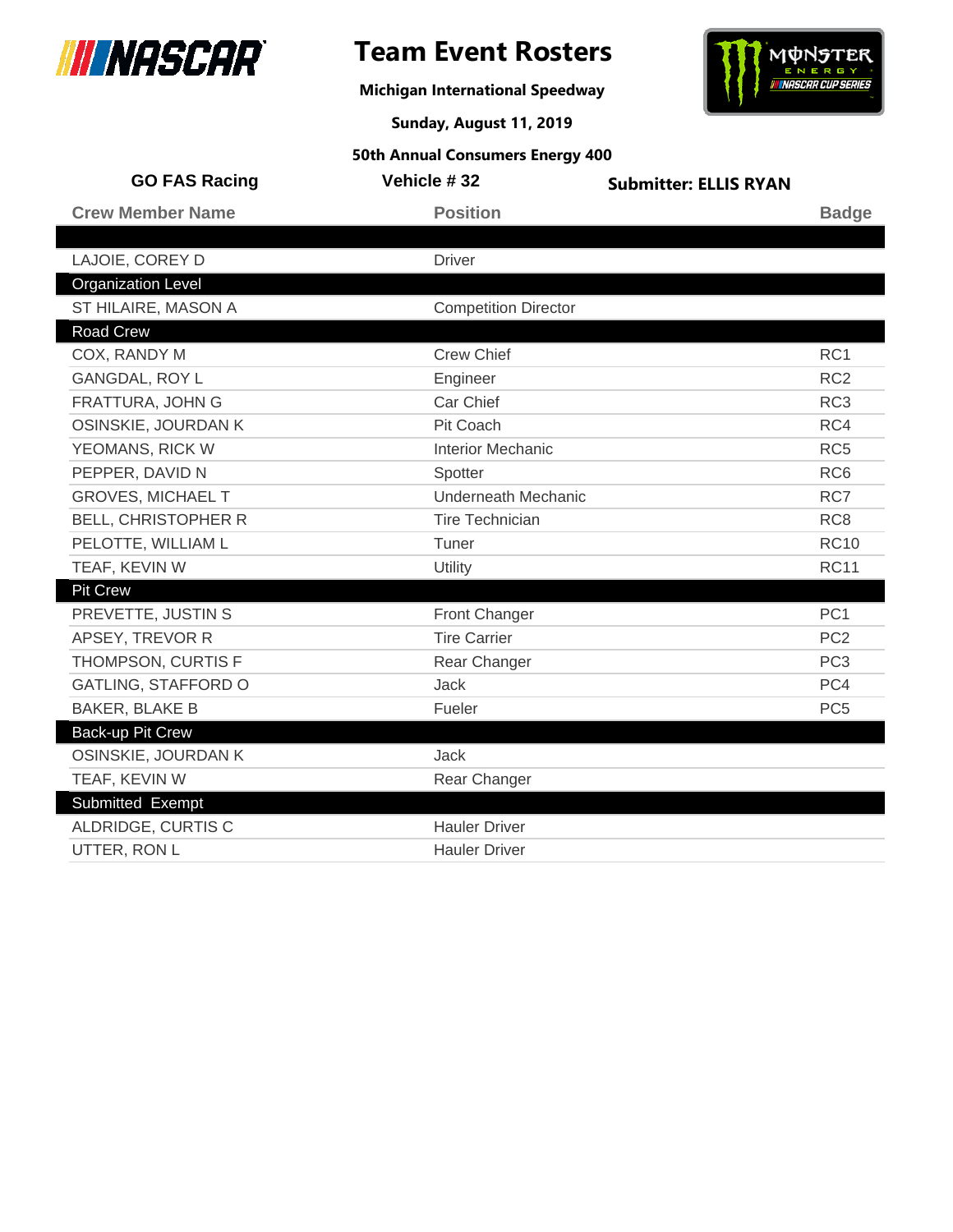

## **Team Event Rosters**

**Michigan International Speedway**



**Sunday, August 11, 2019**

| <b>GO FAS Racing</b>       | Vehicle #32                 | <b>Submitter: ELLIS RYAN</b> |                 |
|----------------------------|-----------------------------|------------------------------|-----------------|
| <b>Crew Member Name</b>    | <b>Position</b>             |                              | <b>Badge</b>    |
|                            |                             |                              |                 |
| LAJOIE, COREY D            | <b>Driver</b>               |                              |                 |
| <b>Organization Level</b>  |                             |                              |                 |
| ST HILAIRE, MASON A        | <b>Competition Director</b> |                              |                 |
| <b>Road Crew</b>           |                             |                              |                 |
| COX, RANDY M               | <b>Crew Chief</b>           |                              | RC1             |
| <b>GANGDAL, ROY L</b>      | Engineer                    |                              | RC <sub>2</sub> |
| FRATTURA, JOHN G           | Car Chief                   |                              | RC <sub>3</sub> |
| OSINSKIE, JOURDAN K        | Pit Coach                   |                              | RC4             |
| YEOMANS, RICK W            | <b>Interior Mechanic</b>    |                              | RC <sub>5</sub> |
| PEPPER, DAVID N            | Spotter                     |                              | RC <sub>6</sub> |
| <b>GROVES, MICHAEL T</b>   | <b>Underneath Mechanic</b>  |                              | RC7             |
| <b>BELL, CHRISTOPHER R</b> | <b>Tire Technician</b>      |                              | RC <sub>8</sub> |
| PELOTTE, WILLIAM L         | Tuner                       |                              | <b>RC10</b>     |
| TEAF, KEVIN W              | Utility                     |                              | <b>RC11</b>     |
| <b>Pit Crew</b>            |                             |                              |                 |
| PREVETTE, JUSTIN S         | Front Changer               |                              | PC <sub>1</sub> |
| APSEY, TREVOR R            | <b>Tire Carrier</b>         |                              | PC <sub>2</sub> |
| THOMPSON, CURTIS F         | Rear Changer                |                              | PC <sub>3</sub> |
| <b>GATLING, STAFFORD O</b> | <b>Jack</b>                 |                              | PC4             |
| <b>BAKER, BLAKE B</b>      | Fueler                      |                              | PC <sub>5</sub> |
| Back-up Pit Crew           |                             |                              |                 |
| OSINSKIE, JOURDAN K        | <b>Jack</b>                 |                              |                 |
| TEAF, KEVIN W              | Rear Changer                |                              |                 |
| Submitted Exempt           |                             |                              |                 |
| ALDRIDGE, CURTIS C         | <b>Hauler Driver</b>        |                              |                 |
| UTTER, RON L               | <b>Hauler Driver</b>        |                              |                 |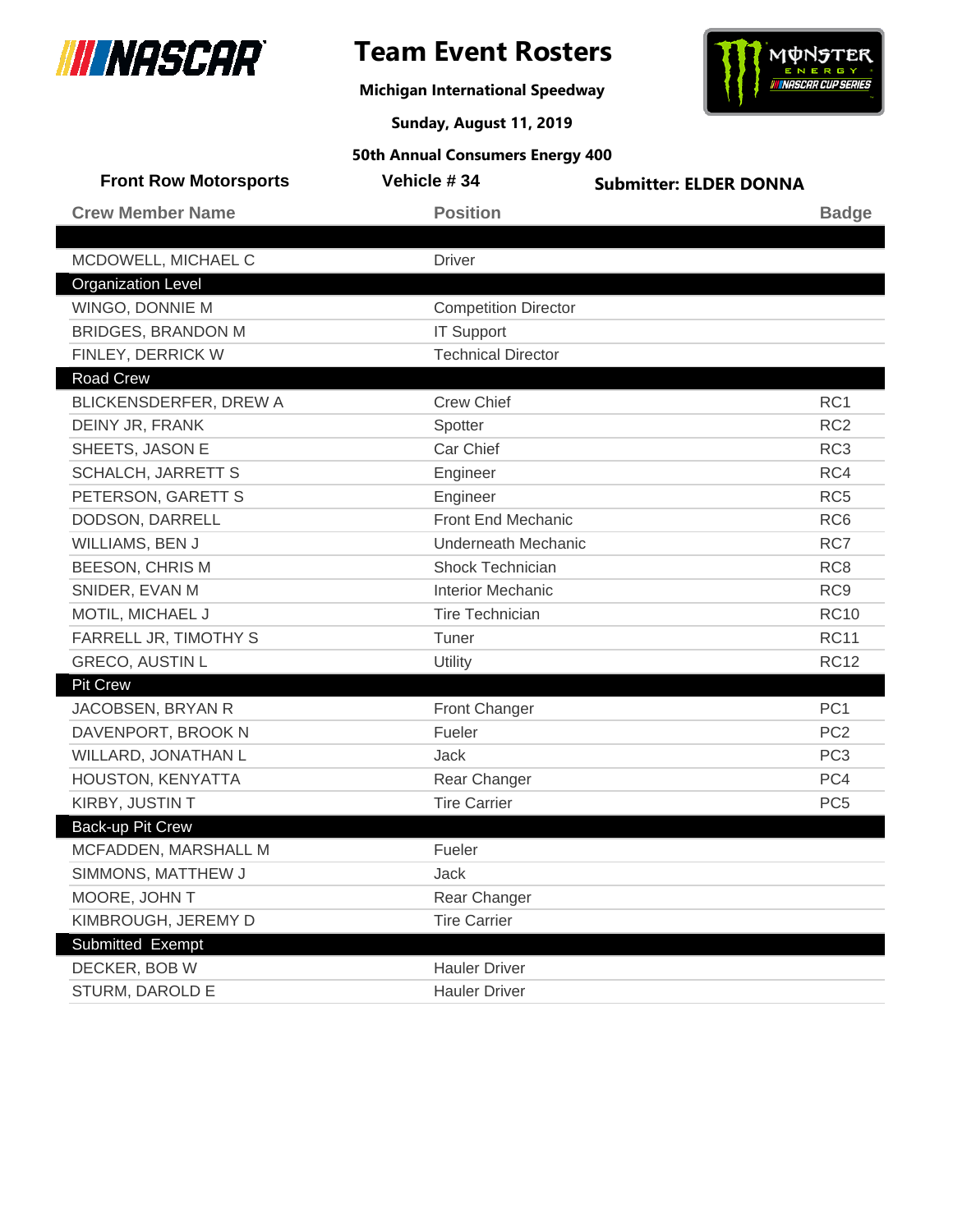

**Michigan International Speedway**



**Sunday, August 11, 2019**

| <b>Front Row Motorsports</b> | Vehicle #34                 | <b>Submitter: ELDER DONNA</b> |                 |
|------------------------------|-----------------------------|-------------------------------|-----------------|
| <b>Crew Member Name</b>      | <b>Position</b>             |                               | <b>Badge</b>    |
|                              |                             |                               |                 |
| MCDOWELL, MICHAEL C          | <b>Driver</b>               |                               |                 |
| <b>Organization Level</b>    |                             |                               |                 |
| WINGO, DONNIE M              | <b>Competition Director</b> |                               |                 |
| <b>BRIDGES, BRANDON M</b>    | <b>IT Support</b>           |                               |                 |
| FINLEY, DERRICK W            | <b>Technical Director</b>   |                               |                 |
| <b>Road Crew</b>             |                             |                               |                 |
| BLICKENSDERFER, DREW A       | <b>Crew Chief</b>           |                               | RC1             |
| DEINY JR, FRANK              | Spotter                     |                               | RC <sub>2</sub> |
| SHEETS, JASON E              | Car Chief                   |                               | RC <sub>3</sub> |
| <b>SCHALCH, JARRETT S</b>    | Engineer                    |                               | RC4             |
| PETERSON, GARETT S           | Engineer                    |                               | RC <sub>5</sub> |
| DODSON, DARRELL              | Front End Mechanic          |                               | RC <sub>6</sub> |
| WILLIAMS, BEN J              | <b>Underneath Mechanic</b>  |                               | RC7             |
| <b>BEESON, CHRIS M</b>       | <b>Shock Technician</b>     |                               | RC <sub>8</sub> |
| SNIDER, EVAN M               | <b>Interior Mechanic</b>    |                               | RC <sub>9</sub> |
| MOTIL, MICHAEL J             | <b>Tire Technician</b>      |                               | <b>RC10</b>     |
| FARRELL JR, TIMOTHY S        | Tuner                       |                               | <b>RC11</b>     |
| <b>GRECO, AUSTIN L</b>       | Utility                     |                               | <b>RC12</b>     |
| <b>Pit Crew</b>              |                             |                               |                 |
| JACOBSEN, BRYAN R            | Front Changer               |                               | PC <sub>1</sub> |
| DAVENPORT, BROOK N           | Fueler                      |                               | PC <sub>2</sub> |
| WILLARD, JONATHAN L          | Jack                        |                               | PC <sub>3</sub> |
| HOUSTON, KENYATTA            | Rear Changer                |                               | PC4             |
| KIRBY, JUSTIN T              | <b>Tire Carrier</b>         |                               | PC <sub>5</sub> |
| <b>Back-up Pit Crew</b>      |                             |                               |                 |
| MCFADDEN, MARSHALL M         | Fueler                      |                               |                 |
| SIMMONS, MATTHEW J           | Jack                        |                               |                 |
| MOORE, JOHN T                | Rear Changer                |                               |                 |
| KIMBROUGH, JEREMY D          | <b>Tire Carrier</b>         |                               |                 |
| Submitted Exempt             |                             |                               |                 |
| DECKER, BOB W                | <b>Hauler Driver</b>        |                               |                 |
| STURM, DAROLD E              | <b>Hauler Driver</b>        |                               |                 |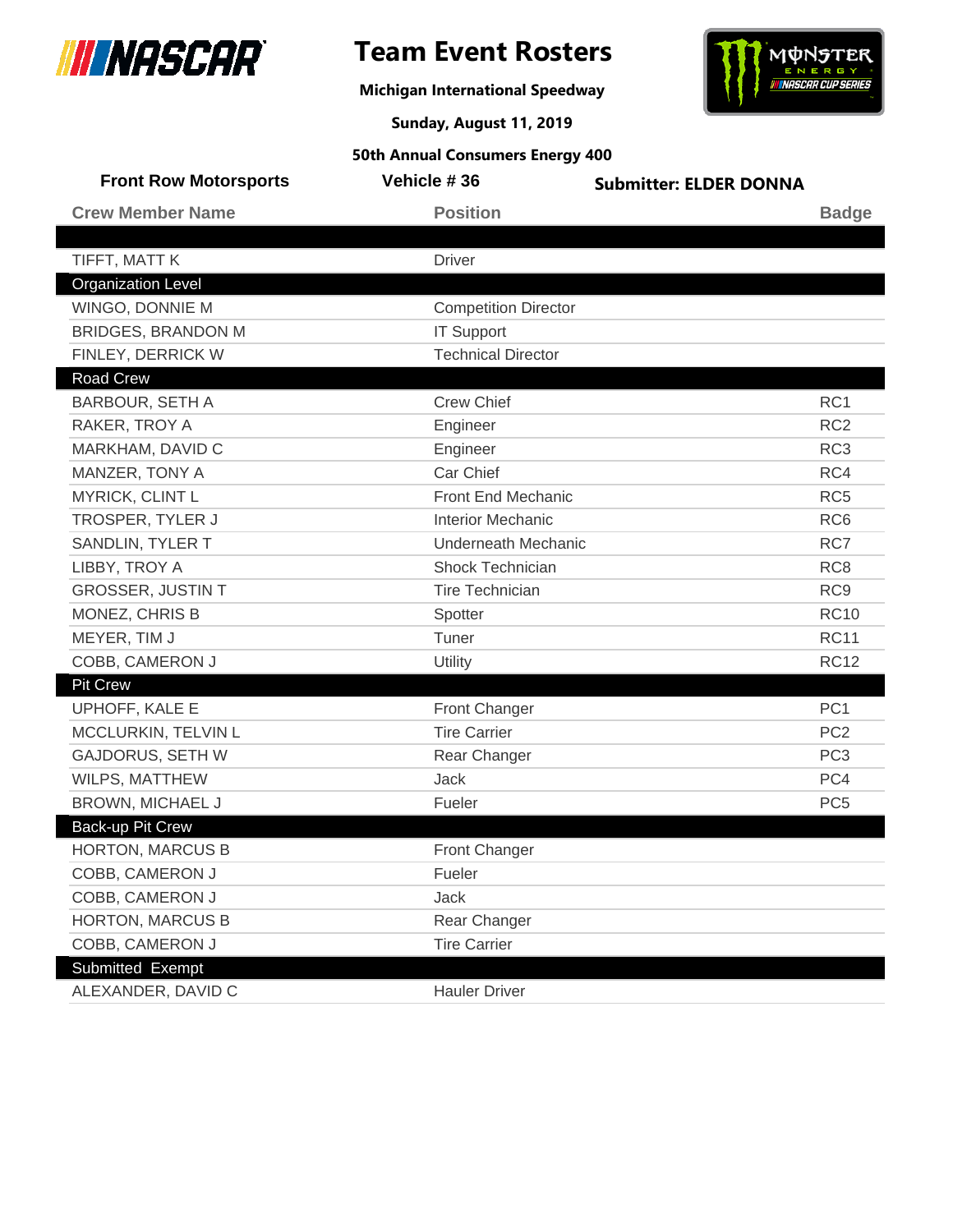

I

## **Team Event Rosters**

**Michigan International Speedway**



**Sunday, August 11, 2019**

| <b>Front Row Motorsports</b> | Vehicle #36                 | <b>Submitter: ELDER DONNA</b> |                 |
|------------------------------|-----------------------------|-------------------------------|-----------------|
| <b>Crew Member Name</b>      | <b>Position</b>             |                               | <b>Badge</b>    |
|                              |                             |                               |                 |
| TIFFT, MATT K                | <b>Driver</b>               |                               |                 |
| <b>Organization Level</b>    |                             |                               |                 |
| WINGO, DONNIE M              | <b>Competition Director</b> |                               |                 |
| <b>BRIDGES, BRANDON M</b>    | <b>IT Support</b>           |                               |                 |
| FINLEY, DERRICK W            | <b>Technical Director</b>   |                               |                 |
| <b>Road Crew</b>             |                             |                               |                 |
| <b>BARBOUR, SETH A</b>       | <b>Crew Chief</b>           |                               | RC1             |
| RAKER, TROY A                | Engineer                    |                               | RC <sub>2</sub> |
| MARKHAM, DAVID C             | Engineer                    |                               | RC <sub>3</sub> |
| MANZER, TONY A               | Car Chief                   |                               | RC4             |
| MYRICK, CLINT L              | Front End Mechanic          |                               | RC <sub>5</sub> |
| TROSPER, TYLER J             | <b>Interior Mechanic</b>    |                               | RC <sub>6</sub> |
| SANDLIN, TYLER T             | <b>Underneath Mechanic</b>  |                               | RC7             |
| LIBBY, TROY A                | <b>Shock Technician</b>     |                               | RC <sub>8</sub> |
| <b>GROSSER, JUSTIN T</b>     | <b>Tire Technician</b>      |                               | RC <sub>9</sub> |
| MONEZ, CHRIS B               | Spotter                     |                               | <b>RC10</b>     |
| MEYER, TIM J                 | Tuner                       |                               | <b>RC11</b>     |
| COBB, CAMERON J              | Utility                     |                               | <b>RC12</b>     |
| <b>Pit Crew</b>              |                             |                               |                 |
| UPHOFF, KALE E               | <b>Front Changer</b>        |                               | PC <sub>1</sub> |
| MCCLURKIN, TELVIN L          | <b>Tire Carrier</b>         |                               | PC <sub>2</sub> |
| <b>GAJDORUS, SETH W</b>      | Rear Changer                |                               | PC <sub>3</sub> |
| WILPS, MATTHEW               | Jack                        |                               | PC4             |
| BROWN, MICHAEL J             | Fueler                      |                               | PC <sub>5</sub> |
| Back-up Pit Crew             |                             |                               |                 |
| <b>HORTON, MARCUS B</b>      | <b>Front Changer</b>        |                               |                 |
| COBB, CAMERON J              | Fueler                      |                               |                 |
| COBB, CAMERON J              | Jack                        |                               |                 |
| <b>HORTON, MARCUS B</b>      | Rear Changer                |                               |                 |
| COBB, CAMERON J              | <b>Tire Carrier</b>         |                               |                 |
| Submitted Exempt             |                             |                               |                 |
| ALEXANDER, DAVID C           | <b>Hauler Driver</b>        |                               |                 |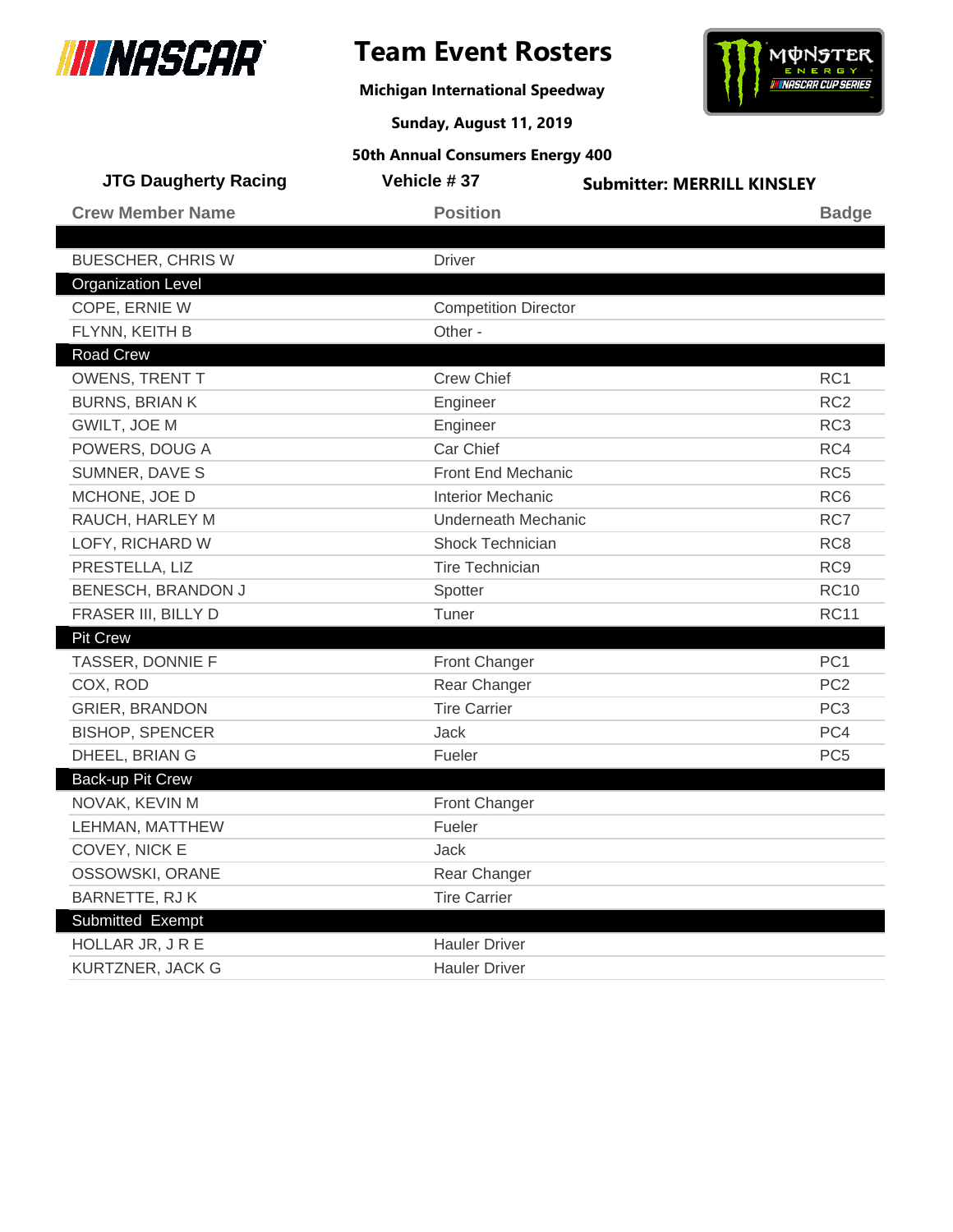

## **Team Event Rosters**

**Michigan International Speedway**



**Sunday, August 11, 2019**

| <b>JTG Daugherty Racing</b> | Vehicle #37                 | <b>Submitter: MERRILL KINSLEY</b> |
|-----------------------------|-----------------------------|-----------------------------------|
| <b>Crew Member Name</b>     | <b>Position</b>             | <b>Badge</b>                      |
| <b>BUESCHER, CHRIS W</b>    | <b>Driver</b>               |                                   |
| <b>Organization Level</b>   |                             |                                   |
| COPE, ERNIE W               | <b>Competition Director</b> |                                   |
| FLYNN, KEITH B              | Other -                     |                                   |
| <b>Road Crew</b>            |                             |                                   |
| OWENS, TRENT T              | <b>Crew Chief</b>           | RC <sub>1</sub>                   |
| <b>BURNS, BRIAN K</b>       | Engineer                    | RC <sub>2</sub>                   |
| GWILT, JOE M                | Engineer                    | RC <sub>3</sub>                   |
| POWERS, DOUG A              | Car Chief                   | RC4                               |
| SUMNER, DAVE S              | <b>Front End Mechanic</b>   | RC <sub>5</sub>                   |
| MCHONE, JOE D               | <b>Interior Mechanic</b>    | RC <sub>6</sub>                   |
| RAUCH, HARLEY M             | Underneath Mechanic         | RC7                               |
| LOFY, RICHARD W             | Shock Technician            | RC <sub>8</sub>                   |
| PRESTELLA, LIZ              | <b>Tire Technician</b>      | RC <sub>9</sub>                   |
| BENESCH, BRANDON J          | Spotter                     | <b>RC10</b>                       |
| FRASER III, BILLY D         | Tuner                       | <b>RC11</b>                       |
| <b>Pit Crew</b>             |                             |                                   |
| TASSER, DONNIE F            | <b>Front Changer</b>        | PC <sub>1</sub>                   |
| COX, ROD                    | Rear Changer                | PC <sub>2</sub>                   |
| <b>GRIER, BRANDON</b>       | <b>Tire Carrier</b>         | PC <sub>3</sub>                   |
| <b>BISHOP, SPENCER</b>      | Jack                        | PC4                               |
| DHEEL, BRIAN G              | Fueler                      | PC <sub>5</sub>                   |
| Back-up Pit Crew            |                             |                                   |
| NOVAK, KEVIN M              | <b>Front Changer</b>        |                                   |
| LEHMAN, MATTHEW             | Fueler                      |                                   |
| COVEY, NICK E               | <b>Jack</b>                 |                                   |
| OSSOWSKI, ORANE             | Rear Changer                |                                   |
| <b>BARNETTE, RJK</b>        | <b>Tire Carrier</b>         |                                   |
| Submitted Exempt            |                             |                                   |
| HOLLAR JR, JRE              | <b>Hauler Driver</b>        |                                   |
| KURTZNER, JACK G            | <b>Hauler Driver</b>        |                                   |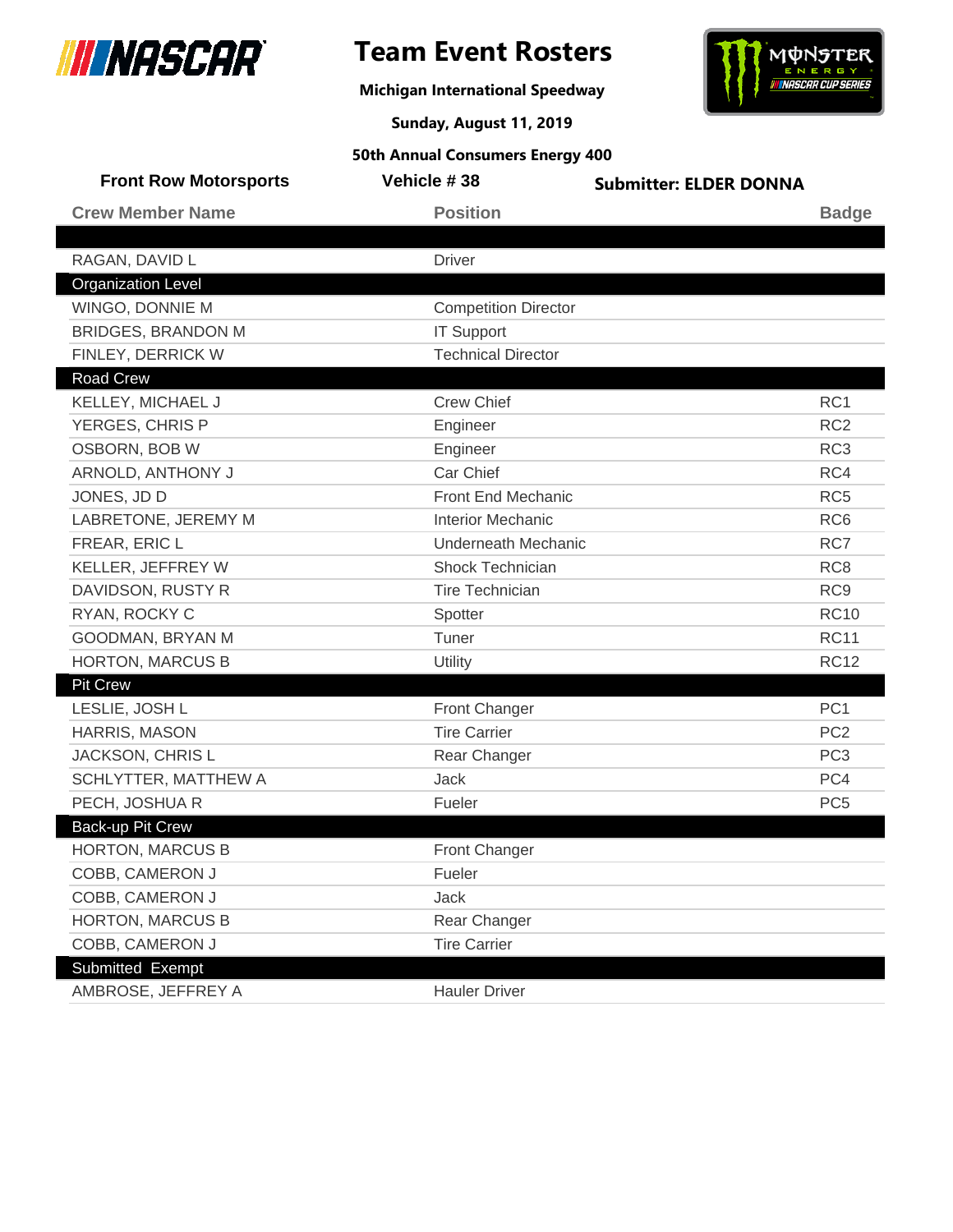

 $\overline{\phantom{a}}$ 

## **Team Event Rosters**

**Michigan International Speedway**



**Sunday, August 11, 2019**

| <b>Front Row Motorsports</b> | Vehicle #38                 | <b>Submitter: ELDER DONNA</b> |                 |
|------------------------------|-----------------------------|-------------------------------|-----------------|
| <b>Crew Member Name</b>      | <b>Position</b>             |                               | <b>Badge</b>    |
|                              |                             |                               |                 |
| RAGAN, DAVID L               | <b>Driver</b>               |                               |                 |
| <b>Organization Level</b>    |                             |                               |                 |
| WINGO, DONNIE M              | <b>Competition Director</b> |                               |                 |
| <b>BRIDGES, BRANDON M</b>    | <b>IT Support</b>           |                               |                 |
| FINLEY, DERRICK W            | <b>Technical Director</b>   |                               |                 |
| <b>Road Crew</b>             |                             |                               |                 |
| KELLEY, MICHAEL J            | <b>Crew Chief</b>           |                               | RC1             |
| YERGES, CHRIS P              | Engineer                    |                               | RC <sub>2</sub> |
| OSBORN, BOB W                | Engineer                    |                               | RC <sub>3</sub> |
| ARNOLD, ANTHONY J            | Car Chief                   |                               | RC4             |
| JONES, JD D                  | <b>Front End Mechanic</b>   |                               | RC <sub>5</sub> |
| LABRETONE, JEREMY M          | <b>Interior Mechanic</b>    |                               | RC <sub>6</sub> |
| FREAR, ERIC L                | <b>Underneath Mechanic</b>  |                               | RC7             |
| KELLER, JEFFREY W            | <b>Shock Technician</b>     |                               | RC <sub>8</sub> |
| DAVIDSON, RUSTY R            | <b>Tire Technician</b>      |                               | RC <sub>9</sub> |
| RYAN, ROCKY C                | Spotter                     |                               | <b>RC10</b>     |
| GOODMAN, BRYAN M             | Tuner                       |                               | <b>RC11</b>     |
| <b>HORTON, MARCUS B</b>      | Utility                     |                               | <b>RC12</b>     |
| <b>Pit Crew</b>              |                             |                               |                 |
| LESLIE, JOSH L               | <b>Front Changer</b>        |                               | PC <sub>1</sub> |
| HARRIS, MASON                | <b>Tire Carrier</b>         |                               | PC <sub>2</sub> |
| <b>JACKSON, CHRIS L</b>      | Rear Changer                |                               | PC <sub>3</sub> |
| SCHLYTTER, MATTHEW A         | Jack                        |                               | PC4             |
| PECH, JOSHUA R               | Fueler                      |                               | PC <sub>5</sub> |
| Back-up Pit Crew             |                             |                               |                 |
| <b>HORTON, MARCUS B</b>      | <b>Front Changer</b>        |                               |                 |
| COBB, CAMERON J              | Fueler                      |                               |                 |
| COBB, CAMERON J              | Jack                        |                               |                 |
| <b>HORTON, MARCUS B</b>      | Rear Changer                |                               |                 |
| COBB, CAMERON J              | <b>Tire Carrier</b>         |                               |                 |
| Submitted Exempt             |                             |                               |                 |
| AMBROSE, JEFFREY A           | <b>Hauler Driver</b>        |                               |                 |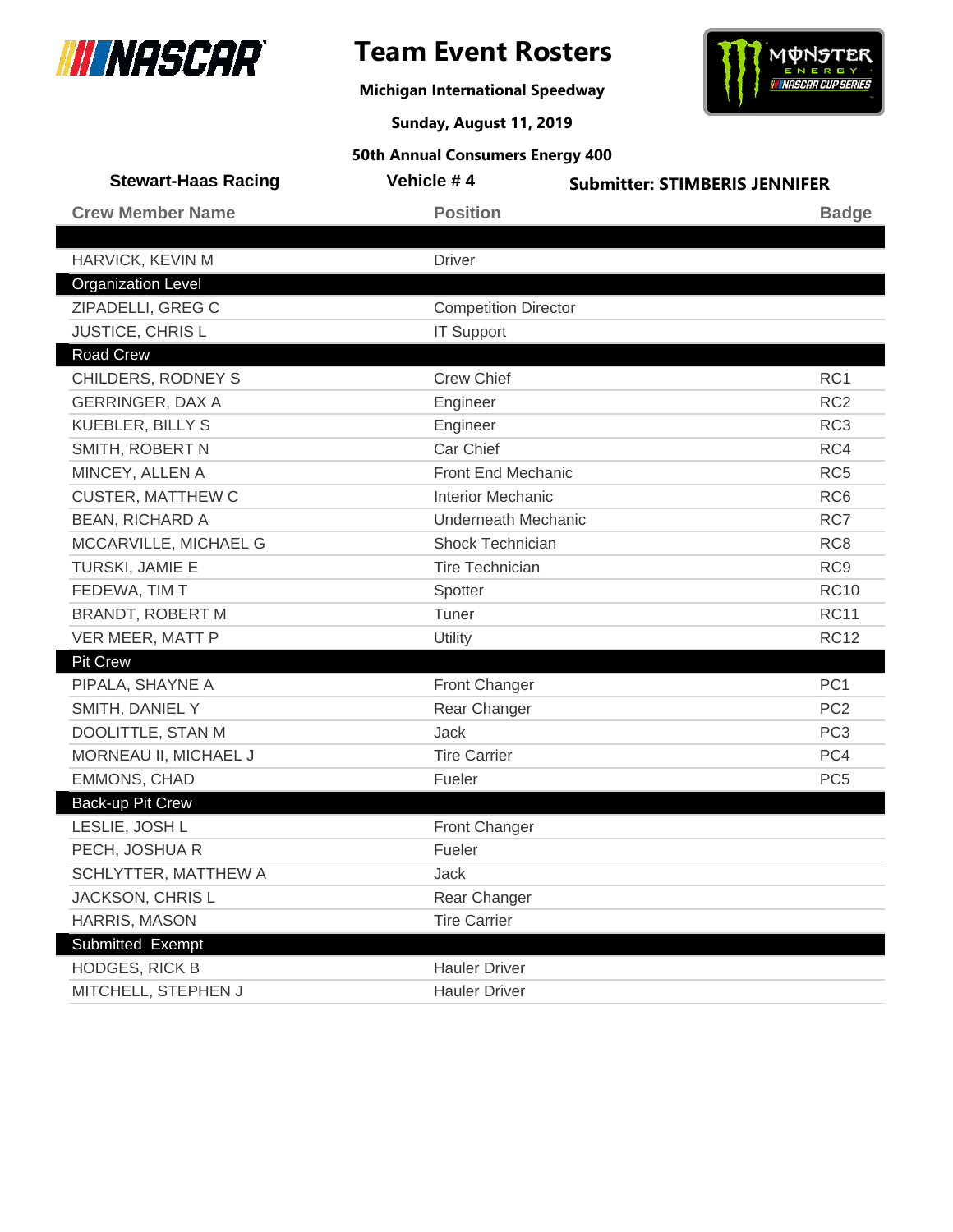

## **Team Event Rosters**

**Michigan International Speedway**



**Sunday, August 11, 2019**

| <b>Stewart-Haas Racing</b> | Vehicle #4                  | <b>Submitter: STIMBERIS JENNIFER</b> |  |
|----------------------------|-----------------------------|--------------------------------------|--|
| <b>Crew Member Name</b>    | <b>Position</b>             | <b>Badge</b>                         |  |
|                            |                             |                                      |  |
| HARVICK, KEVIN M           | <b>Driver</b>               |                                      |  |
| <b>Organization Level</b>  |                             |                                      |  |
| ZIPADELLI, GREG C          | <b>Competition Director</b> |                                      |  |
| JUSTICE, CHRIS L           | <b>IT Support</b>           |                                      |  |
| Road Crew                  |                             |                                      |  |
| CHILDERS, RODNEY S         | <b>Crew Chief</b>           | RC1                                  |  |
| <b>GERRINGER, DAX A</b>    | Engineer                    | RC <sub>2</sub>                      |  |
| <b>KUEBLER, BILLY S</b>    | Engineer                    | RC <sub>3</sub>                      |  |
| SMITH, ROBERT N            | Car Chief                   | RC4                                  |  |
| MINCEY, ALLEN A            | Front End Mechanic          | RC <sub>5</sub>                      |  |
| <b>CUSTER, MATTHEW C</b>   | <b>Interior Mechanic</b>    | RC <sub>6</sub>                      |  |
| <b>BEAN, RICHARD A</b>     | <b>Underneath Mechanic</b>  | RC7                                  |  |
| MCCARVILLE, MICHAEL G      | Shock Technician            | RC <sub>8</sub>                      |  |
| TURSKI, JAMIE E            | <b>Tire Technician</b>      | RC <sub>9</sub>                      |  |
| FEDEWA, TIM T              | Spotter                     | <b>RC10</b>                          |  |
| <b>BRANDT, ROBERT M</b>    | Tuner                       | <b>RC11</b>                          |  |
| VER MEER, MATT P           | Utility                     | <b>RC12</b>                          |  |
| <b>Pit Crew</b>            |                             |                                      |  |
| PIPALA, SHAYNE A           | Front Changer               | PC <sub>1</sub>                      |  |
| SMITH, DANIEL Y            | Rear Changer                | PC <sub>2</sub>                      |  |
| DOOLITTLE, STAN M          | <b>Jack</b>                 | PC <sub>3</sub>                      |  |
| MORNEAU II, MICHAEL J      | <b>Tire Carrier</b>         | PC4                                  |  |
| <b>EMMONS, CHAD</b>        | Fueler                      | PC <sub>5</sub>                      |  |
| Back-up Pit Crew           |                             |                                      |  |
| LESLIE, JOSH L             | Front Changer               |                                      |  |
| PECH, JOSHUA R             | Fueler                      |                                      |  |
| SCHLYTTER, MATTHEW A       | Jack                        |                                      |  |
| JACKSON, CHRIS L           | Rear Changer                |                                      |  |
| HARRIS, MASON              | <b>Tire Carrier</b>         |                                      |  |
| Submitted Exempt           |                             |                                      |  |
| <b>HODGES, RICK B</b>      | <b>Hauler Driver</b>        |                                      |  |
| MITCHELL, STEPHEN J        | <b>Hauler Driver</b>        |                                      |  |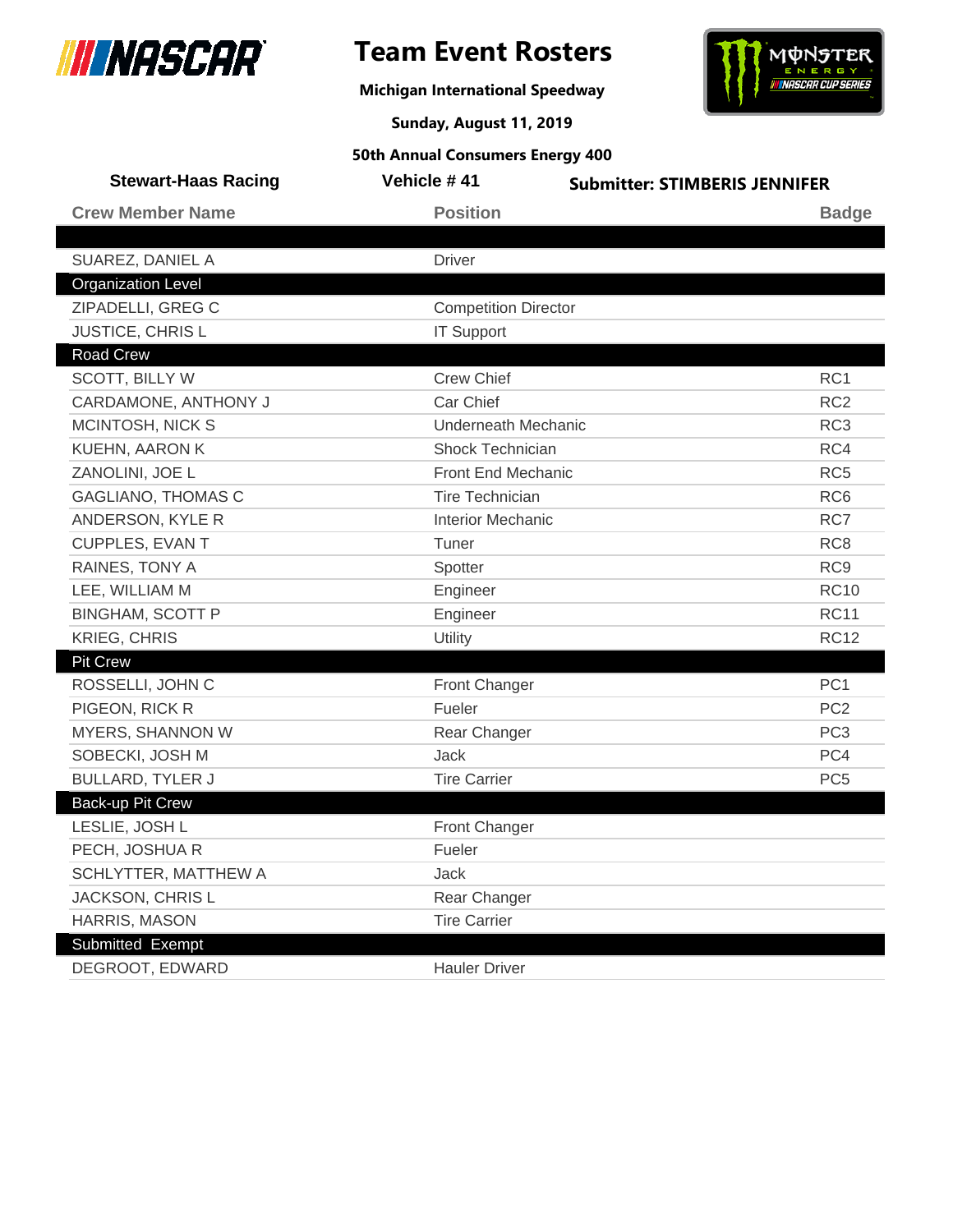

## **Team Event Rosters**

**Michigan International Speedway**



**Sunday, August 11, 2019**

| <b>Stewart-Haas Racing</b> | Vehicle #41                 | <b>Submitter: STIMBERIS JENNIFER</b> |
|----------------------------|-----------------------------|--------------------------------------|
| <b>Crew Member Name</b>    | <b>Position</b>             | <b>Badge</b>                         |
|                            |                             |                                      |
| SUAREZ, DANIEL A           | <b>Driver</b>               |                                      |
| <b>Organization Level</b>  |                             |                                      |
| ZIPADELLI, GREG C          | <b>Competition Director</b> |                                      |
| JUSTICE, CHRIS L           | <b>IT Support</b>           |                                      |
| <b>Road Crew</b>           |                             |                                      |
| <b>SCOTT, BILLY W</b>      | <b>Crew Chief</b>           | RC <sub>1</sub>                      |
| CARDAMONE, ANTHONY J       | Car Chief                   | RC <sub>2</sub>                      |
| MCINTOSH, NICK S           | Underneath Mechanic         | RC <sub>3</sub>                      |
| KUEHN, AARON K             | Shock Technician            | RC4                                  |
| ZANOLINI, JOE L            | Front End Mechanic          | RC <sub>5</sub>                      |
| <b>GAGLIANO, THOMAS C</b>  | <b>Tire Technician</b>      | RC <sub>6</sub>                      |
| ANDERSON, KYLE R           | <b>Interior Mechanic</b>    | RC7                                  |
| CUPPLES, EVAN T            | Tuner                       | RC <sub>8</sub>                      |
| RAINES, TONY A             | Spotter                     | RC <sub>9</sub>                      |
| LEE, WILLIAM M             | Engineer                    | <b>RC10</b>                          |
| <b>BINGHAM, SCOTT P</b>    | Engineer                    | <b>RC11</b>                          |
| <b>KRIEG, CHRIS</b>        | Utility                     | <b>RC12</b>                          |
| Pit Crew                   |                             |                                      |
| ROSSELLI, JOHN C           | Front Changer               | PC <sub>1</sub>                      |
| PIGEON, RICK R             | Fueler                      | PC <sub>2</sub>                      |
| MYERS, SHANNON W           | Rear Changer                | PC <sub>3</sub>                      |
| SOBECKI, JOSH M            | <b>Jack</b>                 | PC4                                  |
| <b>BULLARD, TYLER J</b>    | <b>Tire Carrier</b>         | PC <sub>5</sub>                      |
| Back-up Pit Crew           |                             |                                      |
| LESLIE, JOSH L             | Front Changer               |                                      |
| PECH, JOSHUA R             | Fueler                      |                                      |
| SCHLYTTER, MATTHEW A       | <b>Jack</b>                 |                                      |
| JACKSON, CHRIS L           | Rear Changer                |                                      |
| <b>HARRIS, MASON</b>       | <b>Tire Carrier</b>         |                                      |
| Submitted Exempt           |                             |                                      |
| DEGROOT, EDWARD            | <b>Hauler Driver</b>        |                                      |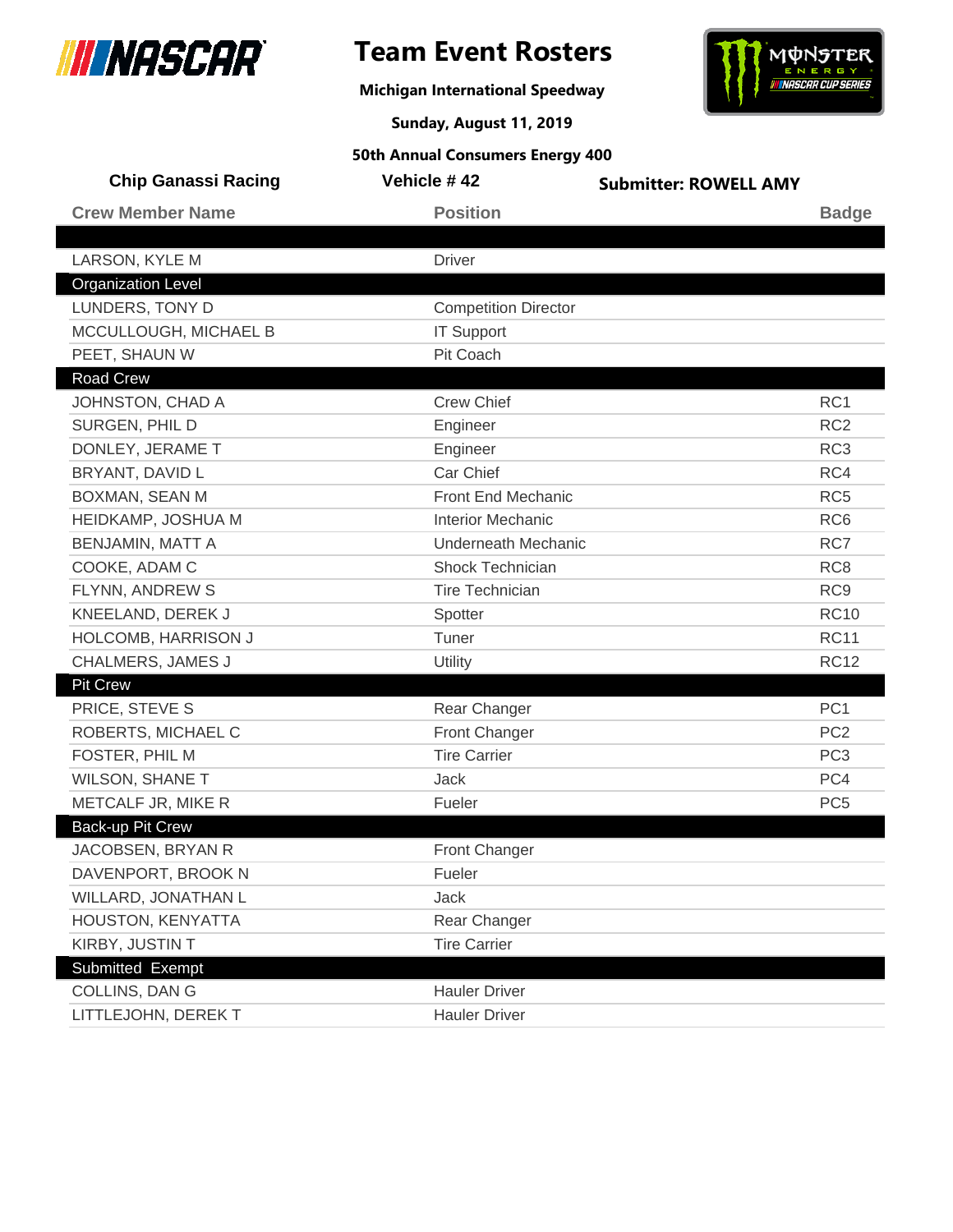

I

## **Team Event Rosters**

**Michigan International Speedway**



**Sunday, August 11, 2019**

| <b>Chip Ganassi Racing</b> | Vehicle #42                 | <b>Submitter: ROWELL AMY</b> |                 |
|----------------------------|-----------------------------|------------------------------|-----------------|
| <b>Crew Member Name</b>    | <b>Position</b>             |                              | <b>Badge</b>    |
|                            |                             |                              |                 |
| LARSON, KYLE M             | <b>Driver</b>               |                              |                 |
| <b>Organization Level</b>  |                             |                              |                 |
| LUNDERS, TONY D            | <b>Competition Director</b> |                              |                 |
| MCCULLOUGH, MICHAEL B      | <b>IT Support</b>           |                              |                 |
| PEET, SHAUN W              | Pit Coach                   |                              |                 |
| Road Crew                  |                             |                              |                 |
| JOHNSTON, CHAD A           | <b>Crew Chief</b>           |                              | RC1             |
| SURGEN, PHIL D             | Engineer                    |                              | RC <sub>2</sub> |
| DONLEY, JERAME T           | Engineer                    |                              | RC <sub>3</sub> |
| BRYANT, DAVID L            | Car Chief                   |                              | RC4             |
| BOXMAN, SEAN M             | <b>Front End Mechanic</b>   |                              | RC <sub>5</sub> |
| HEIDKAMP, JOSHUA M         | <b>Interior Mechanic</b>    |                              | RC <sub>6</sub> |
| <b>BENJAMIN, MATT A</b>    | <b>Underneath Mechanic</b>  |                              | RC7             |
| COOKE, ADAM C              | Shock Technician            |                              | RC <sub>8</sub> |
| FLYNN, ANDREW S            | <b>Tire Technician</b>      |                              | RC <sub>9</sub> |
| KNEELAND, DEREK J          | Spotter                     |                              | <b>RC10</b>     |
| HOLCOMB, HARRISON J        | Tuner                       |                              | <b>RC11</b>     |
| CHALMERS, JAMES J          | Utility                     |                              | <b>RC12</b>     |
| <b>Pit Crew</b>            |                             |                              |                 |
| PRICE, STEVE S             | Rear Changer                |                              | PC <sub>1</sub> |
| ROBERTS, MICHAEL C         | Front Changer               |                              | PC <sub>2</sub> |
| FOSTER, PHIL M             | <b>Tire Carrier</b>         |                              | PC <sub>3</sub> |
| <b>WILSON, SHANE T</b>     | Jack                        |                              | PC4             |
| METCALF JR, MIKE R         | Fueler                      |                              | PC <sub>5</sub> |
| Back-up Pit Crew           |                             |                              |                 |
| JACOBSEN, BRYAN R          | <b>Front Changer</b>        |                              |                 |
| DAVENPORT, BROOK N         | Fueler                      |                              |                 |
| WILLARD, JONATHAN L        | Jack                        |                              |                 |
| HOUSTON, KENYATTA          | Rear Changer                |                              |                 |
| KIRBY, JUSTIN T            | <b>Tire Carrier</b>         |                              |                 |
| Submitted Exempt           |                             |                              |                 |
| COLLINS, DAN G             | <b>Hauler Driver</b>        |                              |                 |
| LITTLEJOHN, DEREK T        | <b>Hauler Driver</b>        |                              |                 |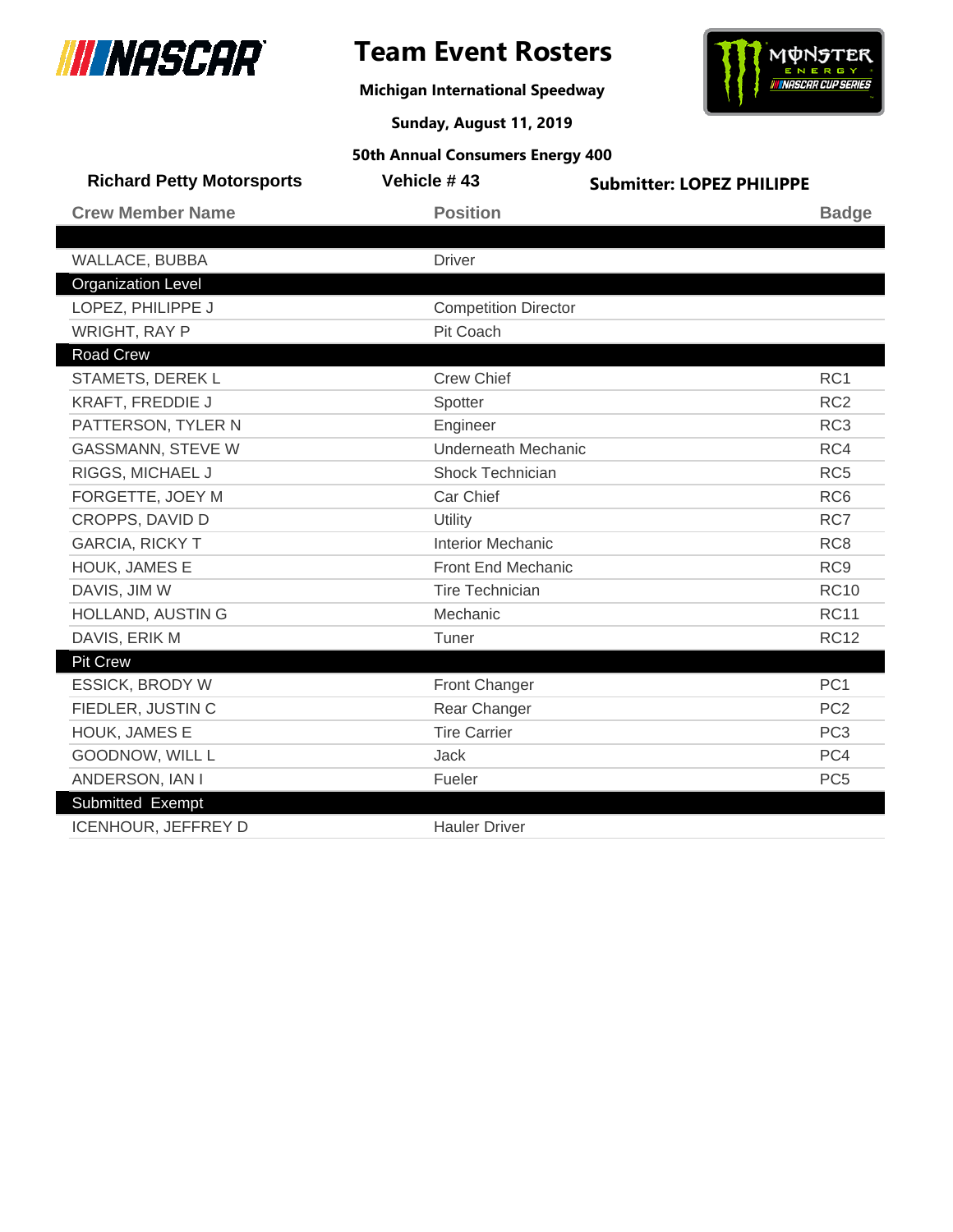

 $\overline{\phantom{a}}$ 

## **Team Event Rosters**

**Michigan International Speedway**



**Sunday, August 11, 2019**

| <b>Richard Petty Motorsports</b> | Vehicle #43                 | <b>Submitter: LOPEZ PHILIPPE</b> |
|----------------------------------|-----------------------------|----------------------------------|
| <b>Crew Member Name</b>          | <b>Position</b>             | <b>Badge</b>                     |
|                                  |                             |                                  |
| WALLACE, BUBBA                   | <b>Driver</b>               |                                  |
| <b>Organization Level</b>        |                             |                                  |
| LOPEZ, PHILIPPE J                | <b>Competition Director</b> |                                  |
| WRIGHT, RAY P                    | Pit Coach                   |                                  |
| <b>Road Crew</b>                 |                             |                                  |
| STAMETS, DEREK L                 | <b>Crew Chief</b>           | RC <sub>1</sub>                  |
| KRAFT, FREDDIE J                 | Spotter                     | RC <sub>2</sub>                  |
| PATTERSON, TYLER N               | Engineer                    | RC <sub>3</sub>                  |
| <b>GASSMANN, STEVE W</b>         | <b>Underneath Mechanic</b>  | RC4                              |
| RIGGS, MICHAEL J                 | <b>Shock Technician</b>     | RC <sub>5</sub>                  |
| FORGETTE, JOEY M                 | Car Chief                   | RC <sub>6</sub>                  |
| CROPPS, DAVID D                  | Utility                     | RC7                              |
| <b>GARCIA, RICKY T</b>           | <b>Interior Mechanic</b>    | RC <sub>8</sub>                  |
| HOUK, JAMES E                    | <b>Front End Mechanic</b>   | RC <sub>9</sub>                  |
| DAVIS, JIM W                     | <b>Tire Technician</b>      | <b>RC10</b>                      |
| HOLLAND, AUSTIN G                | Mechanic                    | <b>RC11</b>                      |
| DAVIS, ERIK M                    | Tuner                       | <b>RC12</b>                      |
| <b>Pit Crew</b>                  |                             |                                  |
| <b>ESSICK, BRODY W</b>           | Front Changer               | PC <sub>1</sub>                  |
| FIEDLER, JUSTIN C                | Rear Changer                | PC <sub>2</sub>                  |
| HOUK, JAMES E                    | <b>Tire Carrier</b>         | PC <sub>3</sub>                  |
| GOODNOW, WILL L                  | <b>Jack</b>                 | PC4                              |
| ANDERSON, IAN I                  | Fueler                      | PC <sub>5</sub>                  |
| Submitted Exempt                 |                             |                                  |
| ICENHOUR, JEFFREY D              | <b>Hauler Driver</b>        |                                  |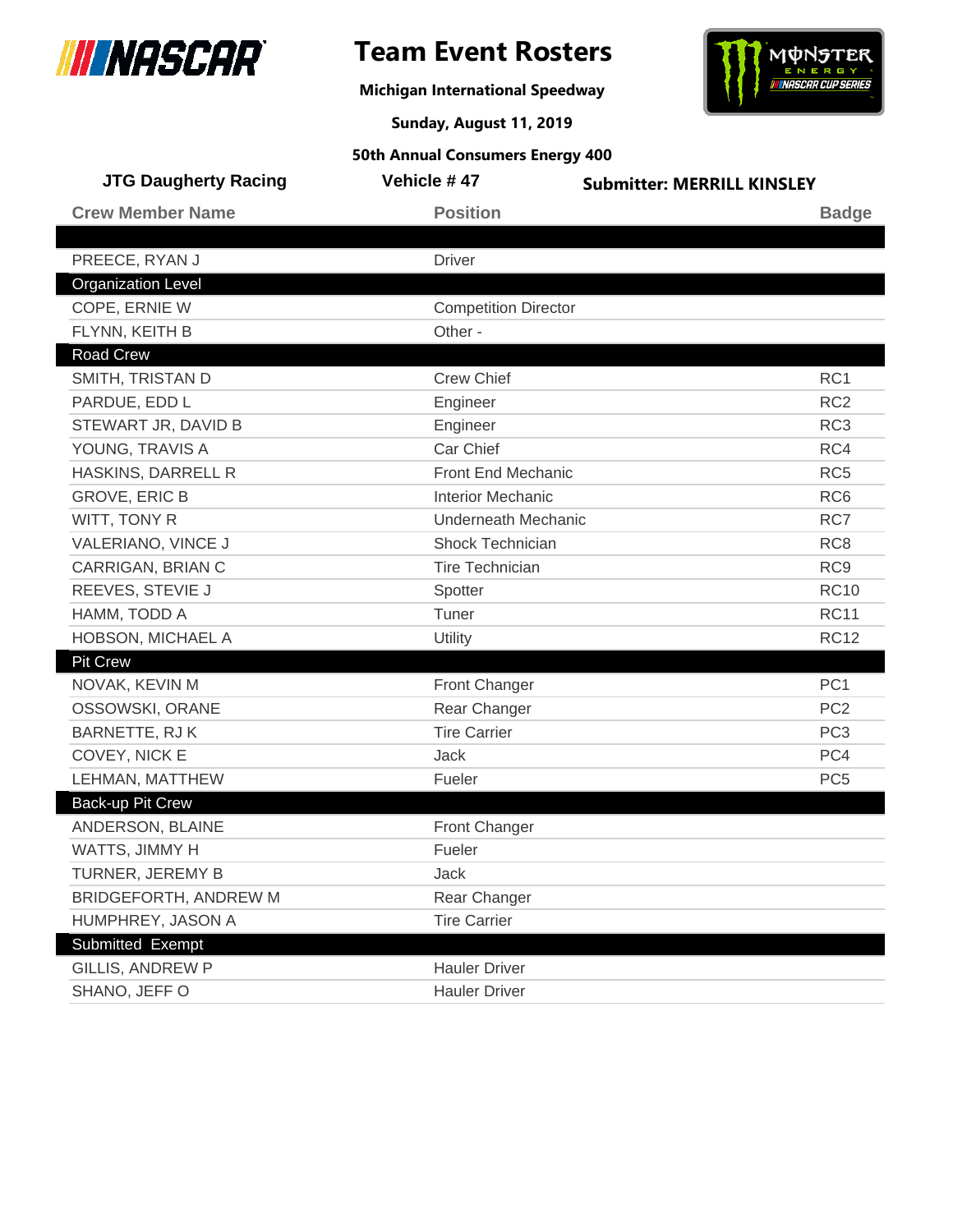

**Michigan International Speedway**



**Sunday, August 11, 2019**

| <b>JTG Daugherty Racing</b> | Vehicle #47                 | <b>Submitter: MERRILL KINSLEY</b> |
|-----------------------------|-----------------------------|-----------------------------------|
| <b>Crew Member Name</b>     | <b>Position</b>             | <b>Badge</b>                      |
|                             |                             |                                   |
| PREECE, RYAN J              | <b>Driver</b>               |                                   |
| <b>Organization Level</b>   |                             |                                   |
| COPE, ERNIE W               | <b>Competition Director</b> |                                   |
| FLYNN, KEITH B              | Other -                     |                                   |
| Road Crew                   |                             |                                   |
| SMITH, TRISTAN D            | <b>Crew Chief</b>           | RC1                               |
| PARDUE, EDD L               | Engineer                    | RC <sub>2</sub>                   |
| STEWART JR, DAVID B         | Engineer                    | RC <sub>3</sub>                   |
| YOUNG, TRAVIS A             | Car Chief                   | RC4                               |
| HASKINS, DARRELL R          | Front End Mechanic          | RC <sub>5</sub>                   |
| <b>GROVE, ERIC B</b>        | <b>Interior Mechanic</b>    | RC <sub>6</sub>                   |
| WITT, TONY R                | <b>Underneath Mechanic</b>  | RC7                               |
| VALERIANO, VINCE J          | Shock Technician            | RC <sub>8</sub>                   |
| CARRIGAN, BRIAN C           | <b>Tire Technician</b>      | RC <sub>9</sub>                   |
| REEVES, STEVIE J            | Spotter                     | <b>RC10</b>                       |
| HAMM, TODD A                | Tuner                       | <b>RC11</b>                       |
| HOBSON, MICHAEL A           | Utility                     | <b>RC12</b>                       |
| <b>Pit Crew</b>             |                             |                                   |
| NOVAK, KEVIN M              | Front Changer               | PC <sub>1</sub>                   |
| OSSOWSKI, ORANE             | Rear Changer                | PC <sub>2</sub>                   |
| BARNETTE, RJ K              | <b>Tire Carrier</b>         | PC <sub>3</sub>                   |
| COVEY, NICK E               | <b>Jack</b>                 | PC4                               |
| LEHMAN, MATTHEW             | Fueler                      | PC <sub>5</sub>                   |
| Back-up Pit Crew            |                             |                                   |
| ANDERSON, BLAINE            | Front Changer               |                                   |
| WATTS, JIMMY H              | Fueler                      |                                   |
| TURNER, JEREMY B            | Jack                        |                                   |
| BRIDGEFORTH, ANDREW M       | Rear Changer                |                                   |
| HUMPHREY, JASON A           | <b>Tire Carrier</b>         |                                   |
| Submitted Exempt            |                             |                                   |
| <b>GILLIS, ANDREW P</b>     | <b>Hauler Driver</b>        |                                   |
| SHANO, JEFF O               | <b>Hauler Driver</b>        |                                   |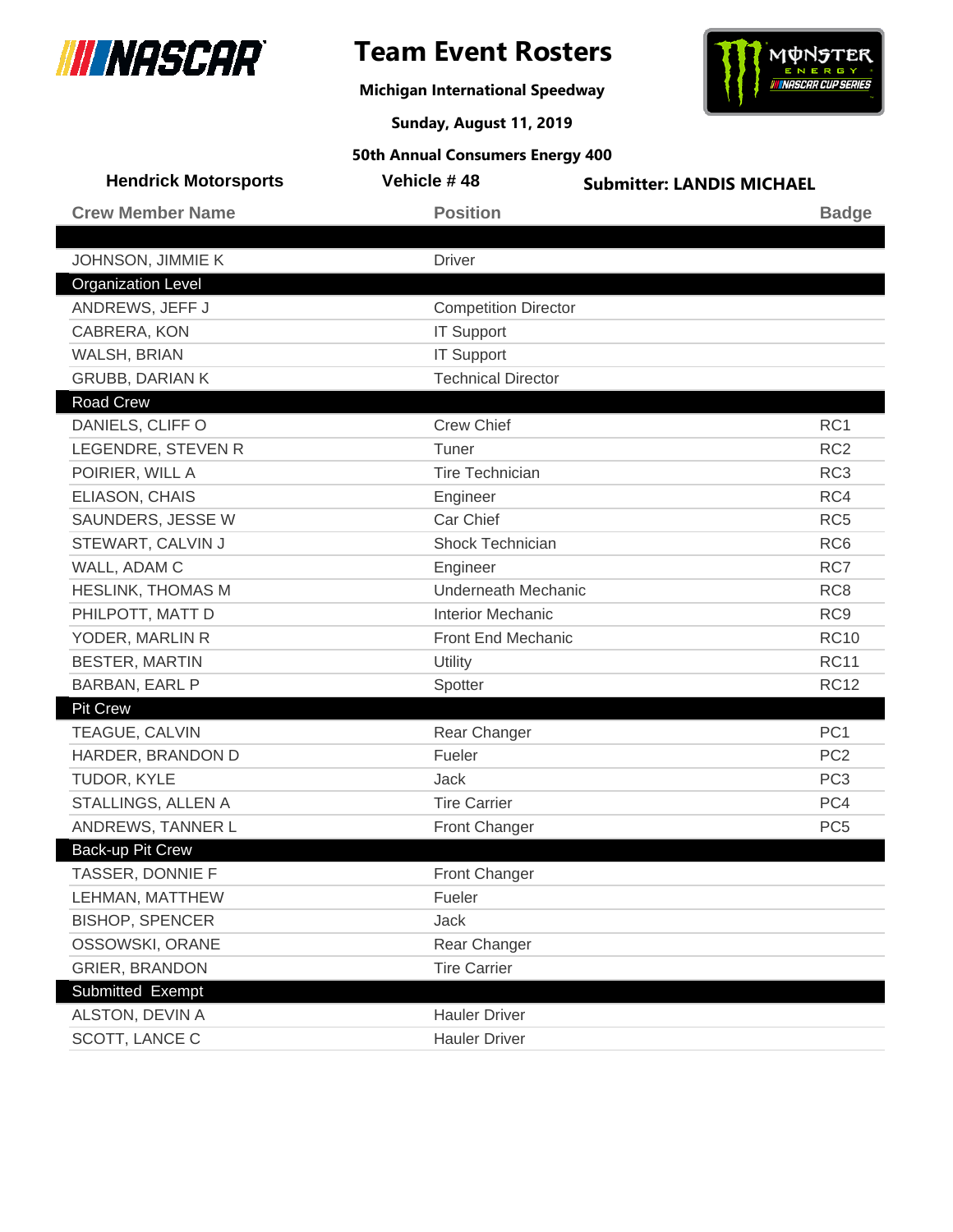

**Michigan International Speedway**



**Sunday, August 11, 2019**

| <b>Hendrick Motorsports</b> | Vehicle #48                 | <b>Submitter: LANDIS MICHAEL</b> |
|-----------------------------|-----------------------------|----------------------------------|
| <b>Crew Member Name</b>     | <b>Position</b>             | <b>Badge</b>                     |
|                             |                             |                                  |
| JOHNSON, JIMMIE K           | <b>Driver</b>               |                                  |
| <b>Organization Level</b>   |                             |                                  |
| ANDREWS, JEFF J             | <b>Competition Director</b> |                                  |
| CABRERA, KON                | <b>IT Support</b>           |                                  |
| WALSH, BRIAN                | <b>IT Support</b>           |                                  |
| <b>GRUBB, DARIAN K</b>      | <b>Technical Director</b>   |                                  |
| <b>Road Crew</b>            |                             |                                  |
| DANIELS, CLIFF O            | <b>Crew Chief</b>           | RC <sub>1</sub>                  |
| LEGENDRE, STEVEN R          | Tuner                       | RC <sub>2</sub>                  |
| POIRIER, WILL A             | <b>Tire Technician</b>      | RC <sub>3</sub>                  |
| ELIASON, CHAIS              | Engineer                    | RC4                              |
| SAUNDERS, JESSE W           | Car Chief                   | RC <sub>5</sub>                  |
| STEWART, CALVIN J           | <b>Shock Technician</b>     | RC <sub>6</sub>                  |
| WALL, ADAM C                | Engineer                    | RC7                              |
| <b>HESLINK, THOMAS M</b>    | <b>Underneath Mechanic</b>  | RC <sub>8</sub>                  |
| PHILPOTT, MATT D            | <b>Interior Mechanic</b>    | RC <sub>9</sub>                  |
| YODER, MARLIN R             | Front End Mechanic          | <b>RC10</b>                      |
| <b>BESTER, MARTIN</b>       | Utility                     | <b>RC11</b>                      |
| BARBAN, EARL P              | Spotter                     | <b>RC12</b>                      |
| <b>Pit Crew</b>             |                             |                                  |
| TEAGUE, CALVIN              | Rear Changer                | PC <sub>1</sub>                  |
| HARDER, BRANDON D           | Fueler                      | PC <sub>2</sub>                  |
| TUDOR, KYLE                 | Jack                        | PC <sub>3</sub>                  |
| STALLINGS, ALLEN A          | <b>Tire Carrier</b>         | PC4                              |
| ANDREWS, TANNER L           | Front Changer               | PC <sub>5</sub>                  |
| Back-up Pit Crew            |                             |                                  |
| TASSER, DONNIE F            | Front Changer               |                                  |
| LEHMAN, MATTHEW             | Fueler                      |                                  |
| <b>BISHOP, SPENCER</b>      | Jack                        |                                  |
| OSSOWSKI, ORANE             | Rear Changer                |                                  |
| <b>GRIER, BRANDON</b>       | <b>Tire Carrier</b>         |                                  |
| Submitted Exempt            |                             |                                  |
| ALSTON, DEVIN A             | <b>Hauler Driver</b>        |                                  |
| SCOTT, LANCE C              | <b>Hauler Driver</b>        |                                  |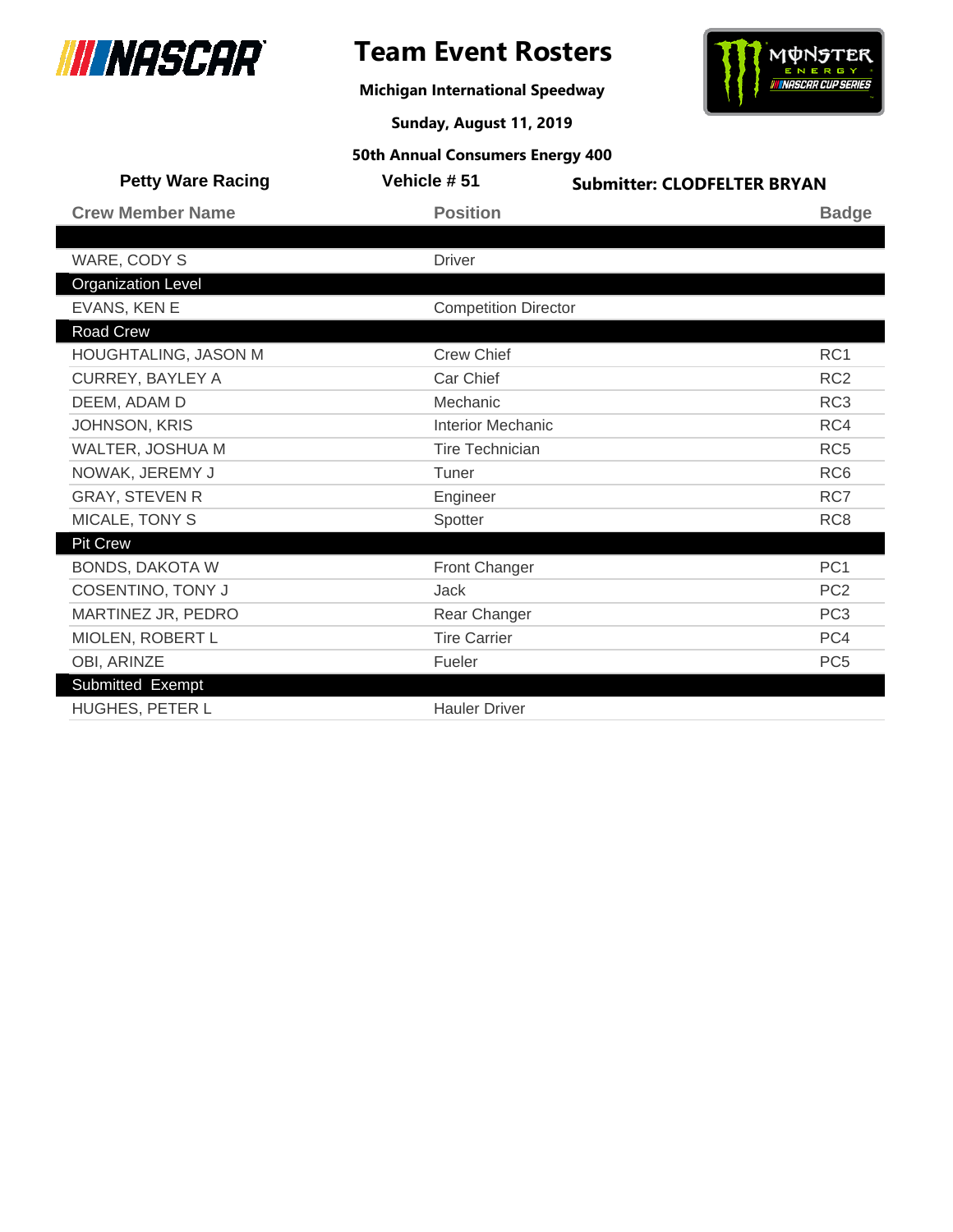

**Michigan International Speedway**



**Sunday, August 11, 2019**

| <b>Petty Ware Racing</b>  | Vehicle #51                 | <b>Submitter: CLODFELTER BRYAN</b> |
|---------------------------|-----------------------------|------------------------------------|
| <b>Crew Member Name</b>   | <b>Position</b>             | <b>Badge</b>                       |
|                           |                             |                                    |
| WARE, CODY S              | <b>Driver</b>               |                                    |
| <b>Organization Level</b> |                             |                                    |
| EVANS, KEN E              | <b>Competition Director</b> |                                    |
| Road Crew                 |                             |                                    |
| HOUGHTALING, JASON M      | <b>Crew Chief</b>           | RC1                                |
| <b>CURREY, BAYLEY A</b>   | Car Chief                   | RC <sub>2</sub>                    |
| DEEM, ADAM D              | Mechanic                    | RC <sub>3</sub>                    |
| <b>JOHNSON, KRIS</b>      | <b>Interior Mechanic</b>    | RC4                                |
| WALTER, JOSHUA M          | <b>Tire Technician</b>      | RC <sub>5</sub>                    |
| NOWAK, JEREMY J           | Tuner                       | RC <sub>6</sub>                    |
| <b>GRAY, STEVEN R</b>     | Engineer                    | RC7                                |
| MICALE, TONY S            | Spotter                     | RC <sub>8</sub>                    |
| <b>Pit Crew</b>           |                             |                                    |
| <b>BONDS, DAKOTA W</b>    | <b>Front Changer</b>        | PC <sub>1</sub>                    |
| <b>COSENTINO, TONY J</b>  | Jack                        | PC <sub>2</sub>                    |
| MARTINEZ JR, PEDRO        | Rear Changer                | PC <sub>3</sub>                    |
| MIOLEN, ROBERT L          | <b>Tire Carrier</b>         | PC4                                |
| OBI, ARINZE               | Fueler                      | PC <sub>5</sub>                    |
| Submitted Exempt          |                             |                                    |
| HUGHES, PETER L           | <b>Hauler Driver</b>        |                                    |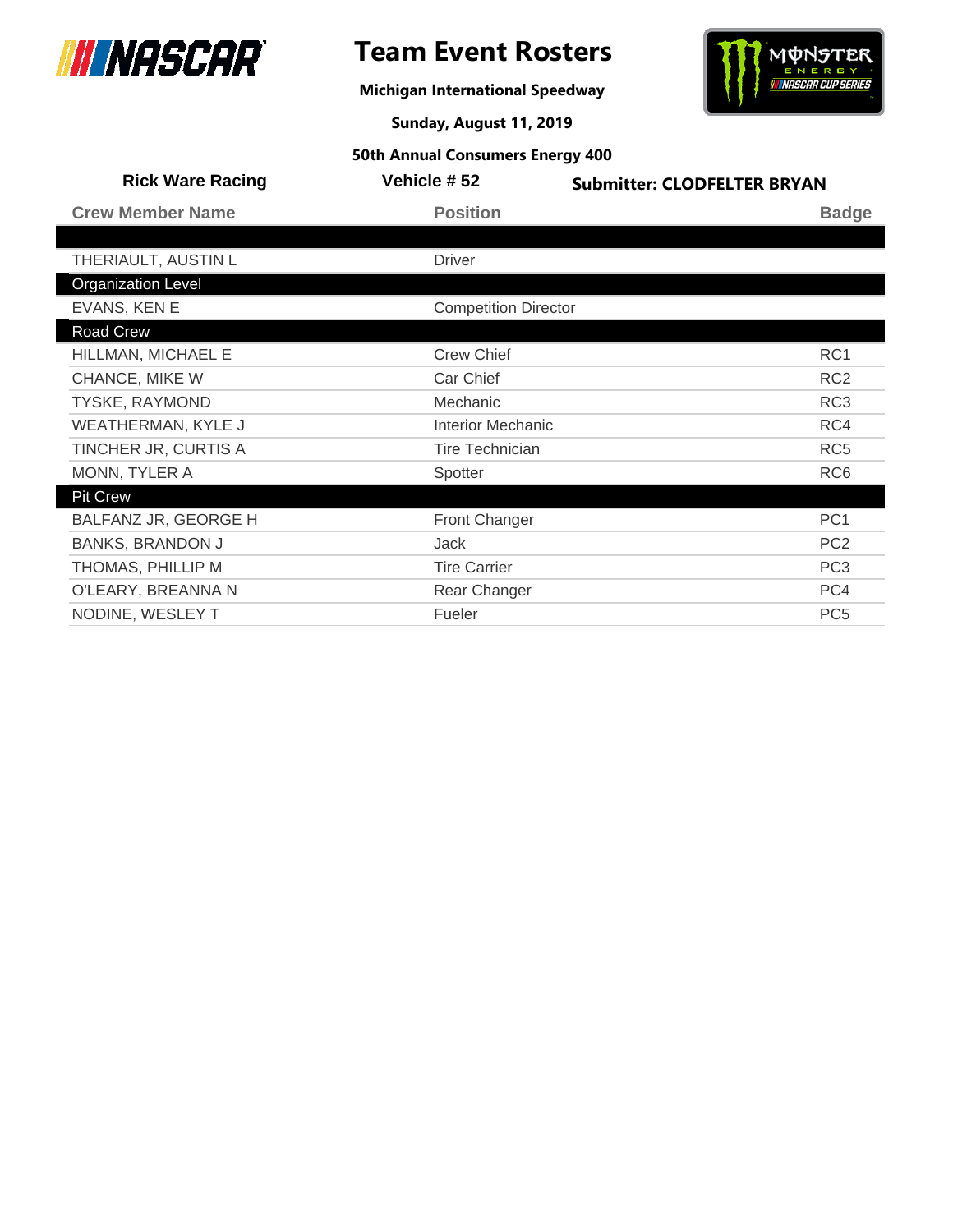

## **Team Event Rosters**

**Michigan International Speedway**



**Sunday, August 11, 2019**

| <b>Rick Ware Racing</b>   | Vehicle #52                 | <b>Submitter: CLODFELTER BRYAN</b> |                 |
|---------------------------|-----------------------------|------------------------------------|-----------------|
| <b>Crew Member Name</b>   | <b>Position</b>             |                                    | <b>Badge</b>    |
|                           |                             |                                    |                 |
| THERIAULT, AUSTIN L       | <b>Driver</b>               |                                    |                 |
| <b>Organization Level</b> |                             |                                    |                 |
| EVANS, KEN E              | <b>Competition Director</b> |                                    |                 |
| Road Crew                 |                             |                                    |                 |
| HILLMAN, MICHAEL E        | <b>Crew Chief</b>           |                                    | RC <sub>1</sub> |
| CHANCE, MIKE W            | Car Chief                   |                                    | RC <sub>2</sub> |
| TYSKE, RAYMOND            | Mechanic                    |                                    | RC <sub>3</sub> |
| <b>WEATHERMAN, KYLE J</b> | <b>Interior Mechanic</b>    |                                    | RC4             |
| TINCHER JR, CURTIS A      | <b>Tire Technician</b>      |                                    | RC <sub>5</sub> |
| MONN, TYLER A             | Spotter                     |                                    | RC <sub>6</sub> |
| <b>Pit Crew</b>           |                             |                                    |                 |
| BALFANZ JR, GEORGE H      | Front Changer               |                                    | PC <sub>1</sub> |
| <b>BANKS, BRANDON J</b>   | Jack                        |                                    | PC <sub>2</sub> |
| THOMAS, PHILLIP M         | <b>Tire Carrier</b>         |                                    | PC <sub>3</sub> |
| O'LEARY, BREANNA N        | Rear Changer                |                                    | PC4             |
| NODINE, WESLEY T          | Fueler                      |                                    | PC <sub>5</sub> |
|                           |                             |                                    |                 |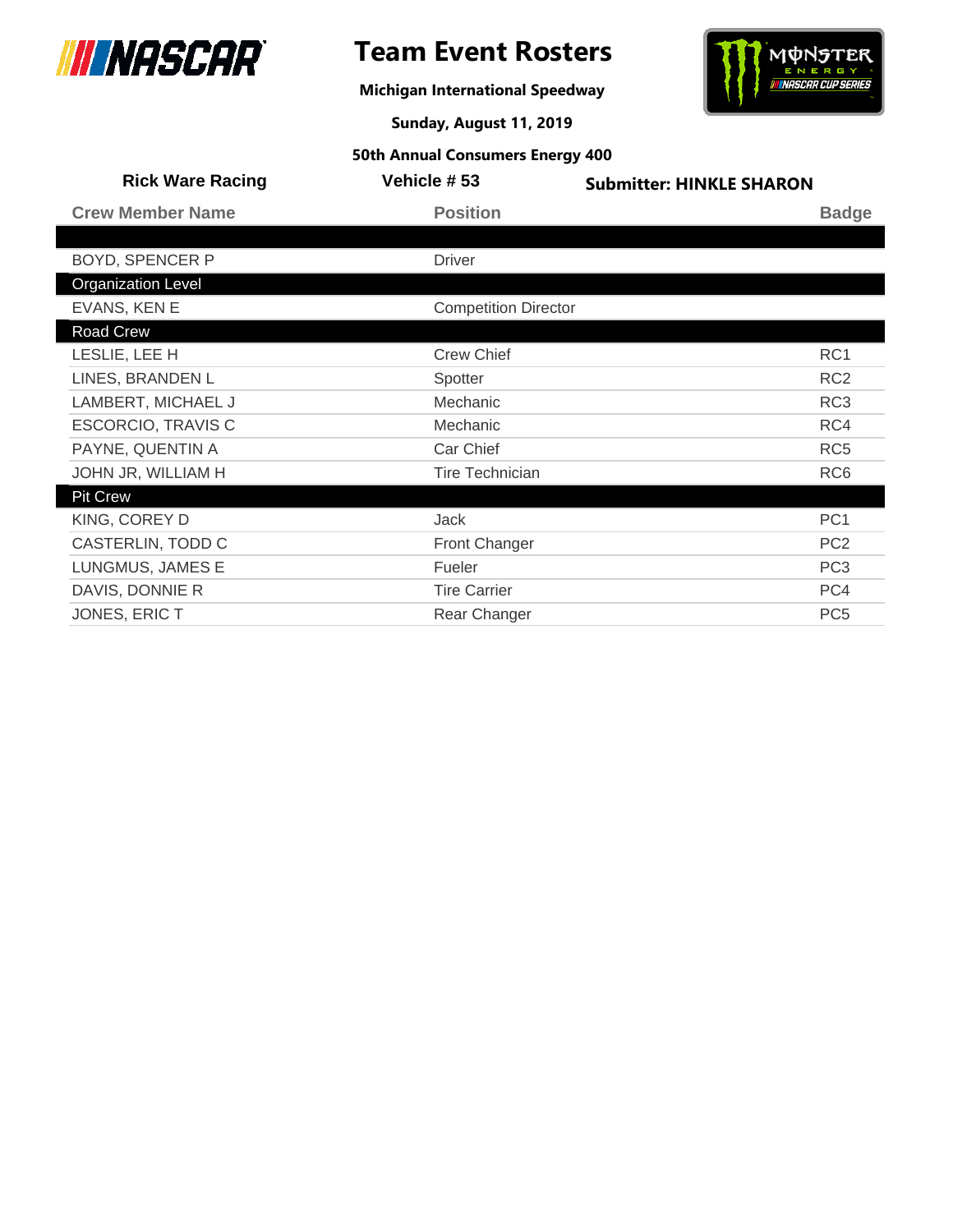



**Michigan International Speedway**

**Sunday, August 11, 2019**

| <b>Rick Ware Racing</b>   | <b>Vehicle #53</b>          | <b>Submitter: HINKLE SHARON</b> |
|---------------------------|-----------------------------|---------------------------------|
| <b>Crew Member Name</b>   | <b>Position</b>             | <b>Badge</b>                    |
|                           |                             |                                 |
| <b>BOYD, SPENCER P</b>    | <b>Driver</b>               |                                 |
| <b>Organization Level</b> |                             |                                 |
| EVANS, KEN E              | <b>Competition Director</b> |                                 |
| Road Crew                 |                             |                                 |
| LESLIE, LEE H             | <b>Crew Chief</b>           | RC1                             |
| LINES, BRANDEN L          | Spotter                     | RC <sub>2</sub>                 |
| LAMBERT, MICHAEL J        | Mechanic                    | RC <sub>3</sub>                 |
| <b>ESCORCIO, TRAVIS C</b> | Mechanic                    | RC4                             |
| PAYNE, QUENTIN A          | Car Chief                   | RC <sub>5</sub>                 |
| JOHN JR, WILLIAM H        | <b>Tire Technician</b>      | RC <sub>6</sub>                 |
| <b>Pit Crew</b>           |                             |                                 |
| KING, COREY D             | Jack                        | PC <sub>1</sub>                 |
| CASTERLIN, TODD C         | <b>Front Changer</b>        | PC <sub>2</sub>                 |
| LUNGMUS, JAMES E          | Fueler                      | PC <sub>3</sub>                 |
| DAVIS, DONNIE R           | <b>Tire Carrier</b>         | PC4                             |
| JONES, ERIC T             | Rear Changer                | PC <sub>5</sub>                 |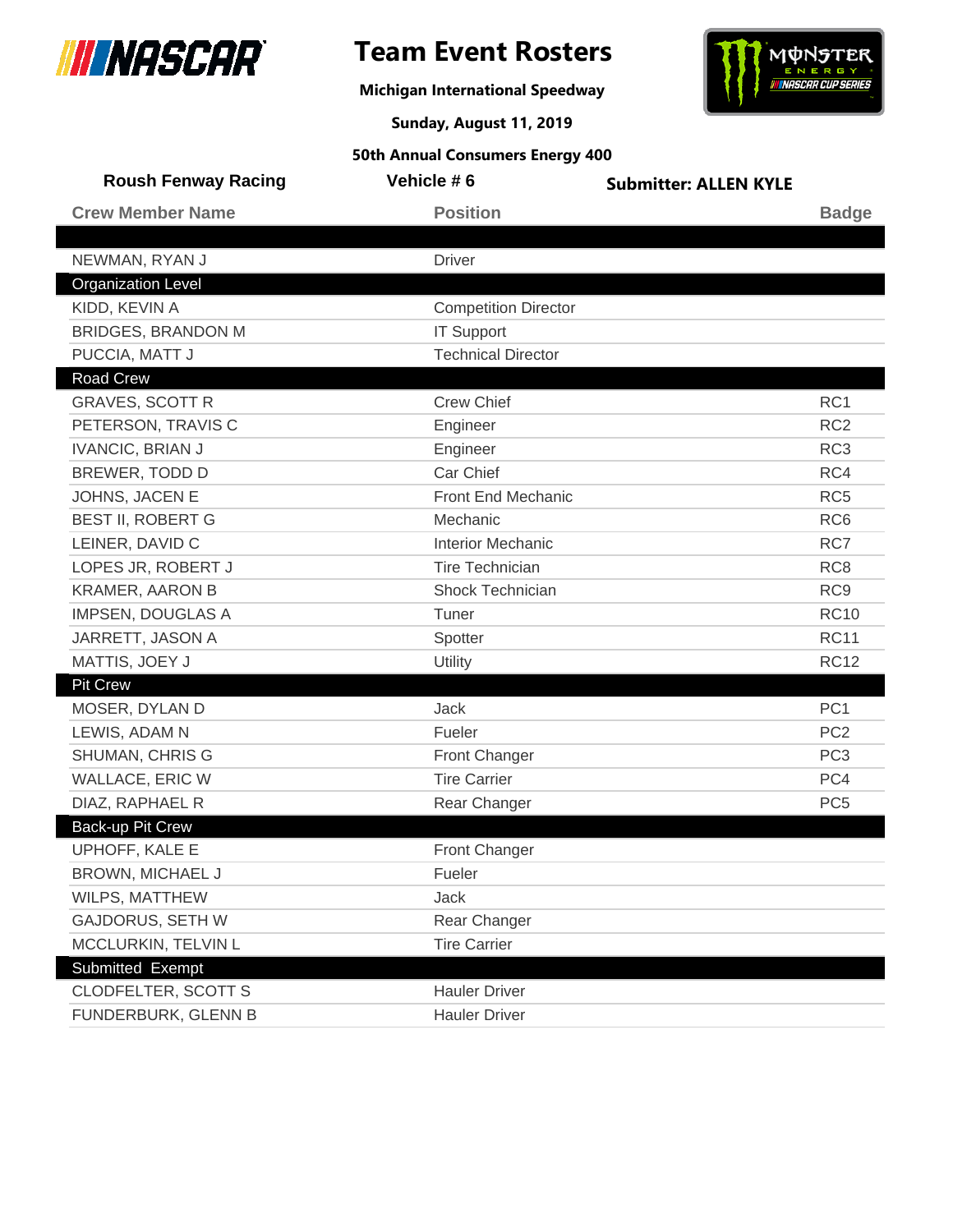

## **Team Event Rosters**

**Michigan International Speedway**



**Sunday, August 11, 2019**

| <b>Roush Fenway Racing</b> | Vehicle #6                  | <b>Submitter: ALLEN KYLE</b> |                 |
|----------------------------|-----------------------------|------------------------------|-----------------|
| <b>Crew Member Name</b>    | <b>Position</b>             |                              | <b>Badge</b>    |
|                            |                             |                              |                 |
| NEWMAN, RYAN J             | <b>Driver</b>               |                              |                 |
| <b>Organization Level</b>  |                             |                              |                 |
| KIDD, KEVIN A              | <b>Competition Director</b> |                              |                 |
| <b>BRIDGES, BRANDON M</b>  | <b>IT Support</b>           |                              |                 |
| PUCCIA, MATT J             | <b>Technical Director</b>   |                              |                 |
| <b>Road Crew</b>           |                             |                              |                 |
| <b>GRAVES, SCOTT R</b>     | <b>Crew Chief</b>           |                              | RC <sub>1</sub> |
| PETERSON, TRAVIS C         | Engineer                    |                              | RC <sub>2</sub> |
| <b>IVANCIC, BRIAN J</b>    | Engineer                    |                              | RC <sub>3</sub> |
| BREWER, TODD D             | Car Chief                   |                              | RC4             |
| JOHNS, JACEN E             | Front End Mechanic          |                              | RC <sub>5</sub> |
| <b>BEST II, ROBERT G</b>   | Mechanic                    |                              | RC <sub>6</sub> |
| LEINER, DAVID C            | <b>Interior Mechanic</b>    |                              | RC7             |
| LOPES JR, ROBERT J         | <b>Tire Technician</b>      |                              | RC <sub>8</sub> |
| <b>KRAMER, AARON B</b>     | <b>Shock Technician</b>     |                              | RC <sub>9</sub> |
| <b>IMPSEN, DOUGLAS A</b>   | Tuner                       |                              | <b>RC10</b>     |
| JARRETT, JASON A           | Spotter                     |                              | <b>RC11</b>     |
| MATTIS, JOEY J             | Utility                     |                              | <b>RC12</b>     |
| <b>Pit Crew</b>            |                             |                              |                 |
| MOSER, DYLAN D             | <b>Jack</b>                 |                              | PC <sub>1</sub> |
| LEWIS, ADAM N              | Fueler                      |                              | PC <sub>2</sub> |
| <b>SHUMAN, CHRIS G</b>     | Front Changer               |                              | PC <sub>3</sub> |
| WALLACE, ERIC W            | <b>Tire Carrier</b>         |                              | PC4             |
| DIAZ, RAPHAEL R            | Rear Changer                |                              | PC <sub>5</sub> |
| Back-up Pit Crew           |                             |                              |                 |
| UPHOFF, KALE E             | <b>Front Changer</b>        |                              |                 |
| BROWN, MICHAEL J           | Fueler                      |                              |                 |
| WILPS, MATTHEW             | Jack                        |                              |                 |
| <b>GAJDORUS, SETH W</b>    | Rear Changer                |                              |                 |
| MCCLURKIN, TELVIN L        | <b>Tire Carrier</b>         |                              |                 |
| Submitted Exempt           |                             |                              |                 |
| <b>CLODFELTER, SCOTT S</b> | <b>Hauler Driver</b>        |                              |                 |
| FUNDERBURK, GLENN B        | <b>Hauler Driver</b>        |                              |                 |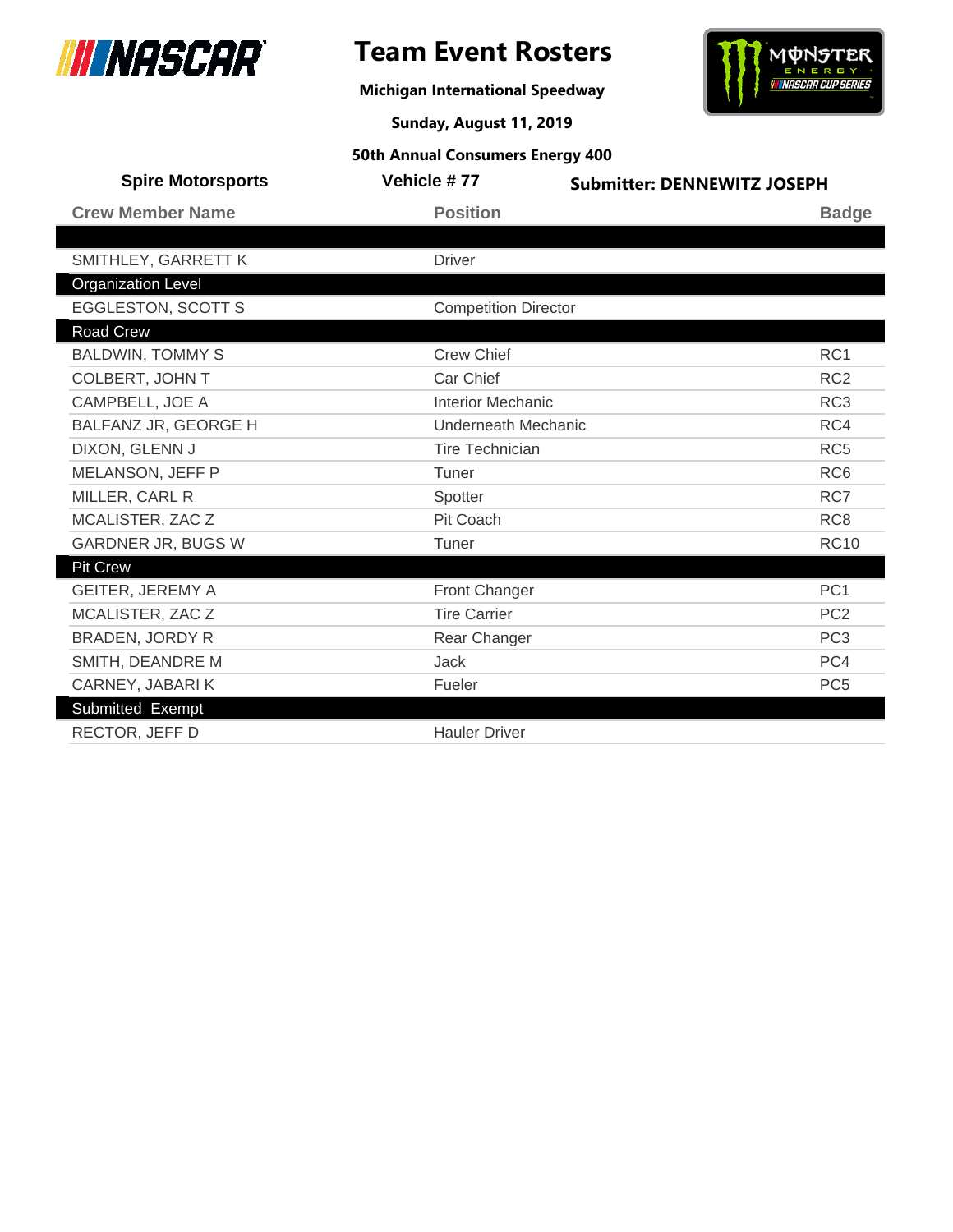



**Michigan International Speedway**

**Sunday, August 11, 2019**

| <b>Spire Motorsports</b>  | Vehicle #77                 | <b>Submitter: DENNEWITZ JOSEPH</b> |
|---------------------------|-----------------------------|------------------------------------|
| <b>Crew Member Name</b>   | <b>Position</b>             | <b>Badge</b>                       |
|                           |                             |                                    |
| SMITHLEY, GARRETT K       | <b>Driver</b>               |                                    |
| <b>Organization Level</b> |                             |                                    |
| <b>EGGLESTON, SCOTT S</b> | <b>Competition Director</b> |                                    |
| Road Crew                 |                             |                                    |
| <b>BALDWIN, TOMMY S</b>   | <b>Crew Chief</b>           | RC <sub>1</sub>                    |
| COLBERT, JOHN T           | Car Chief                   | RC <sub>2</sub>                    |
| CAMPBELL, JOE A           | <b>Interior Mechanic</b>    | RC <sub>3</sub>                    |
| BALFANZ JR, GEORGE H      | <b>Underneath Mechanic</b>  | RC4                                |
| DIXON, GLENN J            | <b>Tire Technician</b>      | RC <sub>5</sub>                    |
| MELANSON, JEFF P          | Tuner                       | RC <sub>6</sub>                    |
| MILLER, CARL R            | Spotter                     | RC7                                |
| MCALISTER, ZAC Z          | Pit Coach                   | RC <sub>8</sub>                    |
| GARDNER JR, BUGS W        | Tuner                       | <b>RC10</b>                        |
| <b>Pit Crew</b>           |                             |                                    |
| <b>GEITER, JEREMY A</b>   | Front Changer               | PC <sub>1</sub>                    |
| MCALISTER, ZAC Z          | <b>Tire Carrier</b>         | PC <sub>2</sub>                    |
| <b>BRADEN, JORDY R</b>    | Rear Changer                | PC <sub>3</sub>                    |
| SMITH, DEANDRE M          | <b>Jack</b>                 | PC4                                |
| CARNEY, JABARIK           | Fueler                      | PC <sub>5</sub>                    |
| Submitted Exempt          |                             |                                    |
| RECTOR, JEFF D            | <b>Hauler Driver</b>        |                                    |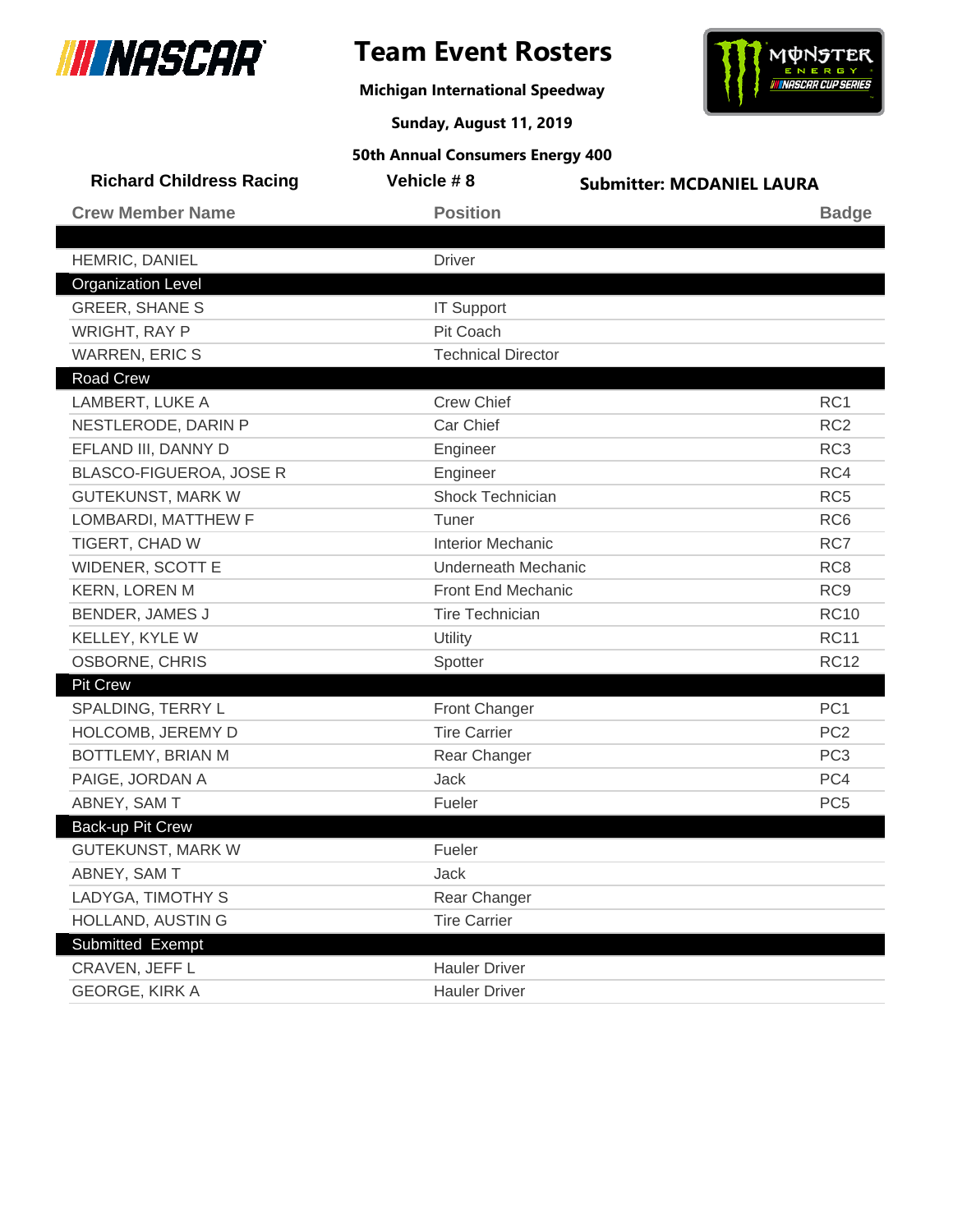

**Michigan International Speedway**



**Sunday, August 11, 2019**

| <b>Richard Childress Racing</b> | Vehicle #8                 | <b>Submitter: MCDANIEL LAURA</b> |
|---------------------------------|----------------------------|----------------------------------|
| <b>Crew Member Name</b>         | <b>Position</b>            | <b>Badge</b>                     |
| HEMRIC, DANIEL                  | <b>Driver</b>              |                                  |
| <b>Organization Level</b>       |                            |                                  |
| <b>GREER, SHANE S</b>           | <b>IT Support</b>          |                                  |
| <b>WRIGHT, RAY P</b>            | Pit Coach                  |                                  |
| <b>WARREN, ERIC S</b>           | <b>Technical Director</b>  |                                  |
| <b>Road Crew</b>                |                            |                                  |
| LAMBERT, LUKE A                 | <b>Crew Chief</b>          | RC1                              |
| NESTLERODE, DARIN P             | Car Chief                  | RC <sub>2</sub>                  |
| EFLAND III, DANNY D             | Engineer                   | RC <sub>3</sub>                  |
| BLASCO-FIGUEROA, JOSE R         | Engineer                   | RC4                              |
| <b>GUTEKUNST, MARK W</b>        | Shock Technician           | RC <sub>5</sub>                  |
| LOMBARDI, MATTHEW F             | Tuner                      | RC <sub>6</sub>                  |
| TIGERT, CHAD W                  | <b>Interior Mechanic</b>   | RC7                              |
| <b>WIDENER, SCOTT E</b>         | <b>Underneath Mechanic</b> | RC <sub>8</sub>                  |
| <b>KERN, LOREN M</b>            | Front End Mechanic         | RC <sub>9</sub>                  |
| BENDER, JAMES J                 | <b>Tire Technician</b>     | <b>RC10</b>                      |
| KELLEY, KYLE W                  | Utility                    | <b>RC11</b>                      |
| OSBORNE, CHRIS                  | Spotter                    | <b>RC12</b>                      |
| <b>Pit Crew</b>                 |                            |                                  |
| SPALDING, TERRY L               | Front Changer              | PC <sub>1</sub>                  |
| HOLCOMB, JEREMY D               | <b>Tire Carrier</b>        | PC <sub>2</sub>                  |
| BOTTLEMY, BRIAN M               | Rear Changer               | PC <sub>3</sub>                  |
| PAIGE, JORDAN A                 | <b>Jack</b>                | PC4                              |
| ABNEY, SAM T                    | Fueler                     | PC <sub>5</sub>                  |
| Back-up Pit Crew                |                            |                                  |
| <b>GUTEKUNST, MARK W</b>        | Fueler                     |                                  |
| ABNEY, SAM T                    | Jack                       |                                  |
| LADYGA, TIMOTHY S               | Rear Changer               |                                  |
| HOLLAND, AUSTIN G               | <b>Tire Carrier</b>        |                                  |
| Submitted Exempt                |                            |                                  |
| CRAVEN, JEFF L                  | <b>Hauler Driver</b>       |                                  |
| <b>GEORGE, KIRK A</b>           | <b>Hauler Driver</b>       |                                  |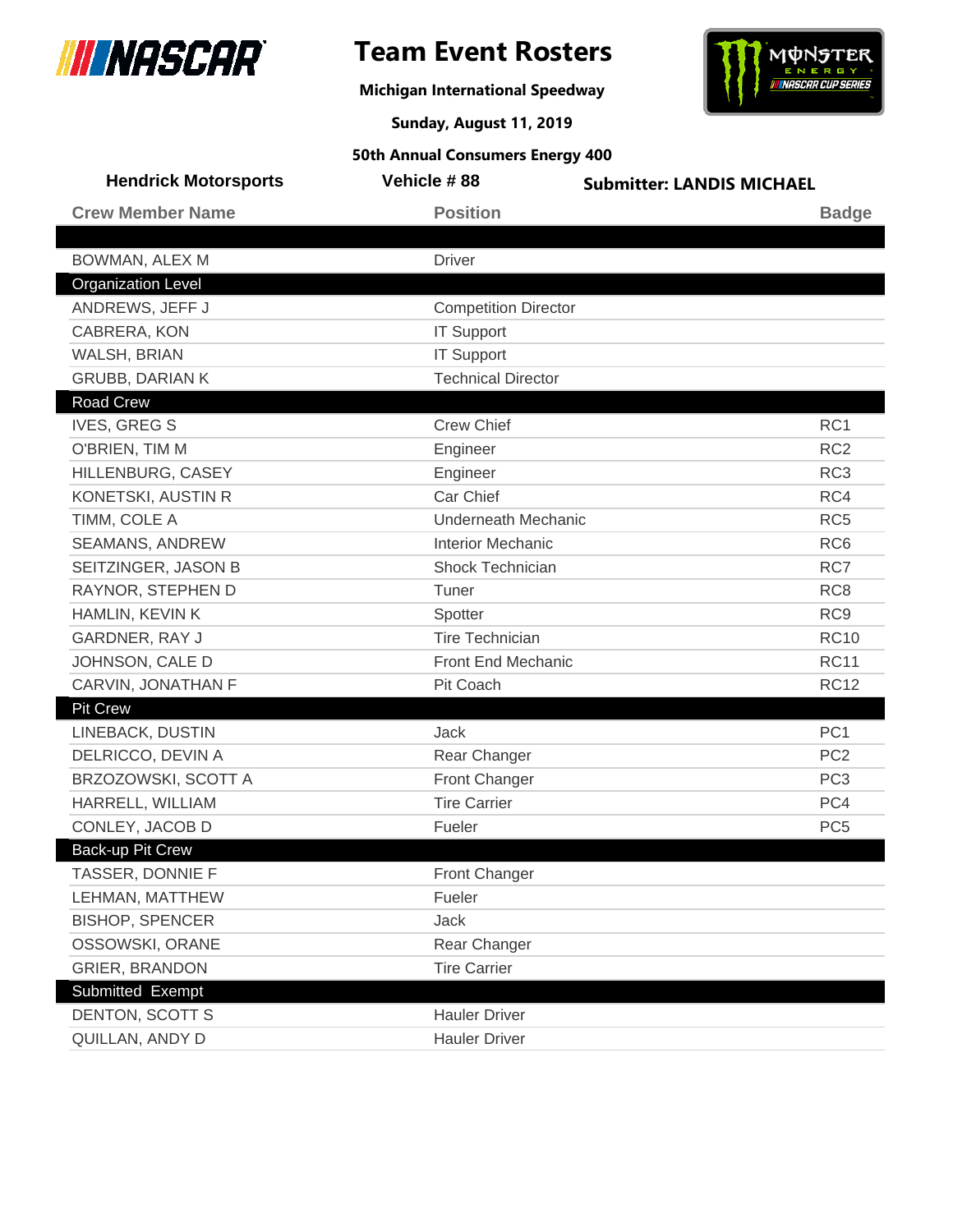

## **Team Event Rosters**

**Michigan International Speedway**



**Sunday, August 11, 2019**

| <b>Hendrick Motorsports</b> | Vehicle #88                 | <b>Submitter: LANDIS MICHAEL</b> |                 |
|-----------------------------|-----------------------------|----------------------------------|-----------------|
| <b>Crew Member Name</b>     | <b>Position</b>             |                                  | <b>Badge</b>    |
|                             |                             |                                  |                 |
| BOWMAN, ALEX M              | <b>Driver</b>               |                                  |                 |
| <b>Organization Level</b>   |                             |                                  |                 |
| ANDREWS, JEFF J             | <b>Competition Director</b> |                                  |                 |
| CABRERA, KON                | <b>IT Support</b>           |                                  |                 |
| WALSH, BRIAN                | <b>IT Support</b>           |                                  |                 |
| <b>GRUBB, DARIAN K</b>      | <b>Technical Director</b>   |                                  |                 |
| <b>Road Crew</b>            |                             |                                  |                 |
| <b>IVES, GREG S</b>         | <b>Crew Chief</b>           |                                  | RC1             |
| O'BRIEN, TIM M              | Engineer                    |                                  | RC <sub>2</sub> |
| HILLENBURG, CASEY           | Engineer                    |                                  | RC <sub>3</sub> |
| KONETSKI, AUSTIN R          | Car Chief                   |                                  | RC4             |
| TIMM, COLE A                | <b>Underneath Mechanic</b>  |                                  | RC <sub>5</sub> |
| SEAMANS, ANDREW             | <b>Interior Mechanic</b>    |                                  | RC <sub>6</sub> |
| SEITZINGER, JASON B         | <b>Shock Technician</b>     |                                  | RC7             |
| RAYNOR, STEPHEN D           | Tuner                       |                                  | RC <sub>8</sub> |
| HAMLIN, KEVIN K             | Spotter                     |                                  | RC <sub>9</sub> |
| GARDNER, RAY J              | <b>Tire Technician</b>      |                                  | <b>RC10</b>     |
| JOHNSON, CALE D             | Front End Mechanic          |                                  | <b>RC11</b>     |
| CARVIN, JONATHAN F          | Pit Coach                   |                                  | <b>RC12</b>     |
| Pit Crew                    |                             |                                  |                 |
| LINEBACK, DUSTIN            | <b>Jack</b>                 |                                  | PC <sub>1</sub> |
| DELRICCO, DEVIN A           | Rear Changer                |                                  | PC <sub>2</sub> |
| BRZOZOWSKI, SCOTT A         | Front Changer               |                                  | PC <sub>3</sub> |
| HARRELL, WILLIAM            | <b>Tire Carrier</b>         |                                  | PC4             |
| CONLEY, JACOB D             | Fueler                      |                                  | PC <sub>5</sub> |
| Back-up Pit Crew            |                             |                                  |                 |
| TASSER, DONNIE F            | <b>Front Changer</b>        |                                  |                 |
| LEHMAN, MATTHEW             | Fueler                      |                                  |                 |
| <b>BISHOP, SPENCER</b>      | Jack                        |                                  |                 |
| OSSOWSKI, ORANE             | Rear Changer                |                                  |                 |
| <b>GRIER, BRANDON</b>       | <b>Tire Carrier</b>         |                                  |                 |
| Submitted Exempt            |                             |                                  |                 |
| <b>DENTON, SCOTT S</b>      | <b>Hauler Driver</b>        |                                  |                 |
| QUILLAN, ANDY D             | <b>Hauler Driver</b>        |                                  |                 |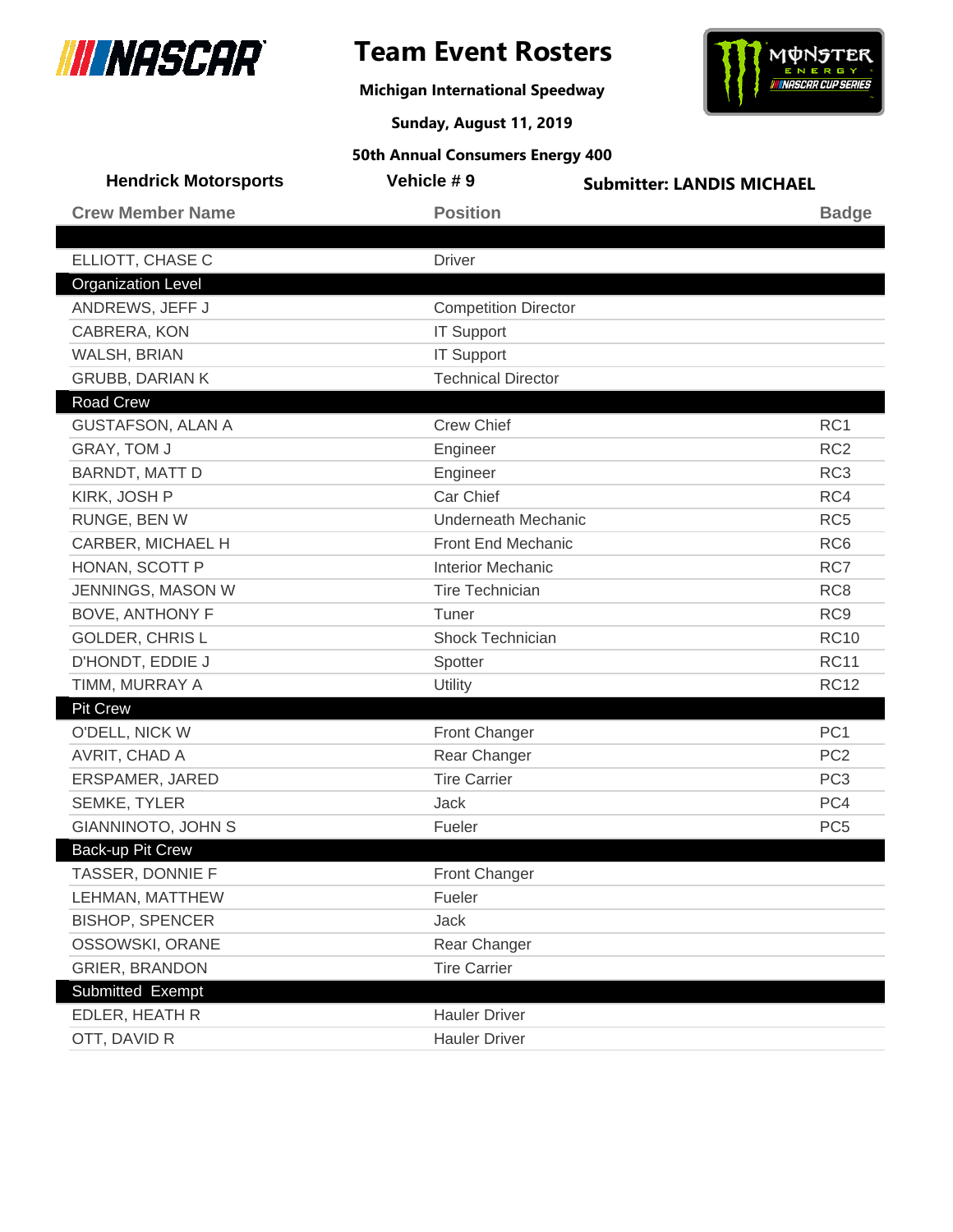

**Michigan International Speedway**



**Sunday, August 11, 2019**

| <b>Hendrick Motorsports</b> | Vehicle #9                  | <b>Submitter: LANDIS MICHAEL</b> |
|-----------------------------|-----------------------------|----------------------------------|
| <b>Crew Member Name</b>     | <b>Position</b>             | <b>Badge</b>                     |
|                             |                             |                                  |
| ELLIOTT, CHASE C            | <b>Driver</b>               |                                  |
| <b>Organization Level</b>   |                             |                                  |
| ANDREWS, JEFF J             | <b>Competition Director</b> |                                  |
| CABRERA, KON                | <b>IT Support</b>           |                                  |
| WALSH, BRIAN                | <b>IT Support</b>           |                                  |
| <b>GRUBB, DARIAN K</b>      | <b>Technical Director</b>   |                                  |
| <b>Road Crew</b>            |                             |                                  |
| <b>GUSTAFSON, ALAN A</b>    | <b>Crew Chief</b>           | RC <sub>1</sub>                  |
| GRAY, TOM J                 | Engineer                    | RC <sub>2</sub>                  |
| BARNDT, MATT D              | Engineer                    | RC <sub>3</sub>                  |
| KIRK, JOSH P                | Car Chief                   | RC4                              |
| RUNGE, BEN W                | <b>Underneath Mechanic</b>  | RC <sub>5</sub>                  |
| CARBER, MICHAEL H           | Front End Mechanic          | RC <sub>6</sub>                  |
| HONAN, SCOTT P              | <b>Interior Mechanic</b>    | RC7                              |
| JENNINGS, MASON W           | <b>Tire Technician</b>      | RC <sub>8</sub>                  |
| <b>BOVE, ANTHONY F</b>      | Tuner                       | RC <sub>9</sub>                  |
| <b>GOLDER, CHRISL</b>       | Shock Technician            | <b>RC10</b>                      |
| D'HONDT, EDDIE J            | Spotter                     | <b>RC11</b>                      |
| TIMM, MURRAY A              | Utility                     | <b>RC12</b>                      |
| <b>Pit Crew</b>             |                             |                                  |
| O'DELL, NICK W              | Front Changer               | PC <sub>1</sub>                  |
| AVRIT, CHAD A               | Rear Changer                | PC <sub>2</sub>                  |
| ERSPAMER, JARED             | <b>Tire Carrier</b>         | PC <sub>3</sub>                  |
| <b>SEMKE, TYLER</b>         | Jack                        | PC4                              |
| <b>GIANNINOTO, JOHN S</b>   | Fueler                      | PC <sub>5</sub>                  |
| Back-up Pit Crew            |                             |                                  |
| TASSER, DONNIE F            | Front Changer               |                                  |
| LEHMAN, MATTHEW             | Fueler                      |                                  |
| <b>BISHOP, SPENCER</b>      | Jack                        |                                  |
| OSSOWSKI, ORANE             | Rear Changer                |                                  |
| <b>GRIER, BRANDON</b>       | <b>Tire Carrier</b>         |                                  |
| Submitted Exempt            |                             |                                  |
| EDLER, HEATH R              | <b>Hauler Driver</b>        |                                  |
| OTT, DAVID R                | <b>Hauler Driver</b>        |                                  |